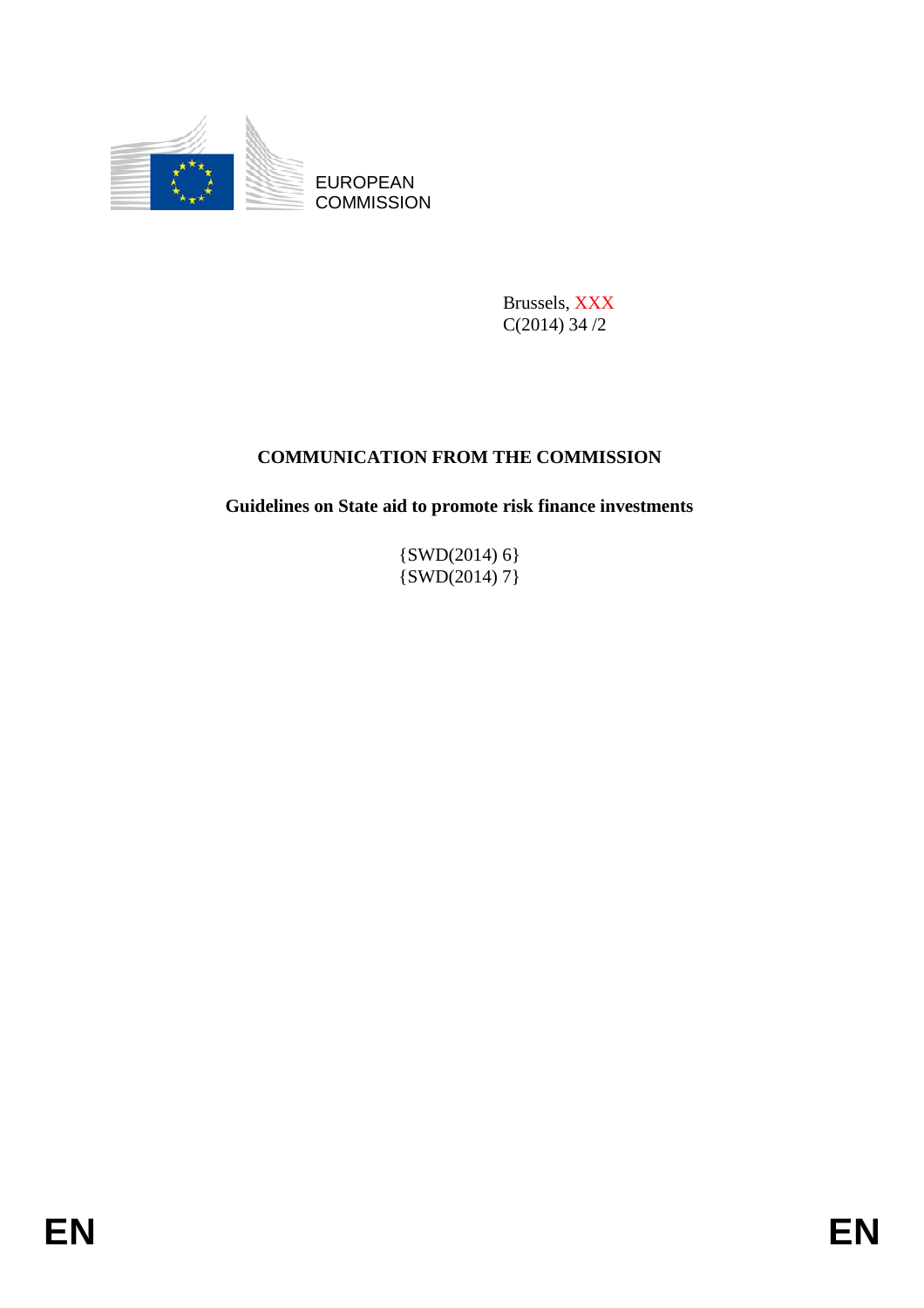

Brussels, XXX C(2014) 34 /2

# **COMMUNICATION FROM THE COMMISSION**

**Guidelines on State aid to promote risk finance investments** 

 $\{SWD(2014) 6\}$ {SWD(2014) 7}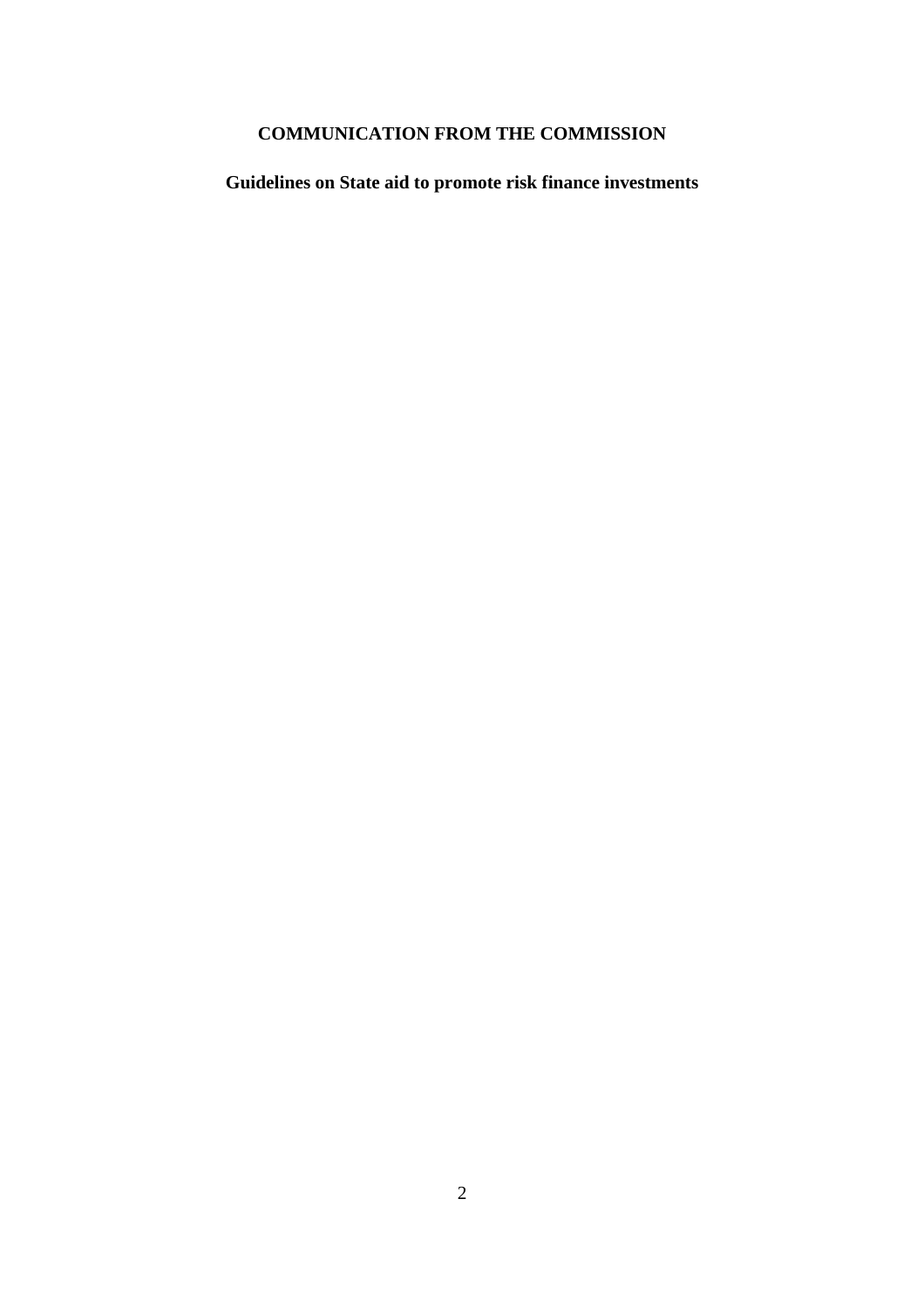# **COMMUNICATION FROM THE COMMISSION**

**Guidelines on State aid to promote risk finance investments**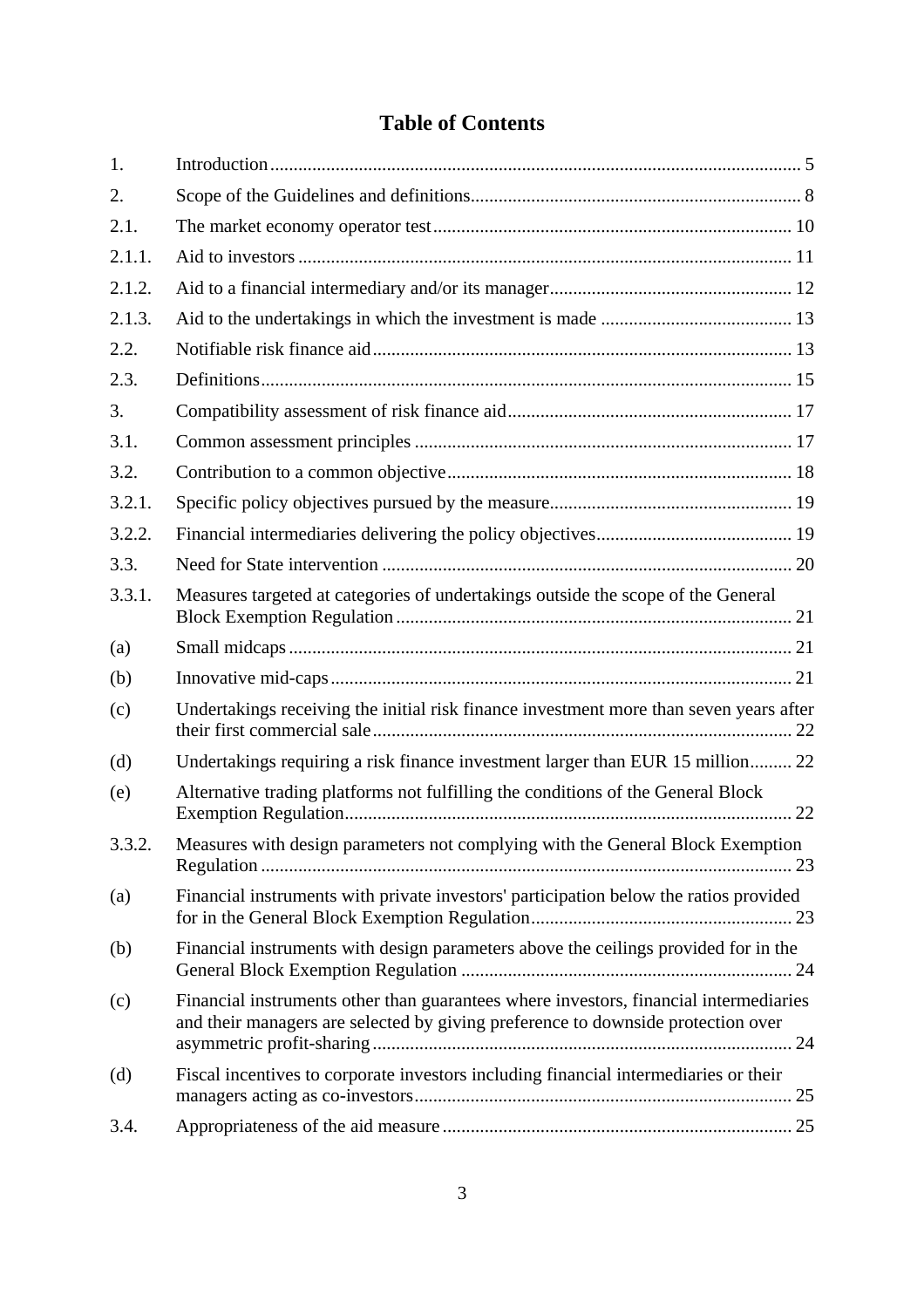# **Table of Contents**

| 1.     |                                                                                                                                                                           |
|--------|---------------------------------------------------------------------------------------------------------------------------------------------------------------------------|
| 2.     |                                                                                                                                                                           |
| 2.1.   |                                                                                                                                                                           |
| 2.1.1. |                                                                                                                                                                           |
| 2.1.2. |                                                                                                                                                                           |
| 2.1.3. |                                                                                                                                                                           |
| 2.2.   |                                                                                                                                                                           |
| 2.3.   |                                                                                                                                                                           |
| 3.     |                                                                                                                                                                           |
| 3.1.   |                                                                                                                                                                           |
| 3.2.   |                                                                                                                                                                           |
| 3.2.1. |                                                                                                                                                                           |
| 3.2.2. |                                                                                                                                                                           |
| 3.3.   |                                                                                                                                                                           |
| 3.3.1. | Measures targeted at categories of undertakings outside the scope of the General                                                                                          |
| (a)    |                                                                                                                                                                           |
| (b)    |                                                                                                                                                                           |
| (c)    | Undertakings receiving the initial risk finance investment more than seven years after                                                                                    |
| (d)    | Undertakings requiring a risk finance investment larger than EUR 15 million 22                                                                                            |
| (e)    | Alternative trading platforms not fulfilling the conditions of the General Block                                                                                          |
| 3.3.2. | Measures with design parameters not complying with the General Block Exemption                                                                                            |
| (a)    | Financial instruments with private investors' participation below the ratios provided                                                                                     |
| (b)    | Financial instruments with design parameters above the ceilings provided for in the                                                                                       |
| (c)    | Financial instruments other than guarantees where investors, financial intermediaries<br>and their managers are selected by giving preference to downside protection over |
| (d)    | Fiscal incentives to corporate investors including financial intermediaries or their                                                                                      |
| 3.4.   |                                                                                                                                                                           |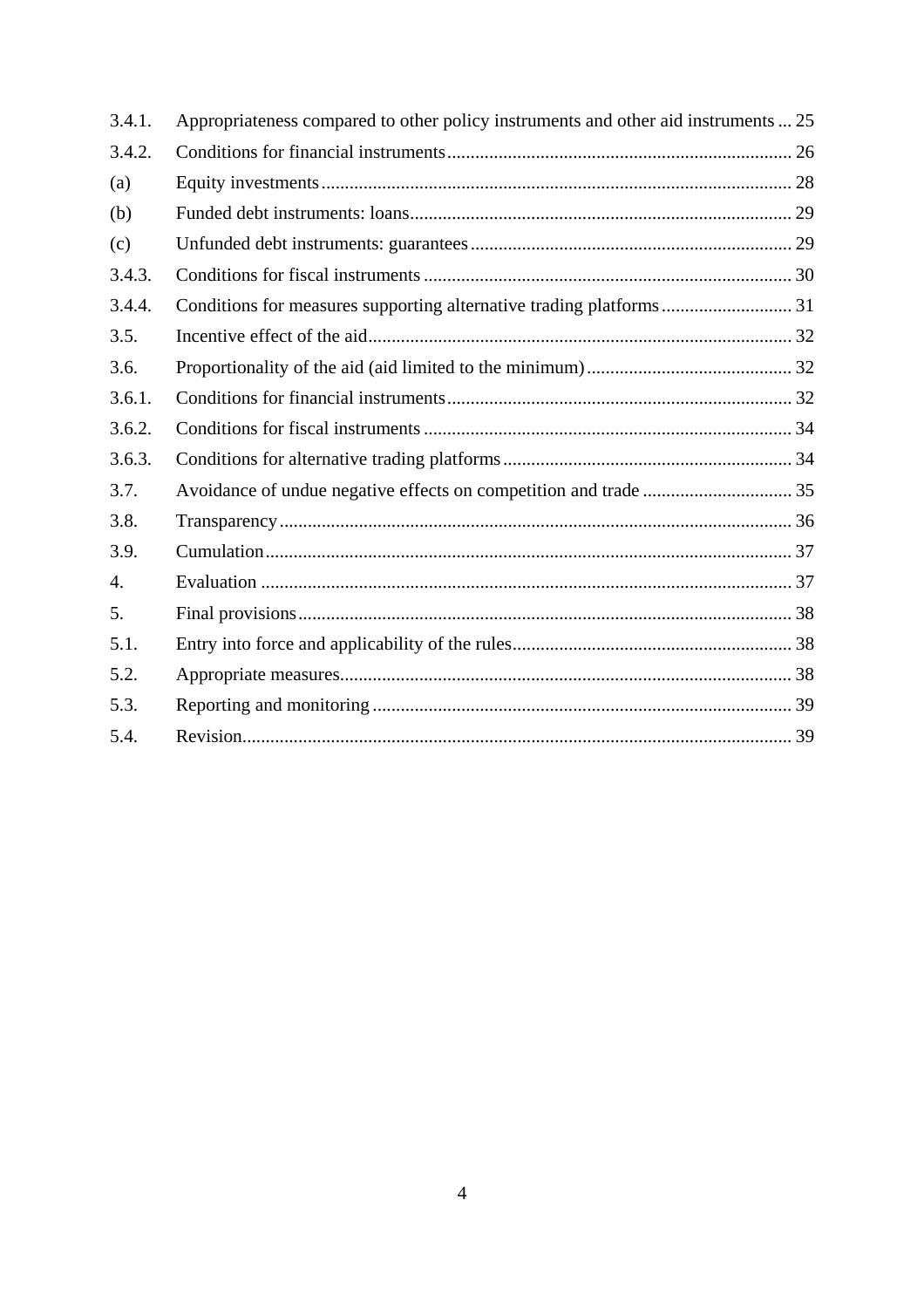| 3.4.1. | Appropriateness compared to other policy instruments and other aid instruments  25 |
|--------|------------------------------------------------------------------------------------|
| 3.4.2. |                                                                                    |
| (a)    |                                                                                    |
| (b)    |                                                                                    |
| (c)    |                                                                                    |
| 3.4.3. |                                                                                    |
| 3.4.4. |                                                                                    |
| 3.5.   |                                                                                    |
| 3.6.   |                                                                                    |
| 3.6.1. |                                                                                    |
| 3.6.2. |                                                                                    |
| 3.6.3. |                                                                                    |
| 3.7.   |                                                                                    |
| 3.8.   |                                                                                    |
| 3.9.   |                                                                                    |
| 4.     |                                                                                    |
| 5.     |                                                                                    |
| 5.1.   |                                                                                    |
| 5.2.   |                                                                                    |
| 5.3.   |                                                                                    |
| 5.4.   |                                                                                    |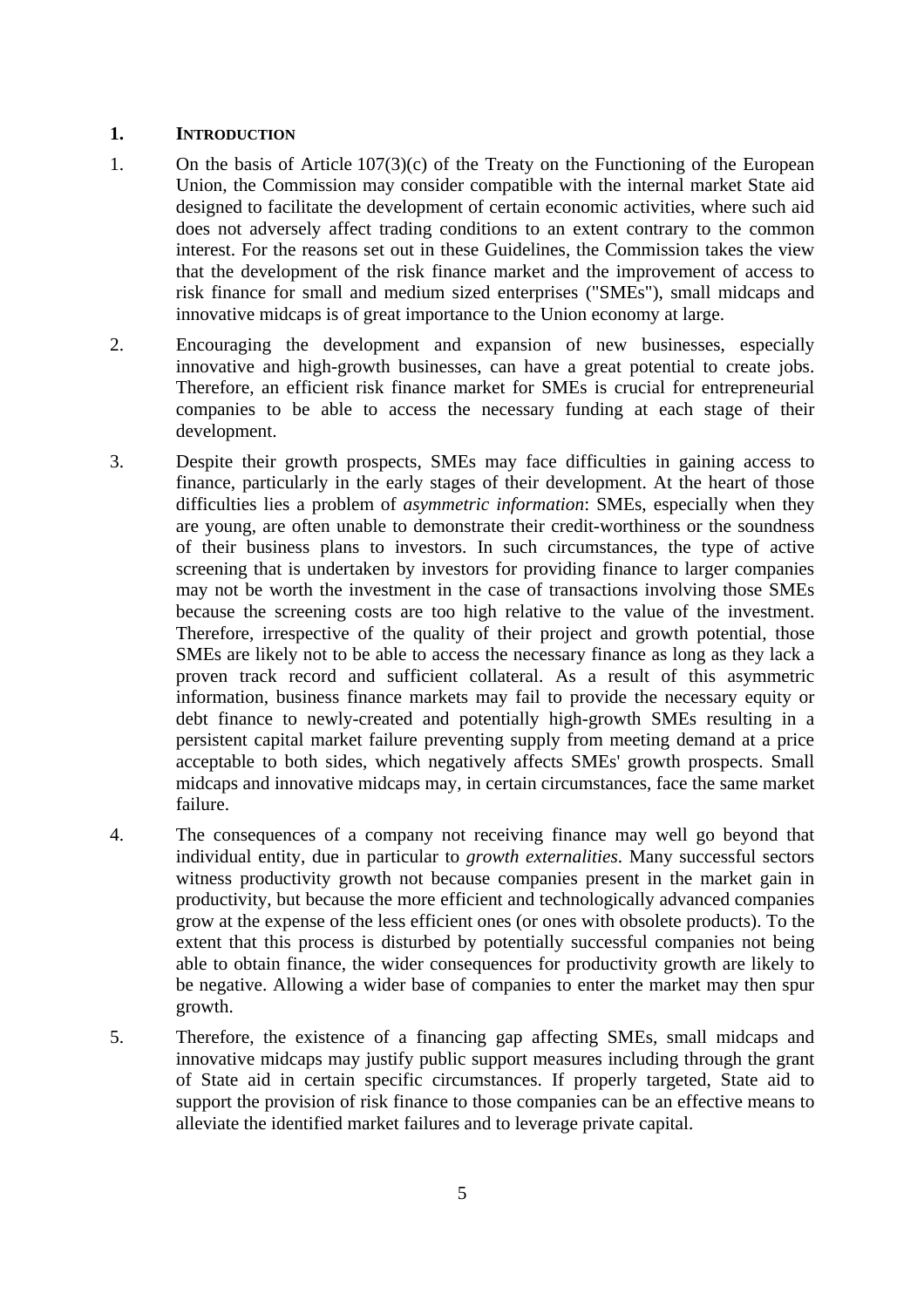#### **1. INTRODUCTION**

- 1. On the basis of Article 107(3)(c) of the Treaty on the Functioning of the European Union, the Commission may consider compatible with the internal market State aid designed to facilitate the development of certain economic activities, where such aid does not adversely affect trading conditions to an extent contrary to the common interest. For the reasons set out in these Guidelines, the Commission takes the view that the development of the risk finance market and the improvement of access to risk finance for small and medium sized enterprises ("SMEs"), small midcaps and innovative midcaps is of great importance to the Union economy at large.
- 2. Encouraging the development and expansion of new businesses, especially innovative and high-growth businesses, can have a great potential to create jobs. Therefore, an efficient risk finance market for SMEs is crucial for entrepreneurial companies to be able to access the necessary funding at each stage of their development.
- 3. Despite their growth prospects, SMEs may face difficulties in gaining access to finance, particularly in the early stages of their development. At the heart of those difficulties lies a problem of *asymmetric information*: SMEs, especially when they are young, are often unable to demonstrate their credit-worthiness or the soundness of their business plans to investors. In such circumstances, the type of active screening that is undertaken by investors for providing finance to larger companies may not be worth the investment in the case of transactions involving those SMEs because the screening costs are too high relative to the value of the investment. Therefore, irrespective of the quality of their project and growth potential, those SMEs are likely not to be able to access the necessary finance as long as they lack a proven track record and sufficient collateral. As a result of this asymmetric information, business finance markets may fail to provide the necessary equity or debt finance to newly-created and potentially high-growth SMEs resulting in a persistent capital market failure preventing supply from meeting demand at a price acceptable to both sides, which negatively affects SMEs' growth prospects. Small midcaps and innovative midcaps may, in certain circumstances, face the same market failure.
- <span id="page-4-0"></span>4. The consequences of a company not receiving finance may well go beyond that individual entity, due in particular to *growth externalities*. Many successful sectors witness productivity growth not because companies present in the market gain in productivity, but because the more efficient and technologically advanced companies grow at the expense of the less efficient ones (or ones with obsolete products). To the extent that this process is disturbed by potentially successful companies not being able to obtain finance, the wider consequences for productivity growth are likely to be negative. Allowing a wider base of companies to enter the market may then spur growth.
- 5. Therefore, the existence of a financing gap affecting SMEs, small midcaps and innovative midcaps may justify public support measures including through the grant of State aid in certain specific circumstances. If properly targeted, State aid to support the provision of risk finance to those companies can be an effective means to alleviate the identified market failures and to leverage private capital.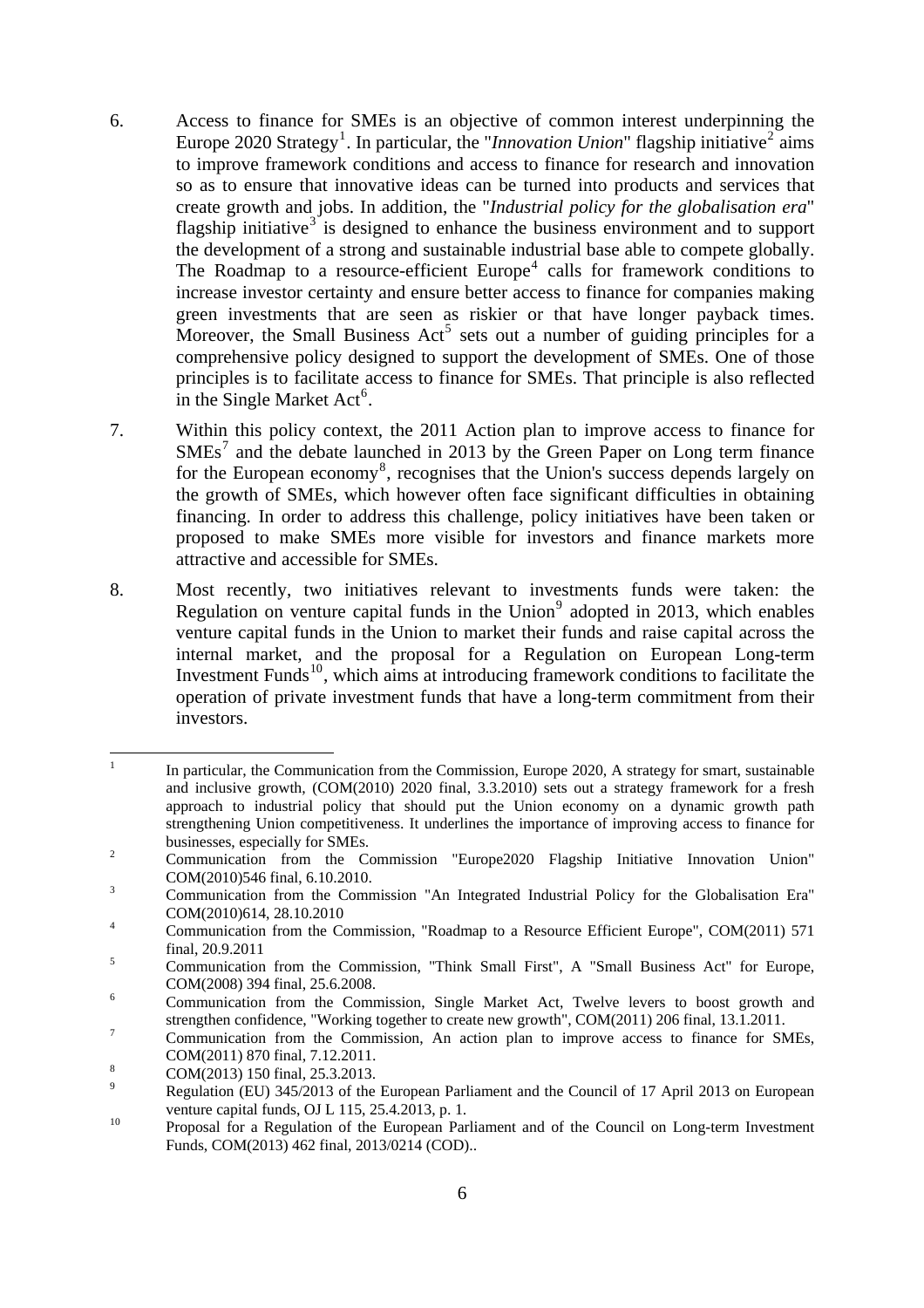- 6. Access to finance for SMEs is an objective of common interest underpinning the Europe 2020 Strategy<sup>[1](#page-5-0)</sup>. In particular, the "*Innovation Union*" flagship initiative<sup>[2](#page-5-1)</sup> aims to improve framework conditions and access to finance for research and innovation so as to ensure that innovative ideas can be turned into products and services that create growth and jobs. In addition, the "*Industrial policy for the globalisation era*" flagship initiative<sup>[3](#page-5-2)</sup> is designed to enhance the business environment and to support the development of a strong and sustainable industrial base able to compete globally. The Roadmap to a resource-efficient  $Europe<sup>4</sup>$  $Europe<sup>4</sup>$  $Europe<sup>4</sup>$  calls for framework conditions to increase investor certainty and ensure better access to finance for companies making green investments that are seen as riskier or that have longer payback times. Moreover, the Small Business  $Act^5$  $Act^5$  sets out a number of guiding principles for a comprehensive policy designed to support the development of SMEs. One of those principles is to facilitate access to finance for SMEs. That principle is also reflected in the Single Market  $Act^6$  $Act^6$ .
- 7. Within this policy context, the 2011 Action plan to improve access to finance for SMEs<sup>[7](#page-5-6)</sup> and the debate launched in 2013 by the Green Paper on Long term finance for the European economy<sup>[8](#page-5-7)</sup>, recognises that the Union's success depends largely on the growth of SMEs, which however often face significant difficulties in obtaining financing. In order to address this challenge, policy initiatives have been taken or proposed to make SMEs more visible for investors and finance markets more attractive and accessible for SMEs.
- 8. Most recently, two initiatives relevant to investments funds were taken: the Regulation on venture capital funds in the Union<sup>[9](#page-5-8)</sup> adopted in 2013, which enables venture capital funds in the Union to market their funds and raise capital across the internal market, and the proposal for a Regulation on European Long-term Investment Funds<sup>[10](#page-5-9)</sup>, which aims at introducing framework conditions to facilitate the operation of private investment funds that have a long-term commitment from their investors.

<span id="page-5-0"></span> $\frac{1}{1}$  In particular, the Communication from the Commission, Europe 2020, A strategy for smart, sustainable and inclusive growth, (COM(2010) 2020 final, 3.3.2010) sets out a strategy framework for a fresh approach to industrial policy that should put the Union economy on a dynamic growth path strengthening Union competitiveness. It underlines the importance of improving access to finance for businesses, especially for SMEs.<br>
<sup>2</sup> Communication from the C

<span id="page-5-1"></span>Communication from the Commission "Europe2020 Flagship Initiative Innovation Union"  $COM(2010)546$  final, 6.10.2010.

<span id="page-5-2"></span>Communication from the Commission "An Integrated Industrial Policy for the Globalisation Era"  $COM(2010)614, 28.10.2010$ 

<span id="page-5-3"></span>Communication from the Commission, "Roadmap to a Resource Efficient Europe", COM(2011) 571  $5 \t \text{final}, 20.9.2011$ 

<span id="page-5-4"></span>Communication from the Commission, "Think Small First", A "Small Business Act" for Europe,  $COM(2008)$  394 final, 25.6.2008.

<span id="page-5-5"></span>Communication from the Commission, Single Market Act, Twelve levers to boost growth and strengthen confidence, "Working together to create new growth", COM(2011) 206 final, 13.1.2011.

<span id="page-5-6"></span>Communication from the Commission, An action plan to improve access to finance for SMEs,  $COM(2011) 870$  final,  $7.12.2011$ .

COM(2013) 150 final, 25.3.2013.

<span id="page-5-8"></span><span id="page-5-7"></span><sup>9</sup> Regulation (EU) 345/2013 of the European Parliament and the Council of 17 April 2013 on European venture capital funds, OJ L 115, 25.4.2013, p. 1.<br>
<sup>10</sup> Proposal for a Regulation of the European Parliament and of the Council on Long-term Investment

<span id="page-5-9"></span>Funds, COM(2013) 462 final, 2013/0214 (COD)..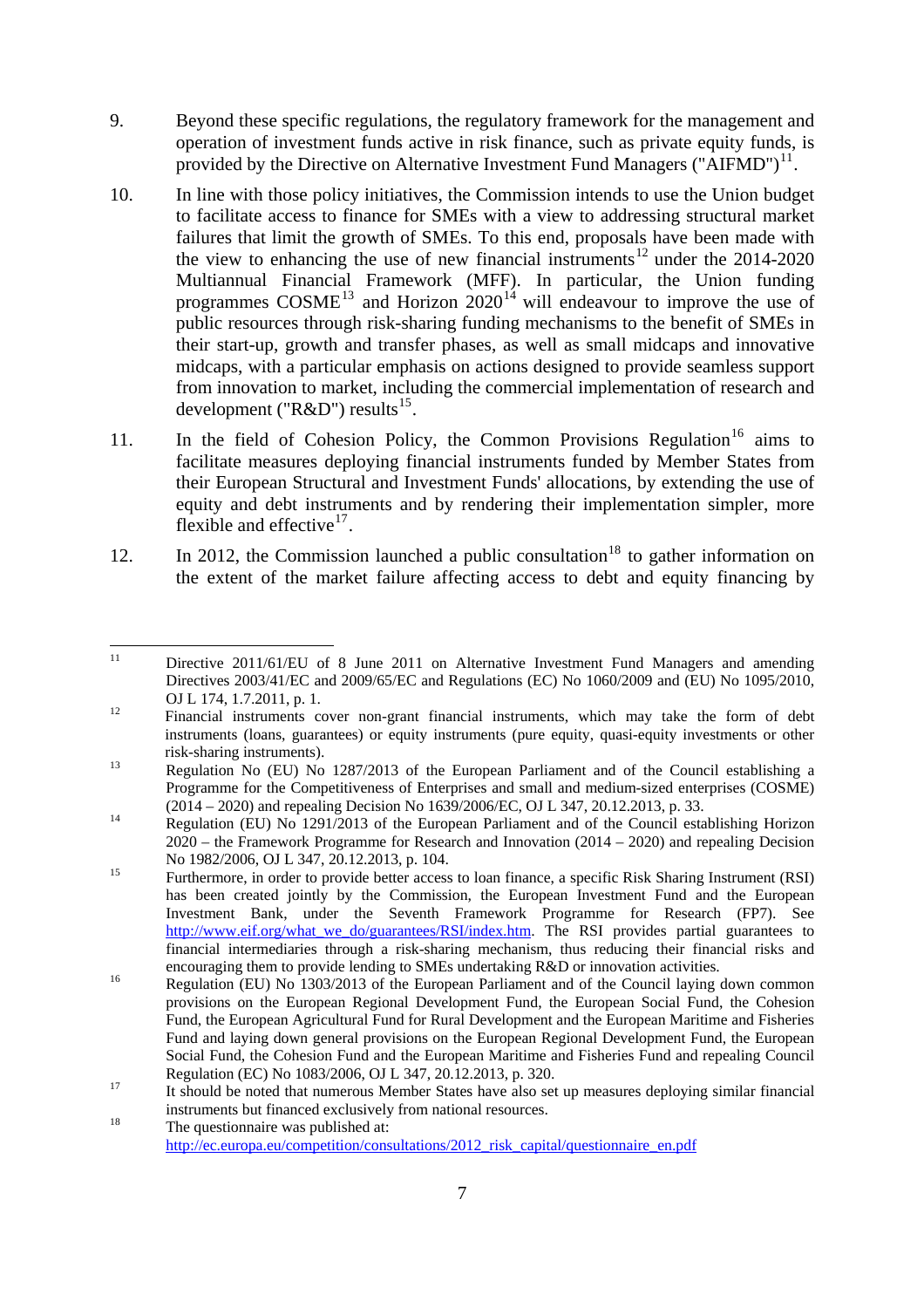- 9. Beyond these specific regulations, the regulatory framework for the management and operation of investment funds active in risk finance, such as private equity funds, is provided by the Directive on Alternative Investment Fund Managers ("AIFMD")<sup>[11](#page-6-0)</sup>.
- 10. In line with those policy initiatives, the Commission intends to use the Union budget to facilitate access to finance for SMEs with a view to addressing structural market failures that limit the growth of SMEs. To this end, proposals have been made with the view to enhancing the use of new financial instruments<sup>[12](#page-6-1)</sup> under the  $2014-2020$ Multiannual Financial Framework (MFF). In particular, the Union funding programmes  $COSME<sup>13</sup>$  $COSME<sup>13</sup>$  $COSME<sup>13</sup>$  and Horizon  $2020<sup>14</sup>$  $2020<sup>14</sup>$  $2020<sup>14</sup>$  will endeavour to improve the use of public resources through risk-sharing funding mechanisms to the benefit of SMEs in their start-up, growth and transfer phases, as well as small midcaps and innovative midcaps, with a particular emphasis on actions designed to provide seamless support from innovation to market, including the commercial implementation of research and development (" $R&D$ ") results<sup>[15](#page-6-4)</sup>.
- 11. In the field of Cohesion Policy, the Common Provisions Regulation<sup>[16](#page-6-5)</sup> aims to facilitate measures deploying financial instruments funded by Member States from their European Structural and Investment Funds' allocations, by extending the use of equity and debt instruments and by rendering their implementation simpler, more flexible and effective $17$ .
- 12. In 2012, the Commission launched a public consultation<sup>[18](#page-6-7)</sup> to gather information on the extent of the market failure affecting access to debt and equity financing by

<span id="page-6-0"></span> $11$ 11 Directive 2011/61/EU of 8 June 2011 on Alternative Investment Fund Managers and amending Directives 2003/41/EC and 2009/65/EC and Regulations (EC) No 1060/2009 and (EU) No 1095/2010, OJ L 174, 1.7.2011, p. 1.<br>
Financial instruments cover non-grant financial instruments, which may take the form of debt

<span id="page-6-1"></span>instruments (loans, guarantees) or equity instruments (pure equity, quasi-equity investments or other risk-sharing instruments). 13 Regulation No (EU) No 1287/2013 of the European Parliament and of the Council establishing a

<span id="page-6-2"></span>Programme for the Competitiveness of Enterprises and small and medium-sized enterprises (COSME) (2014 – 2020) and repealing Decision No 1639/2006/EC, OJ L 347, 20.12.2013, p. 33.<br>Regulation (EU) No 1291/2013 of the European Parliament and of the Council establishing Horizon

<span id="page-6-3"></span><sup>2020 –</sup> the Framework Programme for Research and Innovation (2014 – 2020) and repealing Decision No 1982/2006, OJ L 347, 20.12.2013, p. 104.<br>
Furthermore, in order to provide better access to loan finance, a specific Risk Sharing Instrument (RSI)

<span id="page-6-4"></span>has been created jointly by the Commission, the European Investment Fund and the European Investment Bank, under the Seventh Framework Programme for Research (FP7). See [http://www.eif.org/what\\_we\\_do/guarantees/RSI/index.htm.](http://www.eif.org/what_we_do/guarantees/RSI/index.htm) The RSI provides partial guarantees to financial intermediaries through a risk-sharing mechanism, thus reducing their financial risks and

<span id="page-6-5"></span>encouraging them to provide lending to SMEs undertaking R&D or innovation activities.<br>Regulation (EU) No 1303/2013 of the European Parliament and of the Council laying down common provisions on the European Regional Development Fund, the European Social Fund, the Cohesion Fund, the European Agricultural Fund for Rural Development and the European Maritime and Fisheries Fund and laying down general provisions on the European Regional Development Fund, the European Social Fund, the Cohesion Fund and the European Maritime and Fisheries Fund and repealing Council Regulation (EC) No 1083/2006, OJ L 347, 20.12.2013, p. 320.<br>It should be noted that numerous Member States have also set up measures deploying similar financial

<span id="page-6-6"></span>instruments but financed exclusively from national resources.<br>The questionnaire was published at:

<span id="page-6-7"></span>[http://ec.europa.eu/competition/consultations/2012\\_risk\\_capital/questionnaire\\_en.pdf](http://ec.europa.eu/competition/consultations/2012_risk_capital/questionnaire_en.pdf)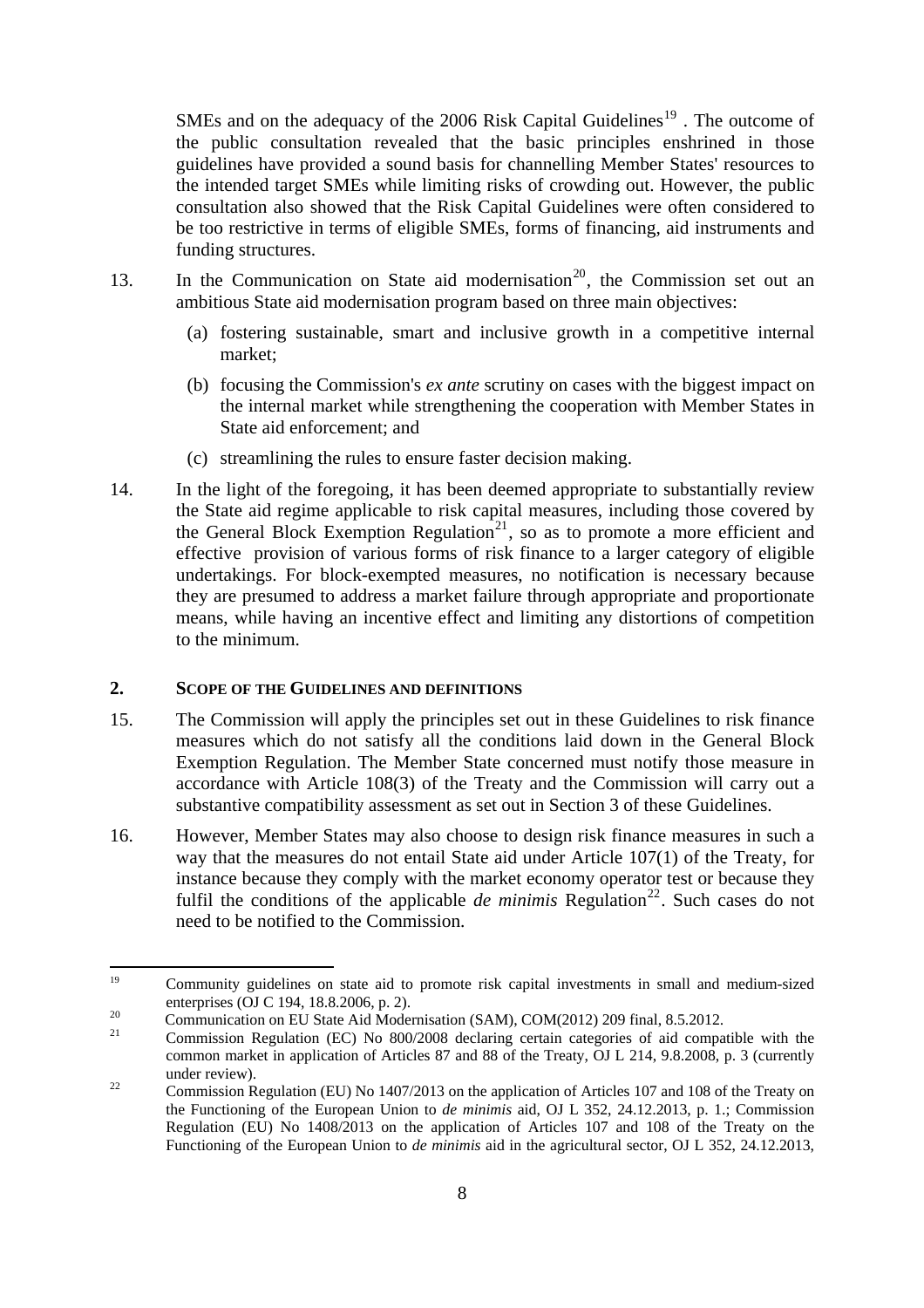SMEs and on the adequacy of the 2006 Risk Capital Guidelines<sup>[19](#page-7-1)</sup>. The outcome of the public consultation revealed that the basic principles enshrined in those guidelines have provided a sound basis for channelling Member States' resources to the intended target SMEs while limiting risks of crowding out. However, the public consultation also showed that the Risk Capital Guidelines were often considered to be too restrictive in terms of eligible SMEs, forms of financing, aid instruments and funding structures.

- 13. In the Communication on State aid modernisation<sup>[20](#page-7-2)</sup>, the Commission set out an ambitious State aid modernisation program based on three main objectives:
	- (a) fostering sustainable, smart and inclusive growth in a competitive internal market;
	- (b) focusing the Commission's *ex ante* scrutiny on cases with the biggest impact on the internal market while strengthening the cooperation with Member States in State aid enforcement; and
	- (c) streamlining the rules to ensure faster decision making.
- 14. In the light of the foregoing, it has been deemed appropriate to substantially review the State aid regime applicable to risk capital measures, including those covered by the General Block Exemption Regulation<sup>[21](#page-7-3)</sup>, so as to promote a more efficient and effective provision of various forms of risk finance to a larger category of eligible undertakings. For block-exempted measures, no notification is necessary because they are presumed to address a market failure through appropriate and proportionate means, while having an incentive effect and limiting any distortions of competition to the minimum.

## <span id="page-7-0"></span>**2. SCOPE OF THE GUIDELINES AND DEFINITIONS**

- 15. The Commission will apply the principles set out in these Guidelines to risk finance measures which do not satisfy all the conditions laid down in the General Block Exemption Regulation. The Member State concerned must notify those measure in accordance with Article 108(3) of the Treaty and the Commission will carry out a substantive compatibility assessment as set out in Section 3 of these Guidelines.
- 16. However, Member States may also choose to design risk finance measures in such a way that the measures do not entail State aid under Article 107(1) of the Treaty, for instance because they comply with the market economy operator test or because they fulfil the conditions of the applicable *de minimis* Regulation<sup>[22](#page-7-4)</sup>. Such cases do not need to be notified to the Commission.

<span id="page-7-1"></span><sup>19</sup> 19 Community guidelines on state aid to promote risk capital investments in small and medium-sized

<span id="page-7-2"></span>enterprises (OJ C 194, 18.8.2006, p. 2).<br>
20 Communication on EU State Aid Modernisation (SAM), COM(2012) 209 final, 8.5.2012.

<span id="page-7-3"></span><sup>21</sup> Commission Regulation (EC) No 800/2008 declaring certain categories of aid compatible with the common market in application of Articles 87 and 88 of the Treaty, OJ L 214, 9.8.2008, p. 3 (currently

<span id="page-7-4"></span><sup>22</sup> under review).<br>
22 Commission Regulation (EU) No 1407/2013 on the application of Articles 107 and 108 of the Treaty on the Functioning of the European Union to *de minimis* aid, OJ L 352, 24.12.2013, p. 1.; Commission Regulation (EU) No 1408/2013 on the application of Articles 107 and 108 of the Treaty on the Functioning of the European Union to *de minimis* aid in the agricultural sector, OJ L 352, 24.12.2013,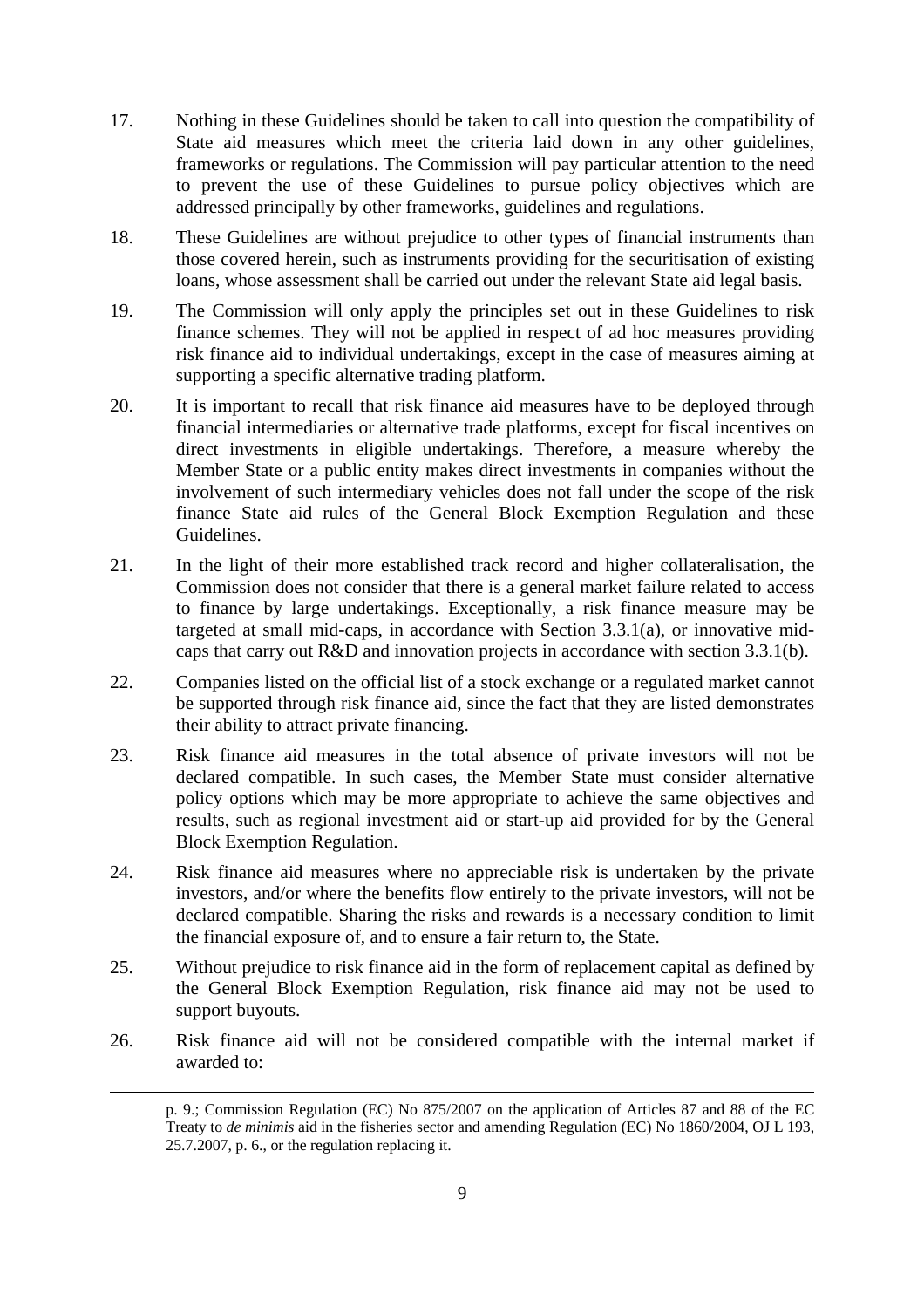- 17. Nothing in these Guidelines should be taken to call into question the compatibility of State aid measures which meet the criteria laid down in any other guidelines, frameworks or regulations. The Commission will pay particular attention to the need to prevent the use of these Guidelines to pursue policy objectives which are addressed principally by other frameworks, guidelines and regulations.
- 18. These Guidelines are without prejudice to other types of financial instruments than those covered herein, such as instruments providing for the securitisation of existing loans, whose assessment shall be carried out under the relevant State aid legal basis.
- 19. The Commission will only apply the principles set out in these Guidelines to risk finance schemes. They will not be applied in respect of ad hoc measures providing risk finance aid to individual undertakings, except in the case of measures aiming at supporting a specific alternative trading platform.
- 20. It is important to recall that risk finance aid measures have to be deployed through financial intermediaries or alternative trade platforms, except for fiscal incentives on direct investments in eligible undertakings. Therefore, a measure whereby the Member State or a public entity makes direct investments in companies without the involvement of such intermediary vehicles does not fall under the scope of the risk finance State aid rules of the General Block Exemption Regulation and these Guidelines.
- 21. In the light of their more established track record and higher collateralisation, the Commission does not consider that there is a general market failure related to access to finance by large undertakings. Exceptionally, a risk finance measure may be targeted at small mid-caps, in accordance with Section 3.3.1(a), or innovative midcaps that carry out R&D and innovation projects in accordance with section 3.3.1(b).
- 22. Companies listed on the official list of a stock exchange or a regulated market cannot be supported through risk finance aid, since the fact that they are listed demonstrates their ability to attract private financing.
- 23. Risk finance aid measures in the total absence of private investors will not be declared compatible. In such cases, the Member State must consider alternative policy options which may be more appropriate to achieve the same objectives and results, such as regional investment aid or start-up aid provided for by the General Block Exemption Regulation.
- 24. Risk finance aid measures where no appreciable risk is undertaken by the private investors, and/or where the benefits flow entirely to the private investors, will not be declared compatible. Sharing the risks and rewards is a necessary condition to limit the financial exposure of, and to ensure a fair return to, the State.
- 25. Without prejudice to risk finance aid in the form of replacement capital as defined by the General Block Exemption Regulation, risk finance aid may not be used to support buyouts.
- 26. Risk finance aid will not be considered compatible with the internal market if awarded to:

**.** 

p. 9.; Commission Regulation (EC) No 875/2007 on the application of Articles 87 and 88 of the EC Treaty to *de minimis* aid in the fisheries sector and amending Regulation (EC) No 1860/2004, OJ L 193, 25.7.2007, p. 6., or the regulation replacing it.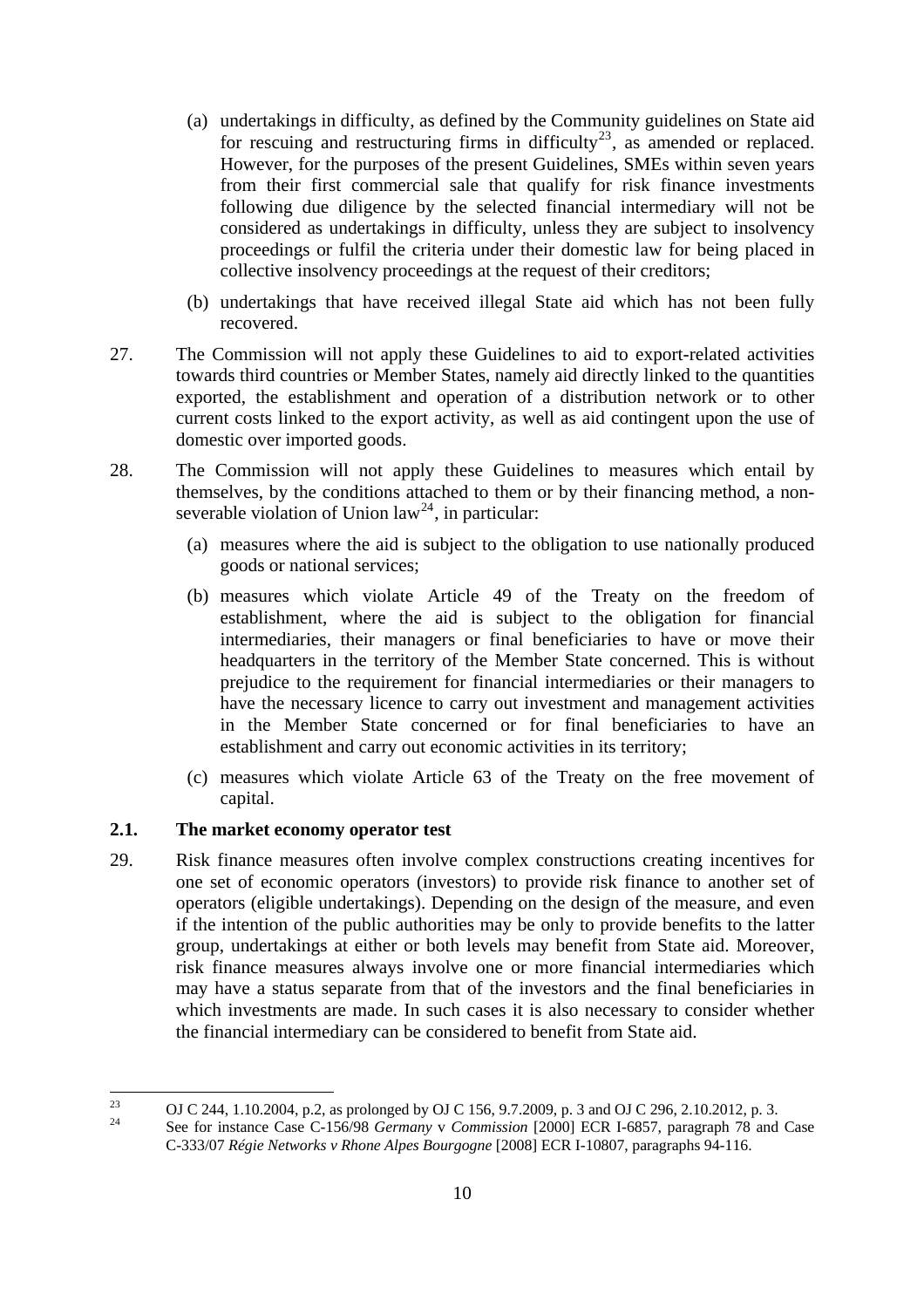- (a) undertakings in difficulty, as defined by the Community guidelines on State aid for rescuing and restructuring firms in difficulty<sup>[23](#page-9-1)</sup>, as amended or replaced. However, for the purposes of the present Guidelines, SMEs within seven years from their first commercial sale that qualify for risk finance investments following due diligence by the selected financial intermediary will not be considered as undertakings in difficulty, unless they are subject to insolvency proceedings or fulfil the criteria under their domestic law for being placed in collective insolvency proceedings at the request of their creditors;
- (b) undertakings that have received illegal State aid which has not been fully recovered.
- 27. The Commission will not apply these Guidelines to aid to export-related activities towards third countries or Member States, namely aid directly linked to the quantities exported, the establishment and operation of a distribution network or to other current costs linked to the export activity, as well as aid contingent upon the use of domestic over imported goods.
- 28. The Commission will not apply these Guidelines to measures which entail by themselves, by the conditions attached to them or by their financing method, a non-severable violation of Union law<sup>[24](#page-9-2)</sup>, in particular:
	- (a) measures where the aid is subject to the obligation to use nationally produced goods or national services;
	- (b) measures which violate Article 49 of the Treaty on the freedom of establishment, where the aid is subject to the obligation for financial intermediaries, their managers or final beneficiaries to have or move their headquarters in the territory of the Member State concerned. This is without prejudice to the requirement for financial intermediaries or their managers to have the necessary licence to carry out investment and management activities in the Member State concerned or for final beneficiaries to have an establishment and carry out economic activities in its territory;
	- (c) measures which violate Article 63 of the Treaty on the free movement of capital.

## <span id="page-9-0"></span>**2.1. The market economy operator test**

29. Risk finance measures often involve complex constructions creating incentives for one set of economic operators (investors) to provide risk finance to another set of operators (eligible undertakings). Depending on the design of the measure, and even if the intention of the public authorities may be only to provide benefits to the latter group, undertakings at either or both levels may benefit from State aid. Moreover, risk finance measures always involve one or more financial intermediaries which may have a status separate from that of the investors and the final beneficiaries in which investments are made. In such cases it is also necessary to consider whether the financial intermediary can be considered to benefit from State aid.

<span id="page-9-1"></span><sup>23</sup> <sup>23</sup> OJ C 244, 1.10.2004, p.2, as prolonged by OJ C 156, 9.7.2009, p. 3 and OJ C 296, 2.10.2012, p. 3.<br><sup>24</sup>

<span id="page-9-2"></span><sup>24</sup> See for instance Case C-156/98 *Germany* v *Commission* [2000] ECR I-6857, paragraph 78 and Case C-333/07 *Régie Networks v Rhone Alpes Bourgogne* [2008] ECR I-10807, paragraphs 94-116.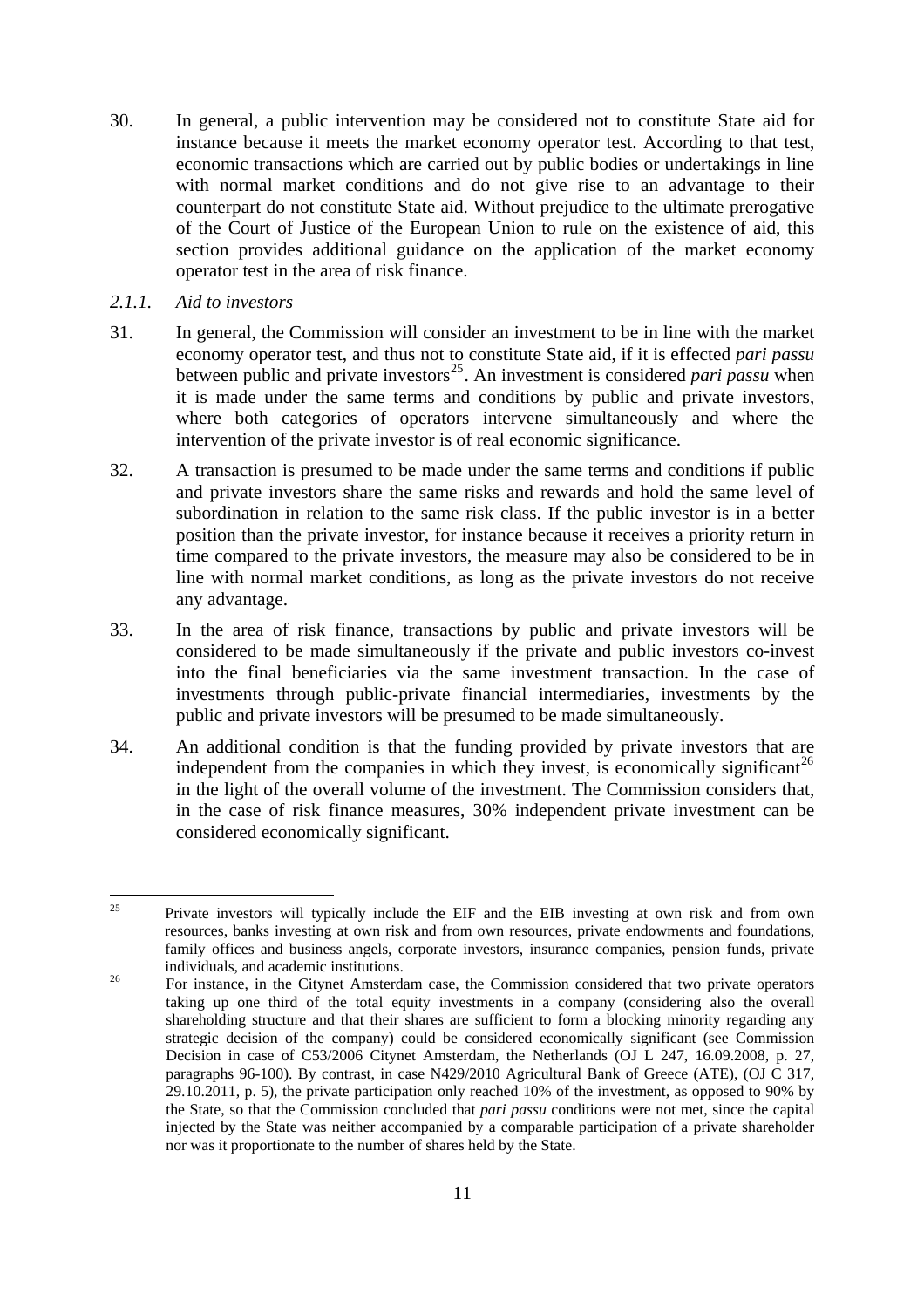- 30. In general, a public intervention may be considered not to constitute State aid for instance because it meets the market economy operator test. According to that test, economic transactions which are carried out by public bodies or undertakings in line with normal market conditions and do not give rise to an advantage to their counterpart do not constitute State aid. Without prejudice to the ultimate prerogative of the Court of Justice of the European Union to rule on the existence of aid, this section provides additional guidance on the application of the market economy operator test in the area of risk finance.
- <span id="page-10-0"></span>*2.1.1. Aid to investors*
- 31. In general, the Commission will consider an investment to be in line with the market economy operator test, and thus not to constitute State aid, if it is effected *pari passu* between public and private investors<sup>[25](#page-10-1)</sup>. An investment is considered *pari passu* when it is made under the same terms and conditions by public and private investors, where both categories of operators intervene simultaneously and where the intervention of the private investor is of real economic significance.
- 32. A transaction is presumed to be made under the same terms and conditions if public and private investors share the same risks and rewards and hold the same level of subordination in relation to the same risk class. If the public investor is in a better position than the private investor, for instance because it receives a priority return in time compared to the private investors, the measure may also be considered to be in line with normal market conditions, as long as the private investors do not receive any advantage.
- 33. In the area of risk finance, transactions by public and private investors will be considered to be made simultaneously if the private and public investors co-invest into the final beneficiaries via the same investment transaction. In the case of investments through public-private financial intermediaries, investments by the public and private investors will be presumed to be made simultaneously.
- 34. An additional condition is that the funding provided by private investors that are independent from the companies in which they invest, is economically significant<sup>[26](#page-10-2)</sup> in the light of the overall volume of the investment. The Commission considers that, in the case of risk finance measures, 30% independent private investment can be considered economically significant.

<span id="page-10-1"></span> $25$ <sup>25</sup> Private investors will typically include the EIF and the EIB investing at own risk and from own resources, banks investing at own risk and from own resources, private endowments and foundations, family offices and business angels, corporate investors, insurance companies, pension funds, private individuals, and academic institutions.<br><sup>26</sup> For instance, in the Citynet Amsterdam case, the Commission considered that two private operators

<span id="page-10-2"></span>taking up one third of the total equity investments in a company (considering also the overall shareholding structure and that their shares are sufficient to form a blocking minority regarding any strategic decision of the company) could be considered economically significant (see Commission Decision in case of C53/2006 Citynet Amsterdam, the Netherlands (OJ L 247, 16.09.2008, p. 27, paragraphs 96-100). By contrast, in case N429/2010 Agricultural Bank of Greece (ATE), (OJ C 317, 29.10.2011, p. 5), the private participation only reached 10% of the investment, as opposed to 90% by the State, so that the Commission concluded that *pari passu* conditions were not met, since the capital injected by the State was neither accompanied by a comparable participation of a private shareholder nor was it proportionate to the number of shares held by the State.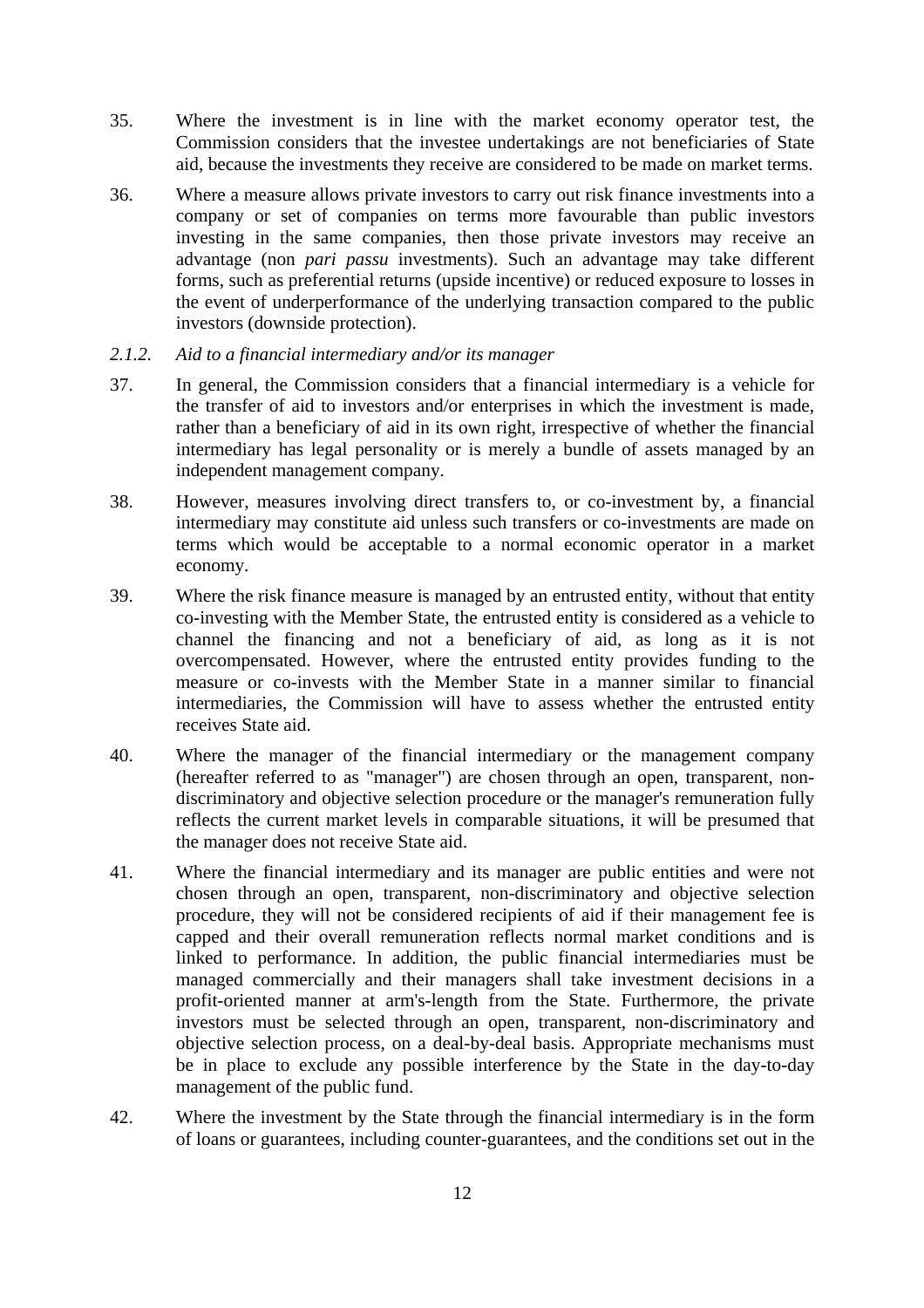- 35. Where the investment is in line with the market economy operator test, the Commission considers that the investee undertakings are not beneficiaries of State aid, because the investments they receive are considered to be made on market terms.
- 36. Where a measure allows private investors to carry out risk finance investments into a company or set of companies on terms more favourable than public investors investing in the same companies, then those private investors may receive an advantage (non *pari passu* investments). Such an advantage may take different forms, such as preferential returns (upside incentive) or reduced exposure to losses in the event of underperformance of the underlying transaction compared to the public investors (downside protection).

#### <span id="page-11-0"></span>*2.1.2. Aid to a financial intermediary and/or its manager*

- 37. In general, the Commission considers that a financial intermediary is a vehicle for the transfer of aid to investors and/or enterprises in which the investment is made, rather than a beneficiary of aid in its own right, irrespective of whether the financial intermediary has legal personality or is merely a bundle of assets managed by an independent management company.
- 38. However, measures involving direct transfers to, or co-investment by, a financial intermediary may constitute aid unless such transfers or co-investments are made on terms which would be acceptable to a normal economic operator in a market economy.
- 39. Where the risk finance measure is managed by an entrusted entity, without that entity co-investing with the Member State, the entrusted entity is considered as a vehicle to channel the financing and not a beneficiary of aid, as long as it is not overcompensated. However, where the entrusted entity provides funding to the measure or co-invests with the Member State in a manner similar to financial intermediaries, the Commission will have to assess whether the entrusted entity receives State aid.
- 40. Where the manager of the financial intermediary or the management company (hereafter referred to as "manager") are chosen through an open, transparent, nondiscriminatory and objective selection procedure or the manager's remuneration fully reflects the current market levels in comparable situations, it will be presumed that the manager does not receive State aid.
- 41. Where the financial intermediary and its manager are public entities and were not chosen through an open, transparent, non-discriminatory and objective selection procedure, they will not be considered recipients of aid if their management fee is capped and their overall remuneration reflects normal market conditions and is linked to performance. In addition, the public financial intermediaries must be managed commercially and their managers shall take investment decisions in a profit-oriented manner at arm's-length from the State. Furthermore, the private investors must be selected through an open, transparent, non-discriminatory and objective selection process, on a deal-by-deal basis. Appropriate mechanisms must be in place to exclude any possible interference by the State in the day-to-day management of the public fund.
- 42. Where the investment by the State through the financial intermediary is in the form of loans or guarantees, including counter-guarantees, and the conditions set out in the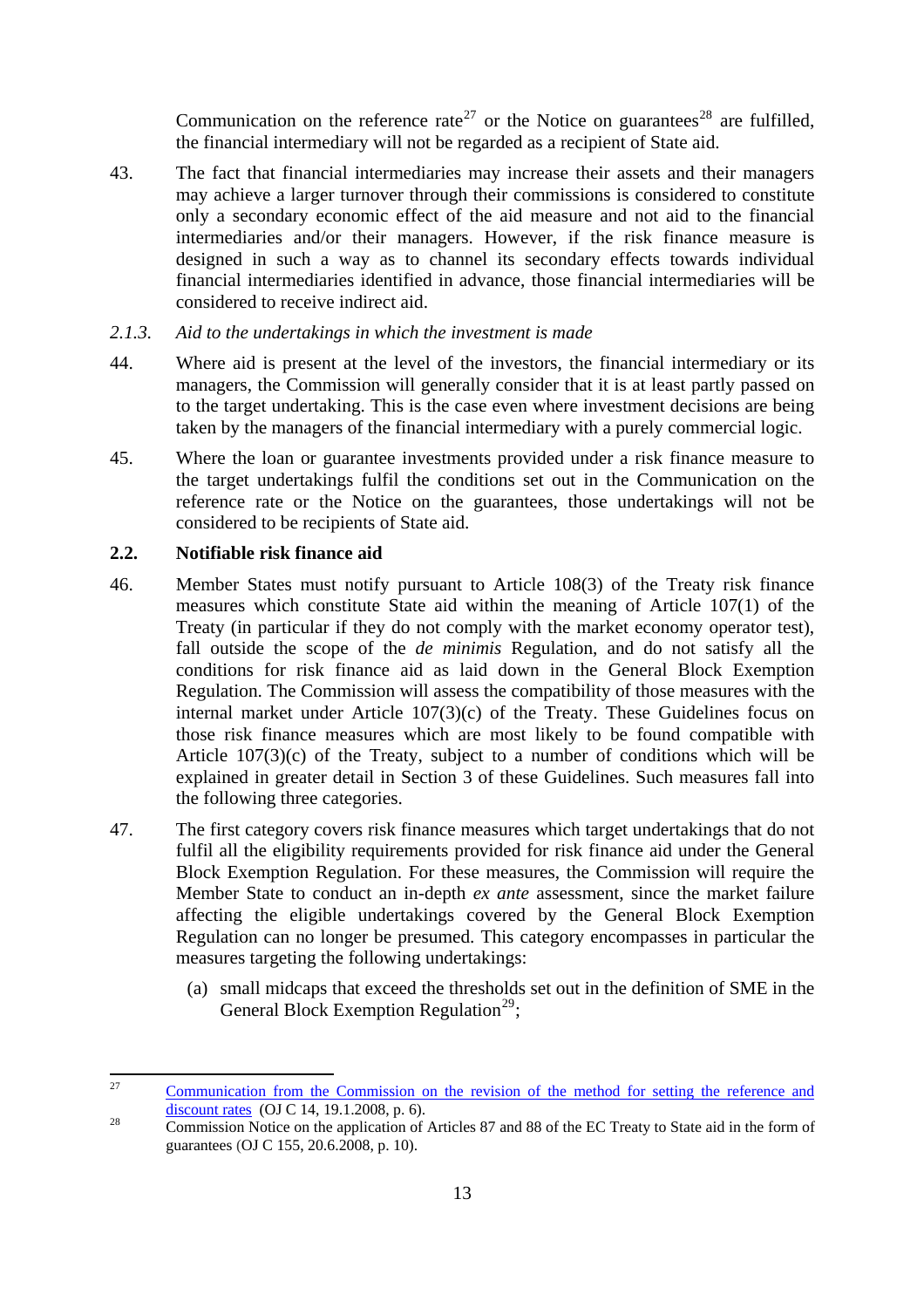the financial intermediary will not be regarded as a recipient of State aid. Communication on the reference rate<sup>[27](#page-12-2)</sup> or the Notice on guarantees<sup>[28](#page-12-3)</sup> are fulfilled,

43. The fact that financial intermediaries may increase their assets and their managers may achieve a larger turnover through their commissions is considered to constitute only a secondary economic effect of the aid measure and not aid to the financial intermediaries and/or their managers. However, if the risk finance measure is designed in such a way as to channel its secondary effects towards individual financial intermediaries identified in advance, those financial intermediaries will be considered to receive indirect aid.

#### <span id="page-12-0"></span>*2.1.3. Aid to the undertakings in which the investment is made*

- 44. Where aid is present at the level of the investors, the financial intermediary or its managers, the Commission will generally consider that it is at least partly passed on to the target undertaking. This is the case even where investment decisions are being taken by the managers of the financial intermediary with a purely commercial logic.
- 45. Where the loan or guarantee investments provided under a risk finance measure to the target undertakings fulfil the conditions set out in the Communication on the reference rate or the Notice on the guarantees, those undertakings will not be considered to be recipients of State aid.

## <span id="page-12-1"></span>**2.2. Notifiable risk finance aid**

- 46. Member States must notify pursuant to Article 108(3) of the Treaty risk finance measures which constitute State aid within the meaning of Article 107(1) of the Treaty (in particular if they do not comply with the market economy operator test), fall outside the scope of the *de minimis* Regulation, and do not satisfy all the conditions for risk finance aid as laid down in the General Block Exemption Regulation. The Commission will assess the compatibility of those measures with the internal market under Article 107(3)(c) of the Treaty. These Guidelines focus on those risk finance measures which are most likely to be found compatible with Article  $107(3)(c)$  of the Treaty, subject to a number of conditions which will be explained in greater detail in Section 3 of these Guidelines. Such measures fall into the following three categories.
- 47. The first category covers risk finance measures which target undertakings that do not fulfil all the eligibility requirements provided for risk finance aid under the General Block Exemption Regulation. For these measures, the Commission will require the Member State to conduct an in-depth *ex ante* assessment, since the market failure affecting the eligible undertakings covered by the General Block Exemption Regulation can no longer be presumed. This category encompasses in particular the measures targeting the following undertakings:
	- (a) small midcaps that exceed the thresholds set out in the definition of SME in the General Block Exemption Regulation<sup>[29](#page-12-4)</sup>;

<span id="page-12-4"></span><span id="page-12-2"></span> $27$ Communication from the Commission on the revision of the method for setting the reference and [discount rates](http://new.eur-lex.europa.eu/legal-content/EN/AUTO/?uri=uriserv:OJ.C_.2008.014.01.0006.01.ENG) (OJ C 14, 19.1.2008, p. 6).<br>
Commission Notice on the application of Articles 87 and 88 of the EC Treaty to State aid in the form of

<span id="page-12-3"></span>[guarantees](http://new.eur-lex.europa.eu/legal-content/EN/AUTO/?uri=uriserv:OJ.C_.2008.155.01.0010.01.ENG) (OJ C 155, 20.6.2008, p. 10).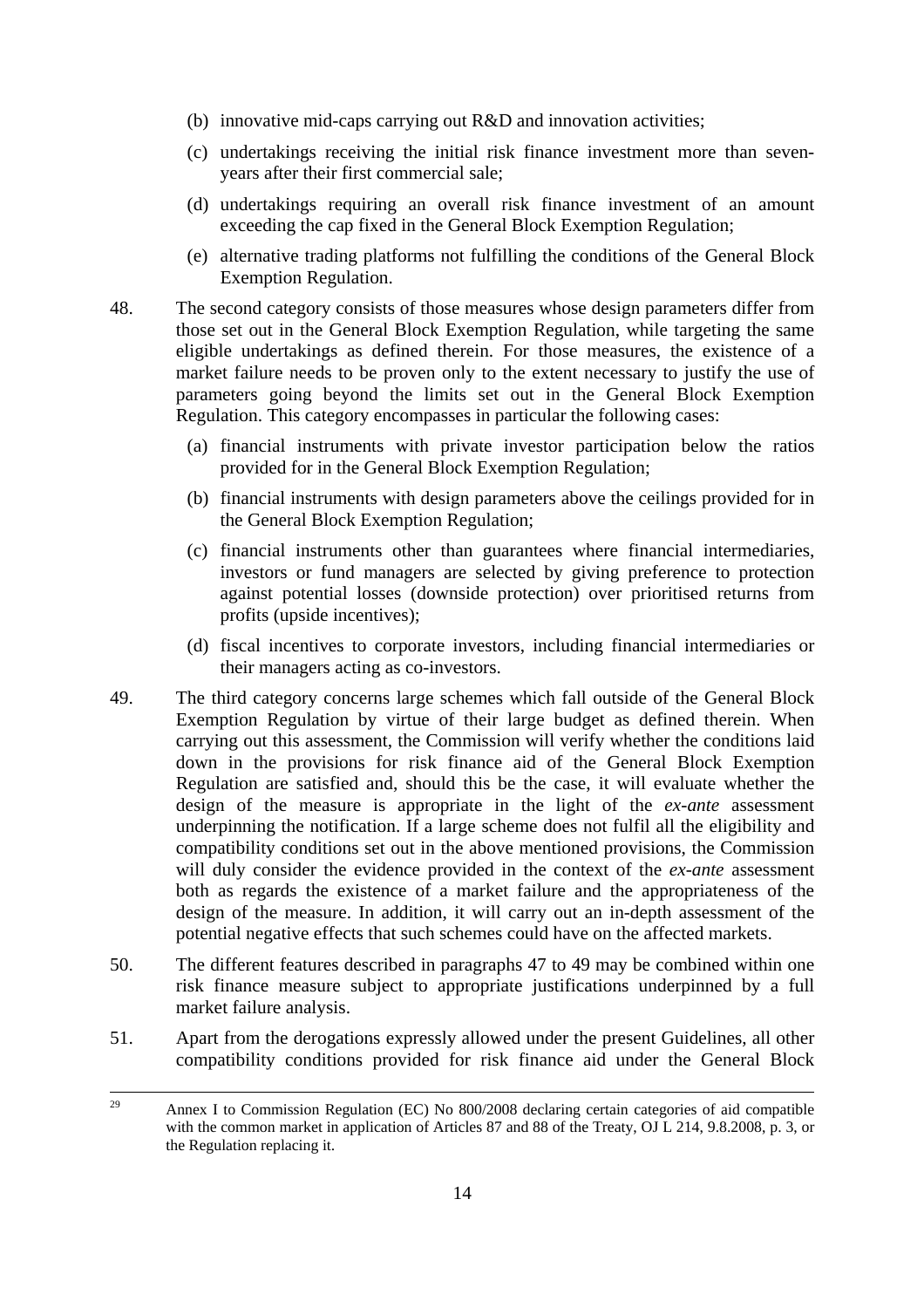- (b) innovative mid-caps carrying out R&D and innovation activities;
- (c) undertakings receiving the initial risk finance investment more than sevenyears after their first commercial sale;
- (d) undertakings requiring an overall risk finance investment of an amount exceeding the cap fixed in the General Block Exemption Regulation;
- (e) alternative trading platforms not fulfilling the conditions of the General Block Exemption Regulation.
- 48. The second category consists of those measures whose design parameters differ from those set out in the General Block Exemption Regulation, while targeting the same eligible undertakings as defined therein. For those measures, the existence of a market failure needs to be proven only to the extent necessary to justify the use of parameters going beyond the limits set out in the General Block Exemption Regulation. This category encompasses in particular the following cases:
	- (a) financial instruments with private investor participation below the ratios provided for in the General Block Exemption Regulation;
	- (b) financial instruments with design parameters above the ceilings provided for in the General Block Exemption Regulation;
	- (c) financial instruments other than guarantees where financial intermediaries, investors or fund managers are selected by giving preference to protection against potential losses (downside protection) over prioritised returns from profits (upside incentives);
	- (d) fiscal incentives to corporate investors, including financial intermediaries or their managers acting as co-investors.
- 49. The third category concerns large schemes which fall outside of the General Block Exemption Regulation by virtue of their large budget as defined therein. When carrying out this assessment, the Commission will verify whether the conditions laid down in the provisions for risk finance aid of the General Block Exemption Regulation are satisfied and, should this be the case, it will evaluate whether the design of the measure is appropriate in the light of the *ex-ante* assessment underpinning the notification. If a large scheme does not fulfil all the eligibility and compatibility conditions set out in the above mentioned provisions, the Commission will duly consider the evidence provided in the context of the *ex-ante* assessment both as regards the existence of a market failure and the appropriateness of the design of the measure. In addition, it will carry out an in-depth assessment of the potential negative effects that such schemes could have on the affected markets.
- 50. The different features described in paragraphs 47 to 49 may be combined within one risk finance measure subject to appropriate justifications underpinned by a full market failure analysis.
- 51. Apart from the derogations expressly allowed under the present Guidelines, all other compatibility conditions provided for risk finance aid under the General Block

<sup>29</sup> 29 Annex I to Commission Regulation (EC) No 800/2008 declaring certain categories of aid compatible with the common market in application of Articles 87 and 88 of the Treaty, OJ L 214, 9.8.2008, p. 3, or the Regulation replacing it.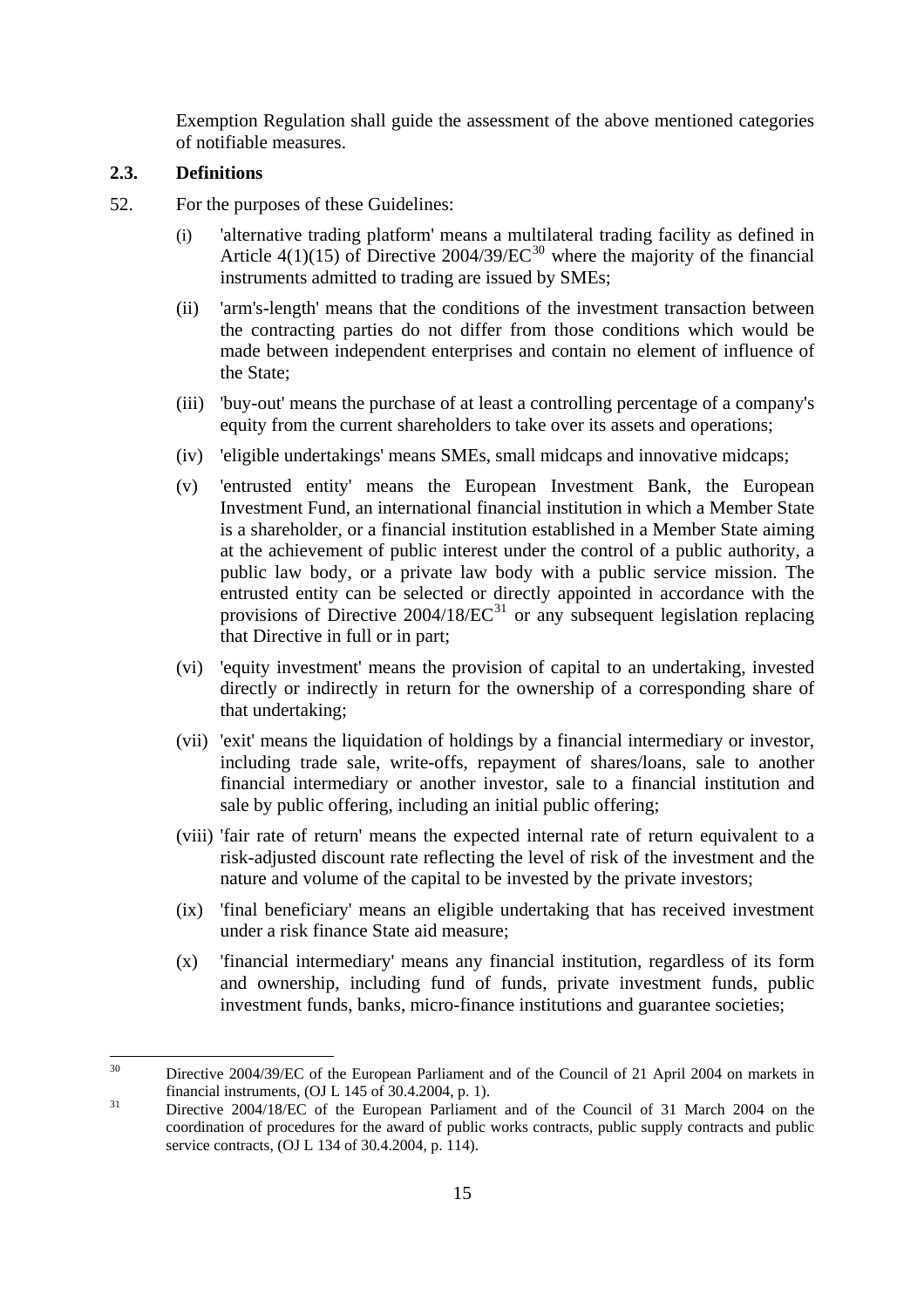Exemption Regulation shall guide the assessment of the above mentioned categories of notifiable measures.

### <span id="page-14-0"></span>**2.3. Definitions**

- 52. For the purposes of these Guidelines:
	- (i) 'alternative trading platform' means a multilateral trading facility as defined in Article 4(1)(15) of Directive 2004/39/EC<sup>[30](#page-14-1)</sup> where the majority of the financial instruments admitted to trading are issued by SMEs;
	- (ii) 'arm's-length' means that the conditions of the investment transaction between the contracting parties do not differ from those conditions which would be made between independent enterprises and contain no element of influence of the State;
	- (iii) 'buy-out' means the purchase of at least a controlling percentage of a company's equity from the current shareholders to take over its assets and operations;
	- (iv) 'eligible undertakings' means SMEs, small midcaps and innovative midcaps;
	- (v) 'entrusted entity' means the European Investment Bank, the European Investment Fund, an international financial institution in which a Member State is a shareholder, or a financial institution established in a Member State aiming at the achievement of public interest under the control of a public authority, a public law body, or a private law body with a public service mission. The entrusted entity can be selected or directly appointed in accordance with the provisions of Directive 2004/18/ $\text{EC}^{31}$  $\text{EC}^{31}$  $\text{EC}^{31}$  or any subsequent legislation replacing that Directive in full or in part;
	- (vi) 'equity investment' means the provision of capital to an undertaking, invested directly or indirectly in return for the ownership of a corresponding share of that undertaking;
	- (vii) 'exit' means the liquidation of holdings by a financial intermediary or investor, including trade sale, write-offs, repayment of shares/loans, sale to another financial intermediary or another investor, sale to a financial institution and sale by public offering, including an initial public offering;
	- (viii) 'fair rate of return' means the expected internal rate of return equivalent to a risk-adjusted discount rate reflecting the level of risk of the investment and the nature and volume of the capital to be invested by the private investors;
	- (ix) 'final beneficiary' means an eligible undertaking that has received investment under a risk finance State aid measure;
	- (x) 'financial intermediary' means any financial institution, regardless of its form and ownership, including fund of funds, private investment funds, public investment funds, banks, micro-finance institutions and guarantee societies;

<span id="page-14-1"></span> $30<sup>2</sup>$ 30 Directive 2004/39/EC of the European Parliament and of the Council of 21 April 2004 on markets in financial instruments, (OJ L 145 of 30.4.2004, p. 1). 31 Directive 2004/18/EC of the European Parliament and of the Council of 31 March 2004 on the

<span id="page-14-2"></span>coordination of procedures for the award of public works contracts, public supply contracts and public service contracts, (OJ L 134 of 30.4.2004, p. 114).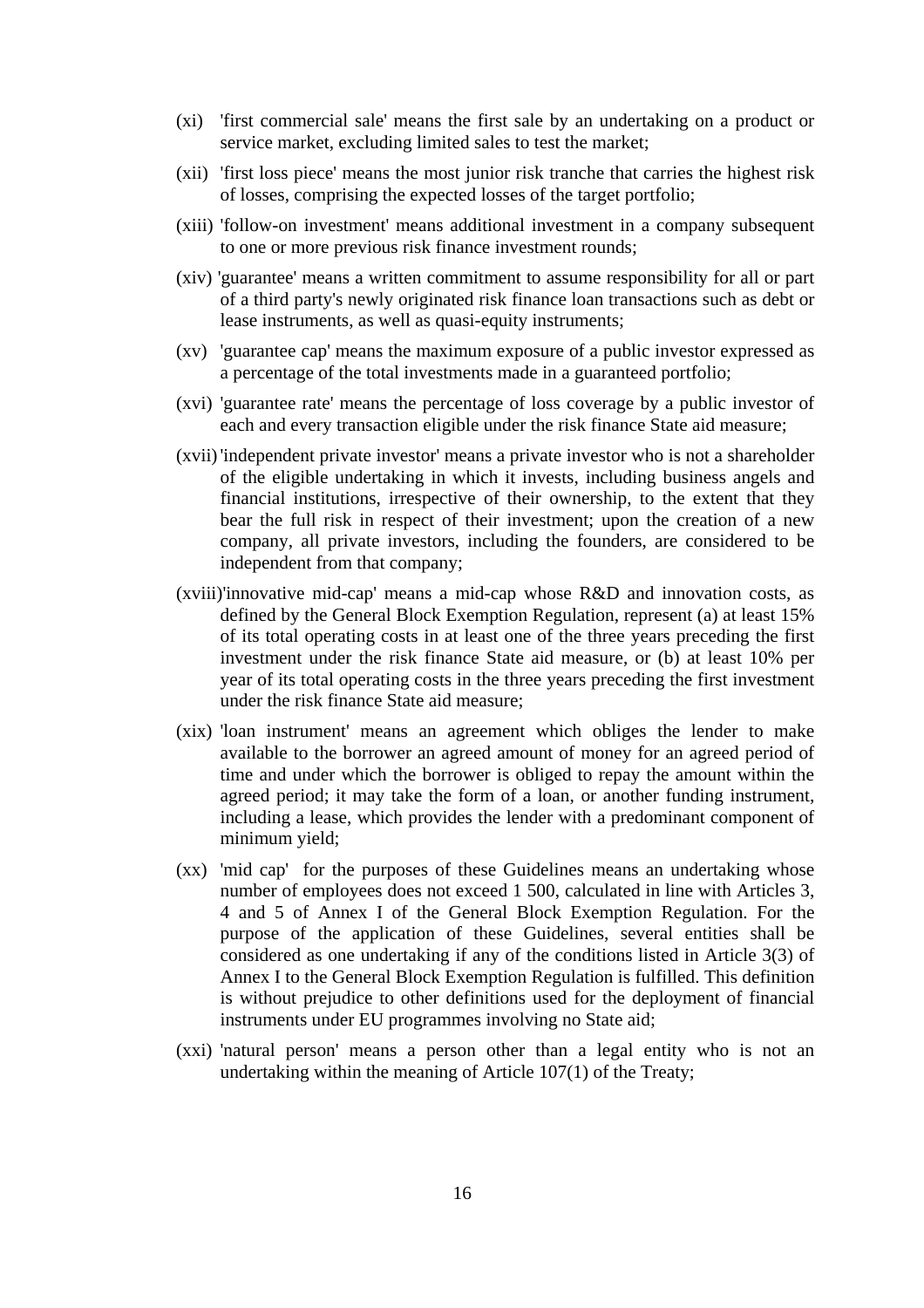- (xi) 'first commercial sale' means the first sale by an undertaking on a product or service market, excluding limited sales to test the market;
- (xii) 'first loss piece' means the most junior risk tranche that carries the highest risk of losses, comprising the expected losses of the target portfolio;
- (xiii) 'follow-on investment' means additional investment in a company subsequent to one or more previous risk finance investment rounds;
- (xiv) 'guarantee' means a written commitment to assume responsibility for all or part of a third party's newly originated risk finance loan transactions such as debt or lease instruments, as well as quasi-equity instruments;
- (xv) 'guarantee cap' means the maximum exposure of a public investor expressed as a percentage of the total investments made in a guaranteed portfolio;
- (xvi) 'guarantee rate' means the percentage of loss coverage by a public investor of each and every transaction eligible under the risk finance State aid measure;
- (xvii) 'independent private investor' means a private investor who is not a shareholder of the eligible undertaking in which it invests, including business angels and financial institutions, irrespective of their ownership, to the extent that they bear the full risk in respect of their investment; upon the creation of a new company, all private investors, including the founders, are considered to be independent from that company;
- (xviii)'innovative mid-cap' means a mid-cap whose R&D and innovation costs, as defined by the General Block Exemption Regulation, represent (a) at least 15% of its total operating costs in at least one of the three years preceding the first investment under the risk finance State aid measure, or (b) at least 10% per year of its total operating costs in the three years preceding the first investment under the risk finance State aid measure;
- (xix) 'loan instrument' means an agreement which obliges the lender to make available to the borrower an agreed amount of money for an agreed period of time and under which the borrower is obliged to repay the amount within the agreed period; it may take the form of a loan, or another funding instrument, including a lease, which provides the lender with a predominant component of minimum yield;
- (xx) 'mid cap' for the purposes of these Guidelines means an undertaking whose number of employees does not exceed 1 500, calculated in line with Articles 3, 4 and 5 of Annex I of the General Block Exemption Regulation. For the purpose of the application of these Guidelines, several entities shall be considered as one undertaking if any of the conditions listed in Article 3(3) of Annex I to the General Block Exemption Regulation is fulfilled. This definition is without prejudice to other definitions used for the deployment of financial instruments under EU programmes involving no State aid;
- (xxi) 'natural person' means a person other than a legal entity who is not an undertaking within the meaning of Article 107(1) of the Treaty;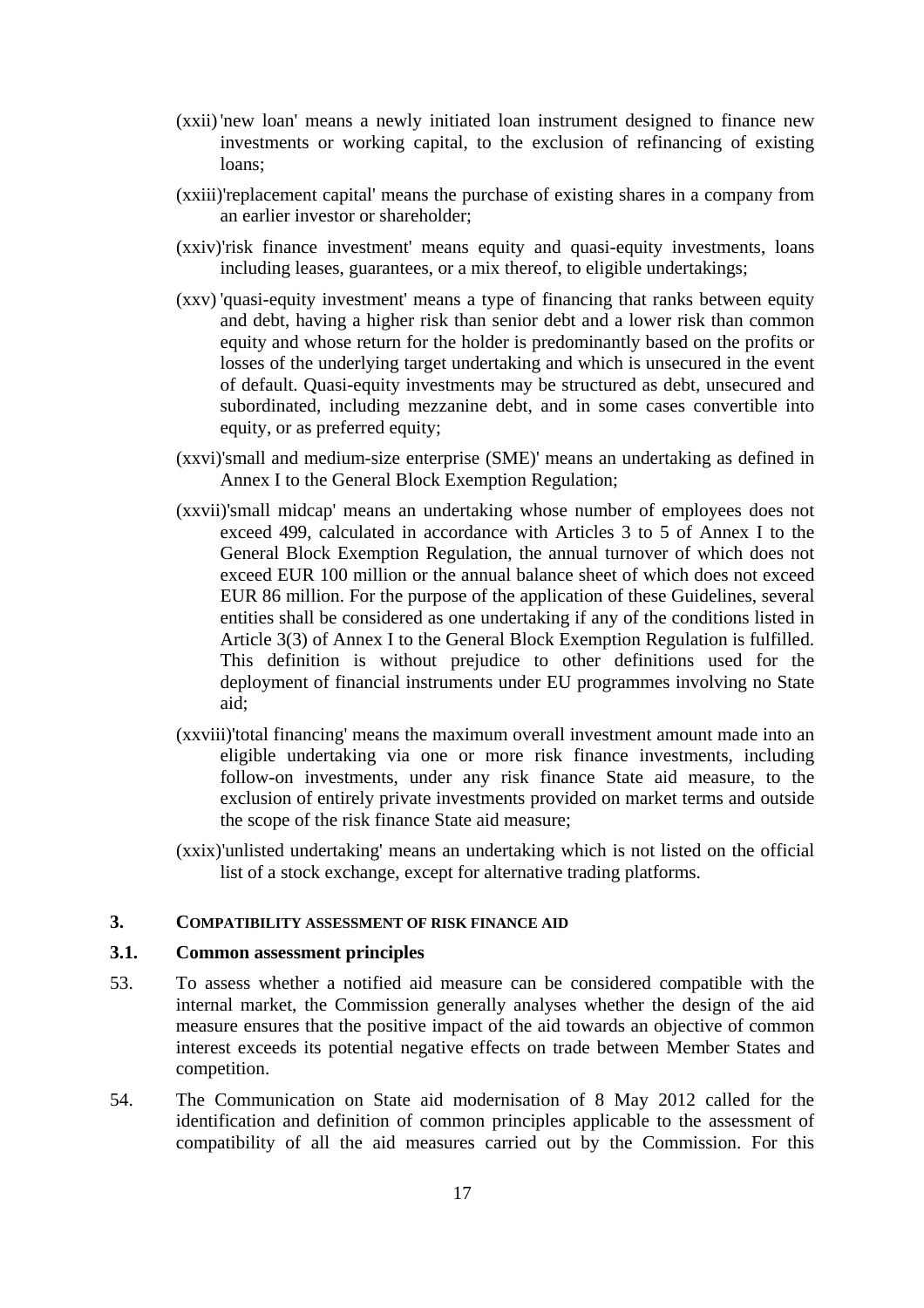- (xxii) 'new loan' means a newly initiated loan instrument designed to finance new investments or working capital, to the exclusion of refinancing of existing loans;
- (xxiii)'replacement capital' means the purchase of existing shares in a company from an earlier investor or shareholder;
- (xxiv) 'risk finance investment' means equity and quasi-equity investments, loans including leases, guarantees, or a mix thereof, to eligible undertakings;
- (xxv) 'quasi-equity investment' means a type of financing that ranks between equity and debt, having a higher risk than senior debt and a lower risk than common equity and whose return for the holder is predominantly based on the profits or losses of the underlying target undertaking and which is unsecured in the event of default. Quasi-equity investments may be structured as debt, unsecured and subordinated, including mezzanine debt, and in some cases convertible into equity, or as preferred equity;
- (xxvi) 'small and medium-size enterprise (SME)' means an undertaking as defined in Annex I to the General Block Exemption Regulation;
- (xxvii)'small midcap' means an undertaking whose number of employees does not exceed 499, calculated in accordance with Articles 3 to 5 of Annex I to the General Block Exemption Regulation, the annual turnover of which does not exceed EUR 100 million or the annual balance sheet of which does not exceed EUR 86 million. For the purpose of the application of these Guidelines, several entities shall be considered as one undertaking if any of the conditions listed in Article 3(3) of Annex I to the General Block Exemption Regulation is fulfilled. This definition is without prejudice to other definitions used for the deployment of financial instruments under EU programmes involving no State aid;
- (xxviii)'total financing' means the maximum overall investment amount made into an eligible undertaking via one or more risk finance investments, including follow-on investments, under any risk finance State aid measure, to the exclusion of entirely private investments provided on market terms and outside the scope of the risk finance State aid measure;
- (xxix) 'unlisted undertaking' means an undertaking which is not listed on the official list of a stock exchange, except for alternative trading platforms.

#### <span id="page-16-0"></span>**3. COMPATIBILITY ASSESSMENT OF RISK FINANCE AID**

# <span id="page-16-1"></span>**3.1. Common assessment principles**

- 53. To assess whether a notified aid measure can be considered compatible with the internal market, the Commission generally analyses whether the design of the aid measure ensures that the positive impact of the aid towards an objective of common interest exceeds its potential negative effects on trade between Member States and competition.
- 54. The Communication on State aid modernisation of 8 May 2012 called for the identification and definition of common principles applicable to the assessment of compatibility of all the aid measures carried out by the Commission. For this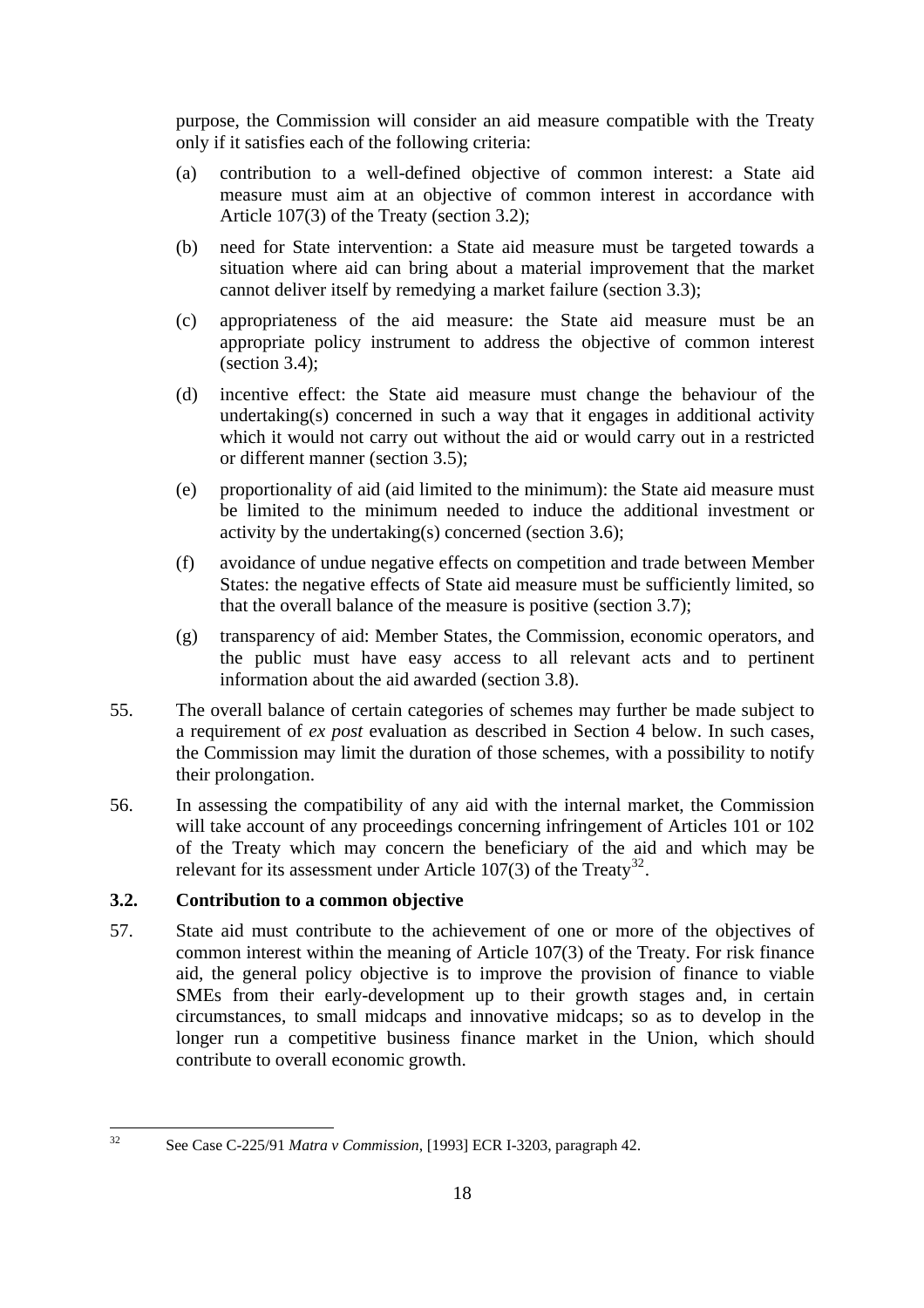purpose, the Commission will consider an aid measure compatible with the Treaty only if it satisfies each of the following criteria:

- (a) contribution to a well-defined objective of common interest: a State aid measure must aim at an objective of common interest in accordance with Article 107(3) of the Treaty (section 3.2);
- (b) need for State intervention: a State aid measure must be targeted towards a situation where aid can bring about a material improvement that the market cannot deliver itself by remedying a market failure (section 3.3);
- (c) appropriateness of the aid measure: the State aid measure must be an appropriate policy instrument to address the objective of common interest (section 3.4);
- (d) incentive effect: the State aid measure must change the behaviour of the undertaking(s) concerned in such a way that it engages in additional activity which it would not carry out without the aid or would carry out in a restricted or different manner (section 3.5);
- (e) proportionality of aid (aid limited to the minimum): the State aid measure must be limited to the minimum needed to induce the additional investment or activity by the undertaking(s) concerned (section 3.6);
- (f) avoidance of undue negative effects on competition and trade between Member States: the negative effects of State aid measure must be sufficiently limited, so that the overall balance of the measure is positive (section 3.7);
- (g) transparency of aid: Member States, the Commission, economic operators, and the public must have easy access to all relevant acts and to pertinent information about the aid awarded (section 3.8).
- 55. The overall balance of certain categories of schemes may further be made subject to a requirement of *ex post* evaluation as described in Section 4 below. In such cases, the Commission may limit the duration of those schemes, with a possibility to notify their prolongation.
- 56. In assessing the compatibility of any aid with the internal market, the Commission will take account of any proceedings concerning infringement of Articles 101 or 102 of the Treaty which may concern the beneficiary of the aid and which may be relevant for its assessment under Article 107(3) of the Treaty<sup>[32](#page-17-1)</sup>.

# <span id="page-17-0"></span>**3.2. Contribution to a common objective**

57. State aid must contribute to the achievement of one or more of the objectives of common interest within the meaning of Article 107(3) of the Treaty. For risk finance aid, the general policy objective is to improve the provision of finance to viable SMEs from their early-development up to their growth stages and, in certain circumstances, to small midcaps and innovative midcaps; so as to develop in the longer run a competitive business finance market in the Union, which should contribute to overall economic growth.

<span id="page-17-1"></span> $32$ 

<sup>32</sup> See Case C-225/91 *Matra v Commission*, [1993] ECR I-3203, paragraph 42.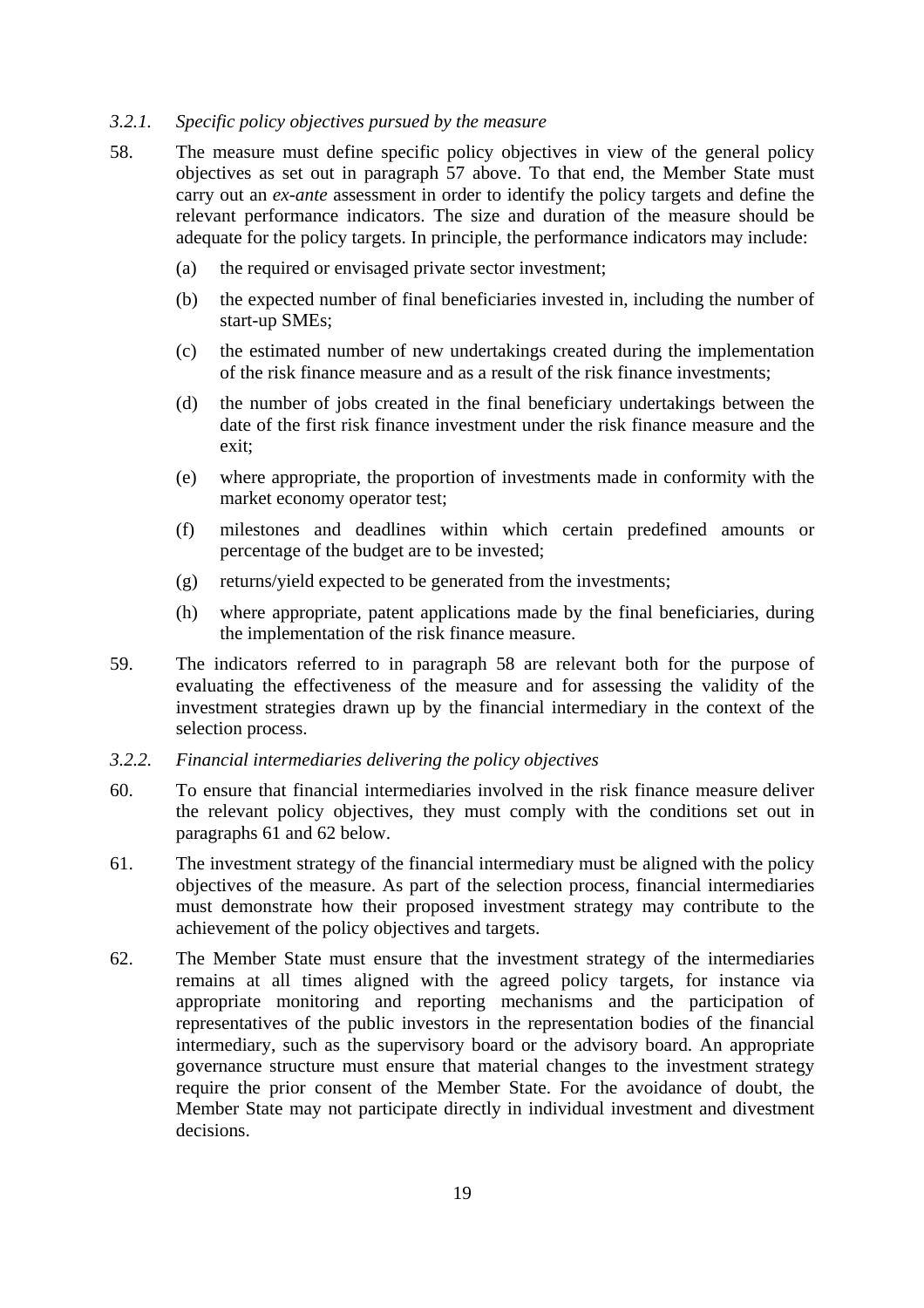#### <span id="page-18-0"></span>*3.2.1. Specific policy objectives pursued by the measure*

- 58. The measure must define specific policy objectives in view of the general policy objectives as set out in paragraph 57 above. To that end, the Member State must carry out an *ex-ante* assessment in order to identify the policy targets and define the relevant performance indicators. The size and duration of the measure should be adequate for the policy targets. In principle, the performance indicators may include:
	- (a) the required or envisaged private sector investment;
	- (b) the expected number of final beneficiaries invested in, including the number of start-up SMEs;
	- (c) the estimated number of new undertakings created during the implementation of the risk finance measure and as a result of the risk finance investments;
	- (d) the number of jobs created in the final beneficiary undertakings between the date of the first risk finance investment under the risk finance measure and the exit;
	- (e) where appropriate, the proportion of investments made in conformity with the market economy operator test;
	- (f) milestones and deadlines within which certain predefined amounts or percentage of the budget are to be invested;
	- (g) returns/yield expected to be generated from the investments;
	- (h) where appropriate, patent applications made by the final beneficiaries, during the implementation of the risk finance measure.
- 59. The indicators referred to in paragraph 58 are relevant both for the purpose of evaluating the effectiveness of the measure and for assessing the validity of the investment strategies drawn up by the financial intermediary in the context of the selection process.
- <span id="page-18-1"></span>*3.2.2. Financial intermediaries delivering the policy objectives*
- 60. To ensure that financial intermediaries involved in the risk finance measure deliver the relevant policy objectives, they must comply with the conditions set out in paragraphs 61 and 62 below.
- 61. The investment strategy of the financial intermediary must be aligned with the policy objectives of the measure. As part of the selection process, financial intermediaries must demonstrate how their proposed investment strategy may contribute to the achievement of the policy objectives and targets.
- 62. The Member State must ensure that the investment strategy of the intermediaries remains at all times aligned with the agreed policy targets, for instance via appropriate monitoring and reporting mechanisms and the participation of representatives of the public investors in the representation bodies of the financial intermediary, such as the supervisory board or the advisory board. An appropriate governance structure must ensure that material changes to the investment strategy require the prior consent of the Member State. For the avoidance of doubt, the Member State may not participate directly in individual investment and divestment decisions.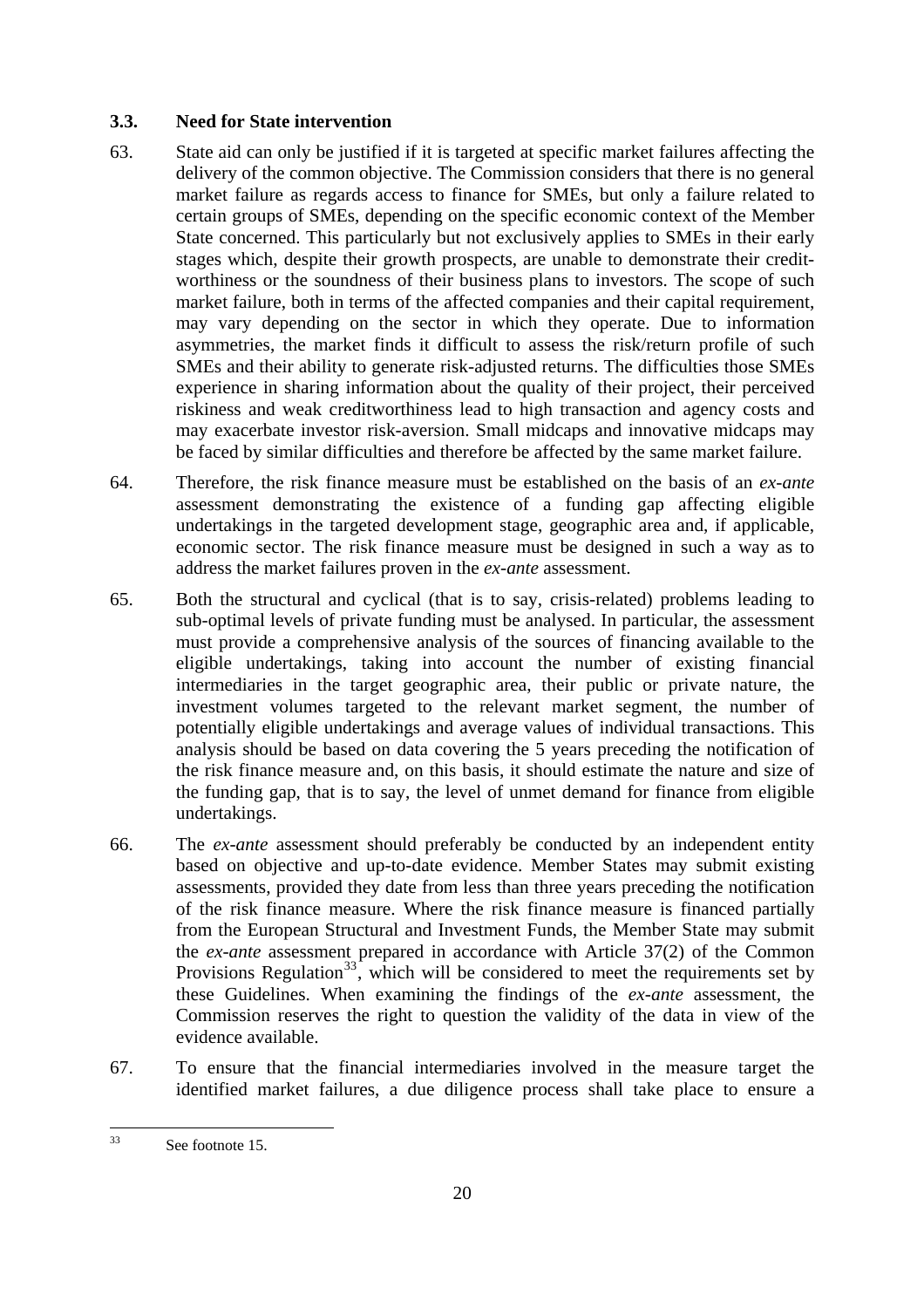# <span id="page-19-0"></span>**3.3. Need for State intervention**

- 63. State aid can only be justified if it is targeted at specific market failures affecting the delivery of the common objective. The Commission considers that there is no general market failure as regards access to finance for SMEs, but only a failure related to certain groups of SMEs, depending on the specific economic context of the Member State concerned. This particularly but not exclusively applies to SMEs in their early stages which, despite their growth prospects, are unable to demonstrate their creditworthiness or the soundness of their business plans to investors. The scope of such market failure, both in terms of the affected companies and their capital requirement, may vary depending on the sector in which they operate. Due to information asymmetries, the market finds it difficult to assess the risk/return profile of such SMEs and their ability to generate risk-adjusted returns. The difficulties those SMEs experience in sharing information about the quality of their project, their perceived riskiness and weak creditworthiness lead to high transaction and agency costs and may exacerbate investor risk-aversion. Small midcaps and innovative midcaps may be faced by similar difficulties and therefore be affected by the same market failure.
- 64. Therefore, the risk finance measure must be established on the basis of an *ex-ante* assessment demonstrating the existence of a funding gap affecting eligible undertakings in the targeted development stage, geographic area and, if applicable, economic sector. The risk finance measure must be designed in such a way as to address the market failures proven in the *ex-ante* assessment.
- 65. Both the structural and cyclical (that is to say, crisis-related) problems leading to sub-optimal levels of private funding must be analysed. In particular, the assessment must provide a comprehensive analysis of the sources of financing available to the eligible undertakings, taking into account the number of existing financial intermediaries in the target geographic area, their public or private nature, the investment volumes targeted to the relevant market segment, the number of potentially eligible undertakings and average values of individual transactions. This analysis should be based on data covering the 5 years preceding the notification of the risk finance measure and, on this basis, it should estimate the nature and size of the funding gap, that is to say, the level of unmet demand for finance from eligible undertakings.
- 66. The *ex-ante* assessment should preferably be conducted by an independent entity based on objective and up-to-date evidence. Member States may submit existing assessments, provided they date from less than three years preceding the notification of the risk finance measure. Where the risk finance measure is financed partially from the European Structural and Investment Funds, the Member State may submit the *ex-ante* assessment prepared in accordance with Article 37(2) of the Common Provisions Regulation<sup>[33](#page-19-1)</sup>, which will be considered to meet the requirements set by these Guidelines. When examining the findings of the *ex-ante* assessment, the Commission reserves the right to question the validity of the data in view of the evidence available.
- 67. To ensure that the financial intermediaries involved in the measure target the identified market failures, a due diligence process shall take place to ensure a

<span id="page-19-1"></span> $33$ See footnote 15.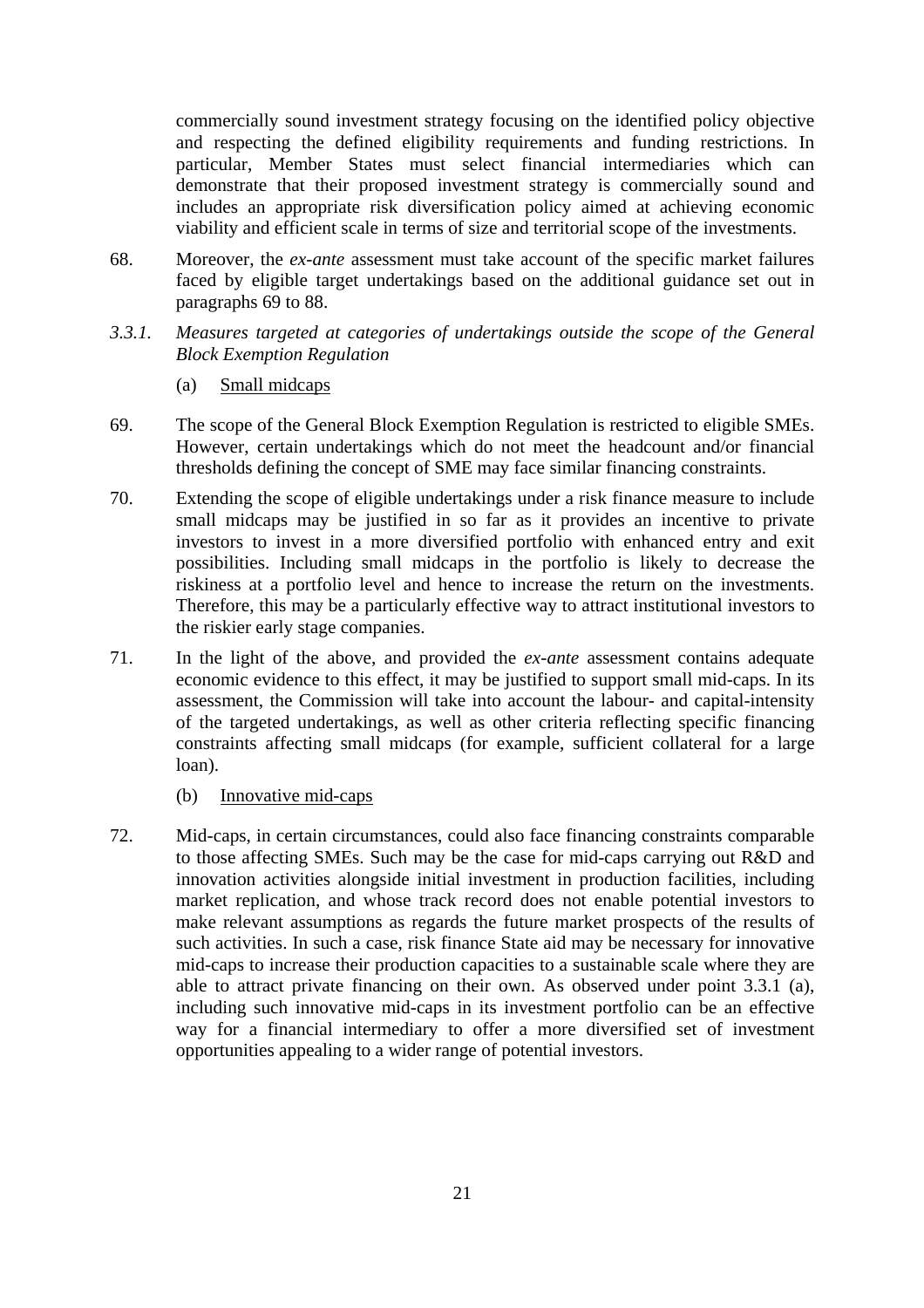commercially sound investment strategy focusing on the identified policy objective and respecting the defined eligibility requirements and funding restrictions. In particular, Member States must select financial intermediaries which can demonstrate that their proposed investment strategy is commercially sound and includes an appropriate risk diversification policy aimed at achieving economic viability and efficient scale in terms of size and territorial scope of the investments.

- 68. Moreover, the *ex-ante* assessment must take account of the specific market failures faced by eligible target undertakings based on the additional guidance set out in paragraphs 69 to 88.
- <span id="page-20-0"></span>*3.3.1. Measures targeted at categories of undertakings outside the scope of the General Block Exemption Regulation* 
	- (a) Small midcaps
- <span id="page-20-1"></span>69. The scope of the General Block Exemption Regulation is restricted to eligible SMEs. However, certain undertakings which do not meet the headcount and/or financial thresholds defining the concept of SME may face similar financing constraints.
- 70. Extending the scope of eligible undertakings under a risk finance measure to include small midcaps may be justified in so far as it provides an incentive to private investors to invest in a more diversified portfolio with enhanced entry and exit possibilities. Including small midcaps in the portfolio is likely to decrease the riskiness at a portfolio level and hence to increase the return on the investments. Therefore, this may be a particularly effective way to attract institutional investors to the riskier early stage companies.
- 71. In the light of the above, and provided the *ex-ante* assessment contains adequate economic evidence to this effect, it may be justified to support small mid-caps. In its assessment, the Commission will take into account the labour- and capital-intensity of the targeted undertakings, as well as other criteria reflecting specific financing constraints affecting small midcaps (for example, sufficient collateral for a large loan).
	- (b) Innovative mid-caps
- <span id="page-20-2"></span>72. Mid-caps, in certain circumstances, could also face financing constraints comparable to those affecting SMEs. Such may be the case for mid-caps carrying out R&D and innovation activities alongside initial investment in production facilities, including market replication, and whose track record does not enable potential investors to make relevant assumptions as regards the future market prospects of the results of such activities. In such a case, risk finance State aid may be necessary for innovative mid-caps to increase their production capacities to a sustainable scale where they are able to attract private financing on their own. As observed under point 3.3.1 (a), including such innovative mid-caps in its investment portfolio can be an effective way for a financial intermediary to offer a more diversified set of investment opportunities appealing to a wider range of potential investors.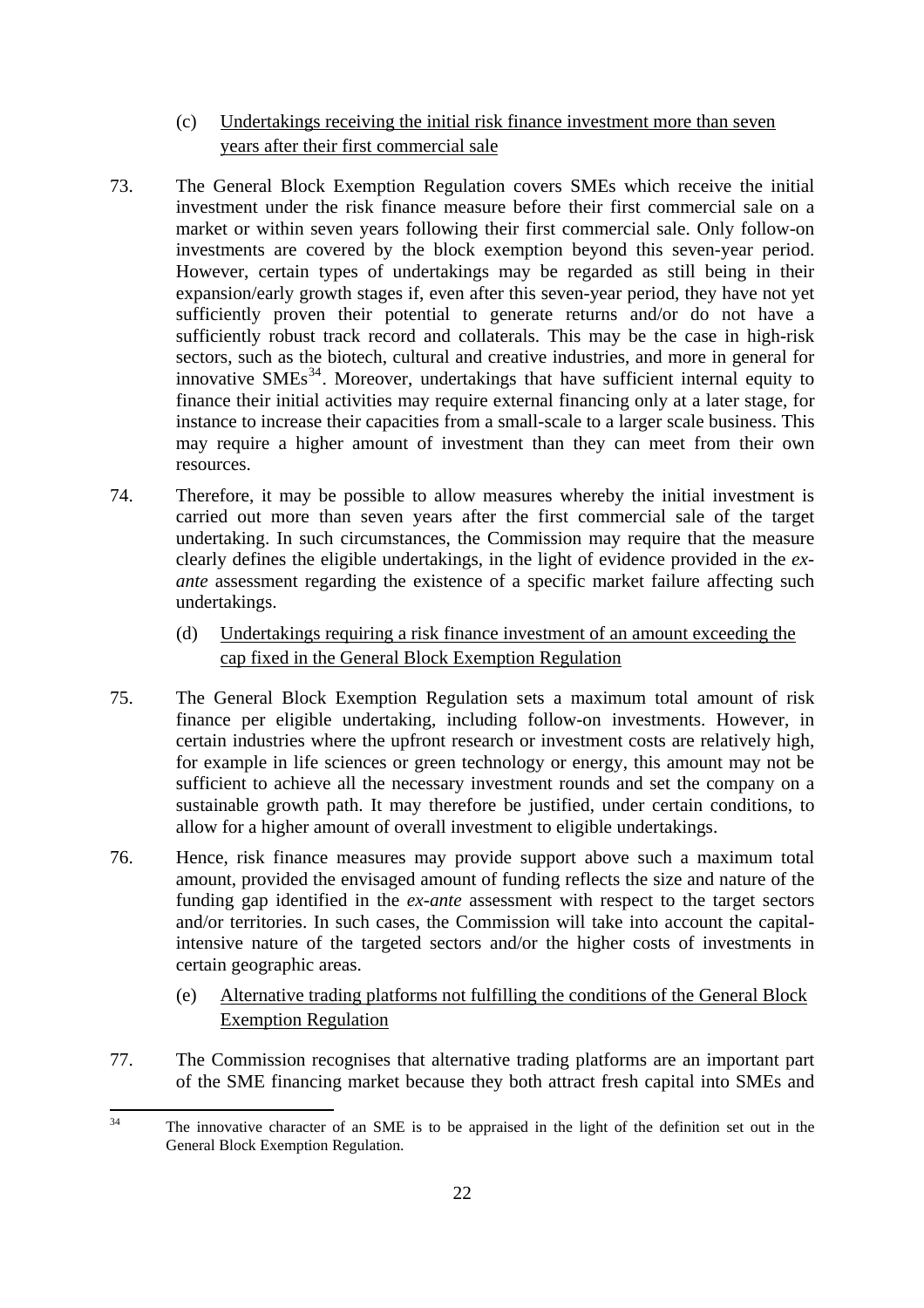- (c) Undertakings receiving the initial risk finance investment more than seven years after their first commercial sale
- <span id="page-21-0"></span>73. The General Block Exemption Regulation covers SMEs which receive the initial investment under the risk finance measure before their first commercial sale on a market or within seven years following their first commercial sale. Only follow-on investments are covered by the block exemption beyond this seven-year period. However, certain types of undertakings may be regarded as still being in their expansion/early growth stages if, even after this seven-year period, they have not yet sufficiently proven their potential to generate returns and/or do not have a sufficiently robust track record and collaterals. This may be the case in high-risk sectors, such as the biotech, cultural and creative industries, and more in general for innovative  $SMEs<sup>34</sup>$  $SMEs<sup>34</sup>$  $SMEs<sup>34</sup>$ . Moreover, undertakings that have sufficient internal equity to finance their initial activities may require external financing only at a later stage, for instance to increase their capacities from a small-scale to a larger scale business. This may require a higher amount of investment than they can meet from their own resources.
- 74. Therefore, it may be possible to allow measures whereby the initial investment is carried out more than seven years after the first commercial sale of the target undertaking. In such circumstances, the Commission may require that the measure clearly defines the eligible undertakings, in the light of evidence provided in the *exante* assessment regarding the existence of a specific market failure affecting such undertakings.
	- (d) Undertakings requiring a risk finance investment of an amount exceeding the cap fixed in the General Block Exemption Regulation
- <span id="page-21-1"></span>75. The General Block Exemption Regulation sets a maximum total amount of risk finance per eligible undertaking, including follow-on investments. However, in certain industries where the upfront research or investment costs are relatively high, for example in life sciences or green technology or energy, this amount may not be sufficient to achieve all the necessary investment rounds and set the company on a sustainable growth path. It may therefore be justified, under certain conditions, to allow for a higher amount of overall investment to eligible undertakings.
- 76. Hence, risk finance measures may provide support above such a maximum total amount, provided the envisaged amount of funding reflects the size and nature of the funding gap identified in the *ex-ante* assessment with respect to the target sectors and/or territories. In such cases, the Commission will take into account the capitalintensive nature of the targeted sectors and/or the higher costs of investments in certain geographic areas.
	- (e) Alternative trading platforms not fulfilling the conditions of the General Block Exemption Regulation
- <span id="page-21-2"></span>77. The Commission recognises that alternative trading platforms are an important part of the SME financing market because they both attract fresh capital into SMEs and

<span id="page-21-3"></span> $34$ The innovative character of an SME is to be appraised in the light of the definition set out in the General Block Exemption Regulation.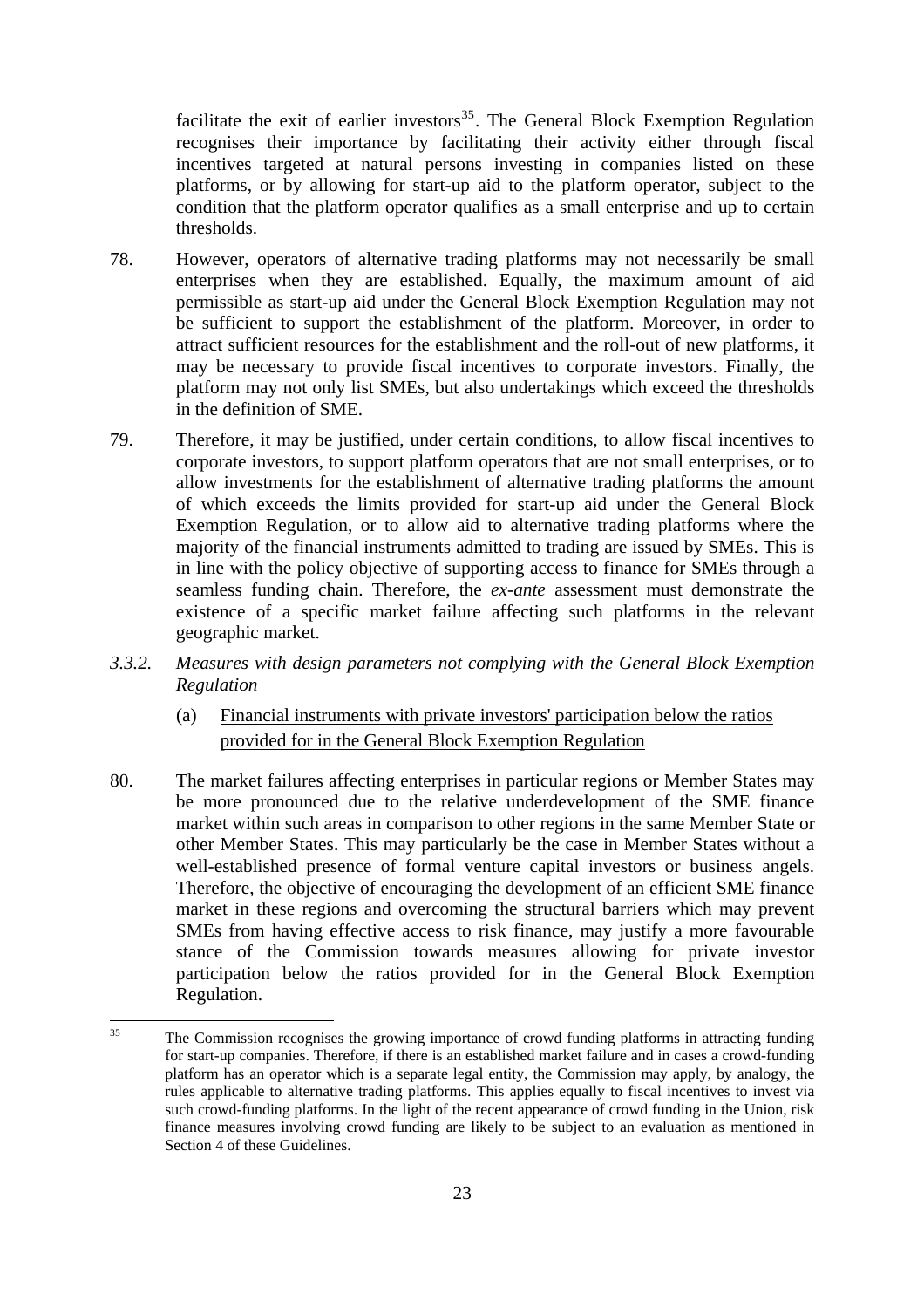facilitate the exit of earlier investors<sup>[35](#page-22-2)</sup>. The General Block Exemption Regulation recognises their importance by facilitating their activity either through fiscal incentives targeted at natural persons investing in companies listed on these platforms, or by allowing for start-up aid to the platform operator, subject to the condition that the platform operator qualifies as a small enterprise and up to certain thresholds.

- 78. However, operators of alternative trading platforms may not necessarily be small enterprises when they are established. Equally, the maximum amount of aid permissible as start-up aid under the General Block Exemption Regulation may not be sufficient to support the establishment of the platform. Moreover, in order to attract sufficient resources for the establishment and the roll-out of new platforms, it may be necessary to provide fiscal incentives to corporate investors. Finally, the platform may not only list SMEs, but also undertakings which exceed the thresholds in the definition of SME.
- 79. Therefore, it may be justified, under certain conditions, to allow fiscal incentives to corporate investors, to support platform operators that are not small enterprises, or to allow investments for the establishment of alternative trading platforms the amount of which exceeds the limits provided for start-up aid under the General Block Exemption Regulation, or to allow aid to alternative trading platforms where the majority of the financial instruments admitted to trading are issued by SMEs. This is in line with the policy objective of supporting access to finance for SMEs through a seamless funding chain. Therefore, the *ex-ante* assessment must demonstrate the existence of a specific market failure affecting such platforms in the relevant geographic market.
- <span id="page-22-1"></span><span id="page-22-0"></span>*3.3.2. Measures with design parameters not complying with the General Block Exemption Regulation* 
	- (a) Financial instruments with private investors' participation below the ratios provided for in the General Block Exemption Regulation
- 80. The market failures affecting enterprises in particular regions or Member States may be more pronounced due to the relative underdevelopment of the SME finance market within such areas in comparison to other regions in the same Member State or other Member States. This may particularly be the case in Member States without a well-established presence of formal venture capital investors or business angels. Therefore, the objective of encouraging the development of an efficient SME finance market in these regions and overcoming the structural barriers which may prevent SMEs from having effective access to risk finance, may justify a more favourable stance of the Commission towards measures allowing for private investor participation below the ratios provided for in the General Block Exemption Regulation.

<span id="page-22-2"></span> $35$ The Commission recognises the growing importance of crowd funding platforms in attracting funding for start-up companies. Therefore, if there is an established market failure and in cases a crowd-funding platform has an operator which is a separate legal entity, the Commission may apply, by analogy, the rules applicable to alternative trading platforms. This applies equally to fiscal incentives to invest via such crowd-funding platforms. In the light of the recent appearance of crowd funding in the Union, risk finance measures involving crowd funding are likely to be subject to an evaluation as mentioned in Section 4 of these Guidelines.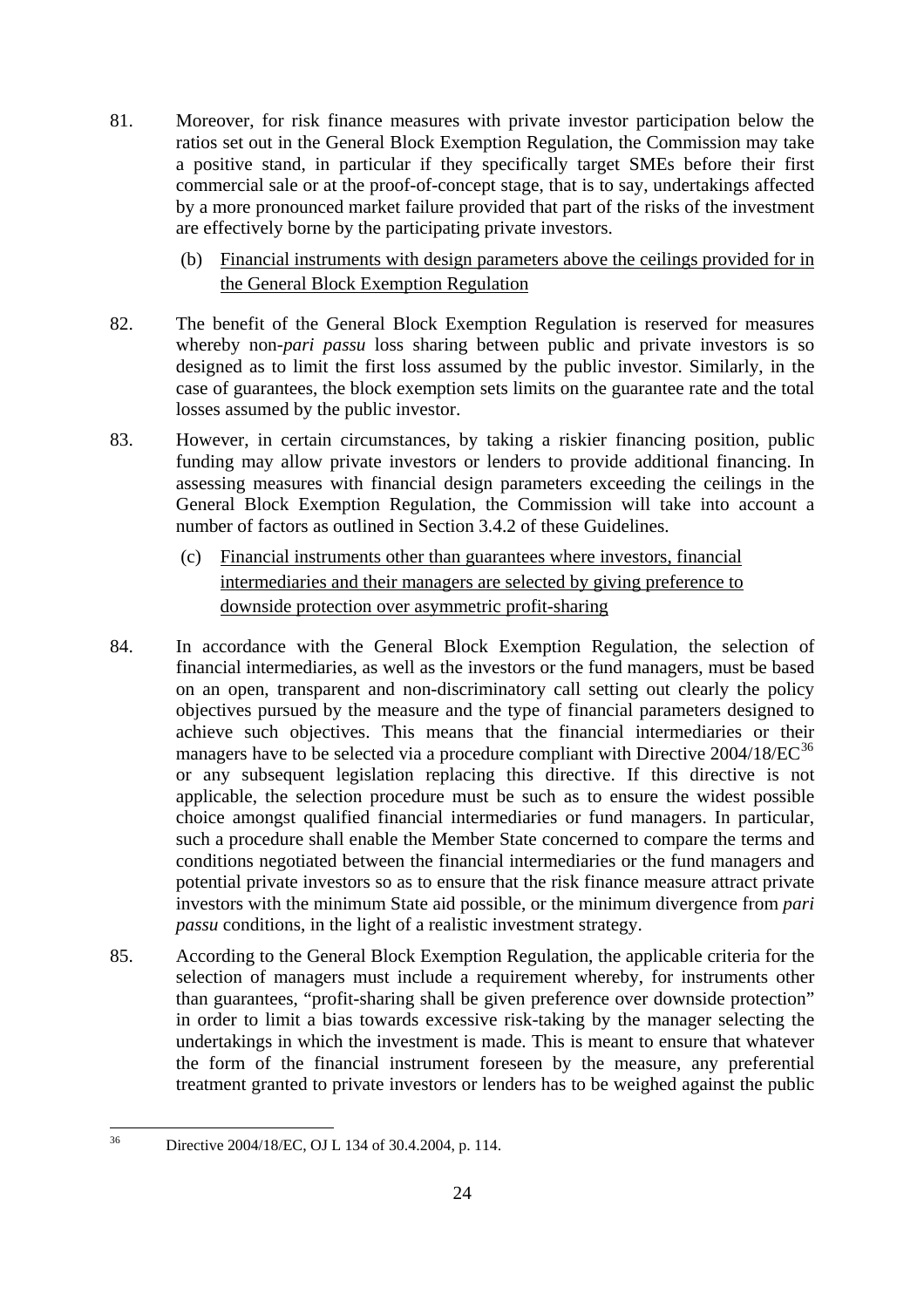- 81. Moreover, for risk finance measures with private investor participation below the ratios set out in the General Block Exemption Regulation, the Commission may take a positive stand, in particular if they specifically target SMEs before their first commercial sale or at the proof-of-concept stage, that is to say, undertakings affected by a more pronounced market failure provided that part of the risks of the investment are effectively borne by the participating private investors.
	- (b) Financial instruments with design parameters above the ceilings provided for in the General Block Exemption Regulation
- <span id="page-23-0"></span>82. The benefit of the General Block Exemption Regulation is reserved for measures whereby non-*pari passu* loss sharing between public and private investors is so designed as to limit the first loss assumed by the public investor. Similarly, in the case of guarantees, the block exemption sets limits on the guarantee rate and the total losses assumed by the public investor.
- 83. However, in certain circumstances, by taking a riskier financing position, public funding may allow private investors or lenders to provide additional financing. In assessing measures with financial design parameters exceeding the ceilings in the General Block Exemption Regulation, the Commission will take into account a number of factors as outlined in Section 3.4.2 of these Guidelines.
	- (c) Financial instruments other than guarantees where investors, financial intermediaries and their managers are selected by giving preference to downside protection over asymmetric profit-sharing
- <span id="page-23-1"></span>84. In accordance with the General Block Exemption Regulation, the selection of financial intermediaries, as well as the investors or the fund managers, must be based on an open, transparent and non-discriminatory call setting out clearly the policy objectives pursued by the measure and the type of financial parameters designed to achieve such objectives. This means that the financial intermediaries or their managers have to be selected via a procedure compliant with Directive  $2004/18/EC^{36}$  $2004/18/EC^{36}$  $2004/18/EC^{36}$ or any subsequent legislation replacing this directive. If this directive is not applicable, the selection procedure must be such as to ensure the widest possible choice amongst qualified financial intermediaries or fund managers. In particular, such a procedure shall enable the Member State concerned to compare the terms and conditions negotiated between the financial intermediaries or the fund managers and potential private investors so as to ensure that the risk finance measure attract private investors with the minimum State aid possible, or the minimum divergence from *pari passu* conditions, in the light of a realistic investment strategy.
- 85. According to the General Block Exemption Regulation, the applicable criteria for the selection of managers must include a requirement whereby, for instruments other than guarantees, "profit-sharing shall be given preference over downside protection" in order to limit a bias towards excessive risk-taking by the manager selecting the undertakings in which the investment is made. This is meant to ensure that whatever the form of the financial instrument foreseen by the measure, any preferential treatment granted to private investors or lenders has to be weighed against the public

<span id="page-23-2"></span> $36$ Directive 2004/18/EC, OJ L 134 of 30.4.2004, p. 114.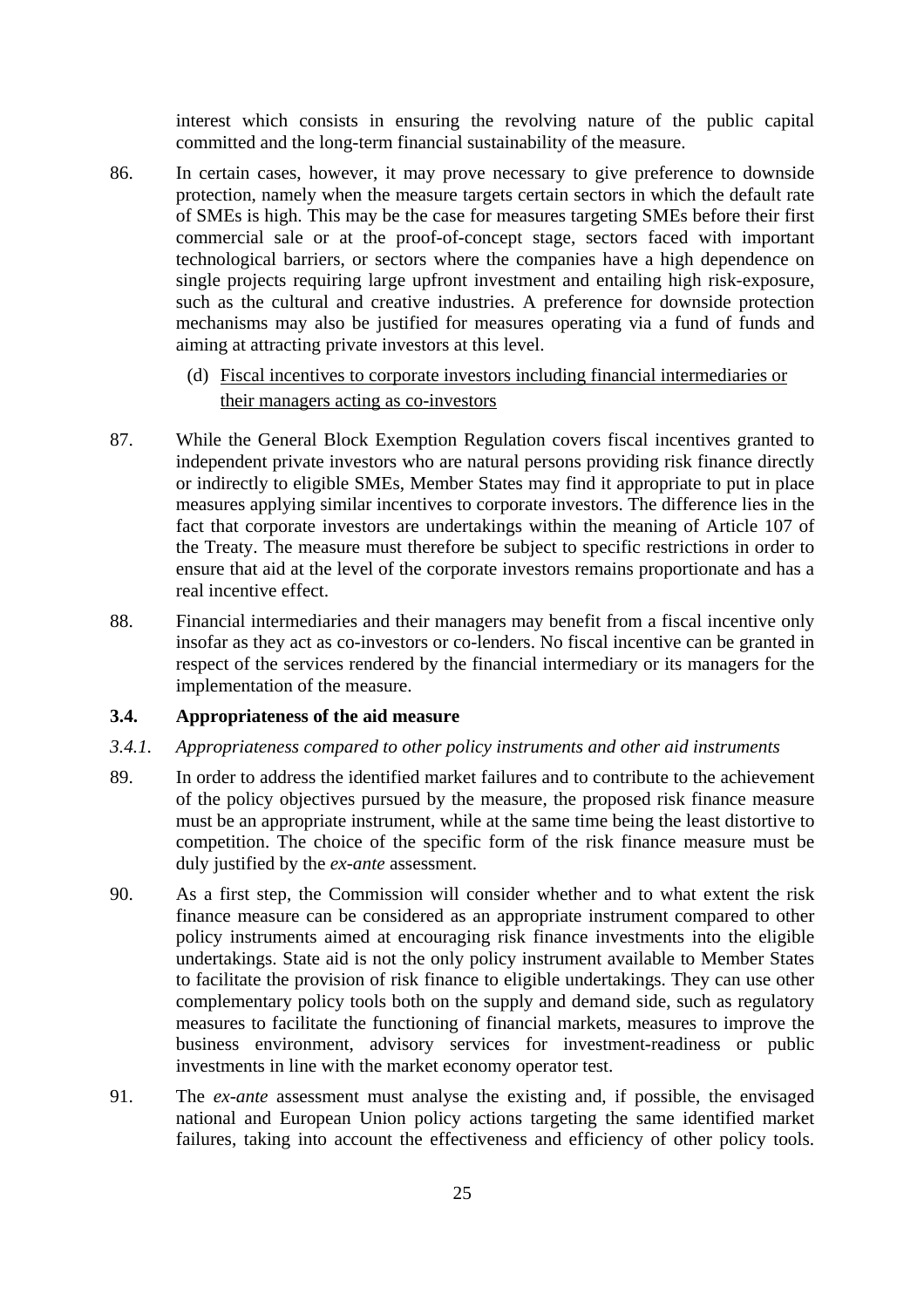interest which consists in ensuring the revolving nature of the public capital committed and the long-term financial sustainability of the measure.

- 86. In certain cases, however, it may prove necessary to give preference to downside protection, namely when the measure targets certain sectors in which the default rate of SMEs is high. This may be the case for measures targeting SMEs before their first commercial sale or at the proof-of-concept stage, sectors faced with important technological barriers, or sectors where the companies have a high dependence on single projects requiring large upfront investment and entailing high risk-exposure, such as the cultural and creative industries. A preference for downside protection mechanisms may also be justified for measures operating via a fund of funds and aiming at attracting private investors at this level.
	- (d) Fiscal incentives to corporate investors including financial intermediaries or their managers acting as co-investors
- <span id="page-24-0"></span>87. While the General Block Exemption Regulation covers fiscal incentives granted to independent private investors who are natural persons providing risk finance directly or indirectly to eligible SMEs, Member States may find it appropriate to put in place measures applying similar incentives to corporate investors. The difference lies in the fact that corporate investors are undertakings within the meaning of Article 107 of the Treaty. The measure must therefore be subject to specific restrictions in order to ensure that aid at the level of the corporate investors remains proportionate and has a real incentive effect.
- 88. Financial intermediaries and their managers may benefit from a fiscal incentive only insofar as they act as co-investors or co-lenders. No fiscal incentive can be granted in respect of the services rendered by the financial intermediary or its managers for the implementation of the measure.

#### <span id="page-24-1"></span>**3.4. Appropriateness of the aid measure**

#### <span id="page-24-2"></span>*3.4.1. Appropriateness compared to other policy instruments and other aid instruments*

- 89. In order to address the identified market failures and to contribute to the achievement of the policy objectives pursued by the measure, the proposed risk finance measure must be an appropriate instrument, while at the same time being the least distortive to competition. The choice of the specific form of the risk finance measure must be duly justified by the *ex-ante* assessment.
- 90. As a first step, the Commission will consider whether and to what extent the risk finance measure can be considered as an appropriate instrument compared to other policy instruments aimed at encouraging risk finance investments into the eligible undertakings. State aid is not the only policy instrument available to Member States to facilitate the provision of risk finance to eligible undertakings. They can use other complementary policy tools both on the supply and demand side, such as regulatory measures to facilitate the functioning of financial markets, measures to improve the business environment, advisory services for investment-readiness or public investments in line with the market economy operator test.
- 91. The *ex-ante* assessment must analyse the existing and, if possible, the envisaged national and European Union policy actions targeting the same identified market failures, taking into account the effectiveness and efficiency of other policy tools.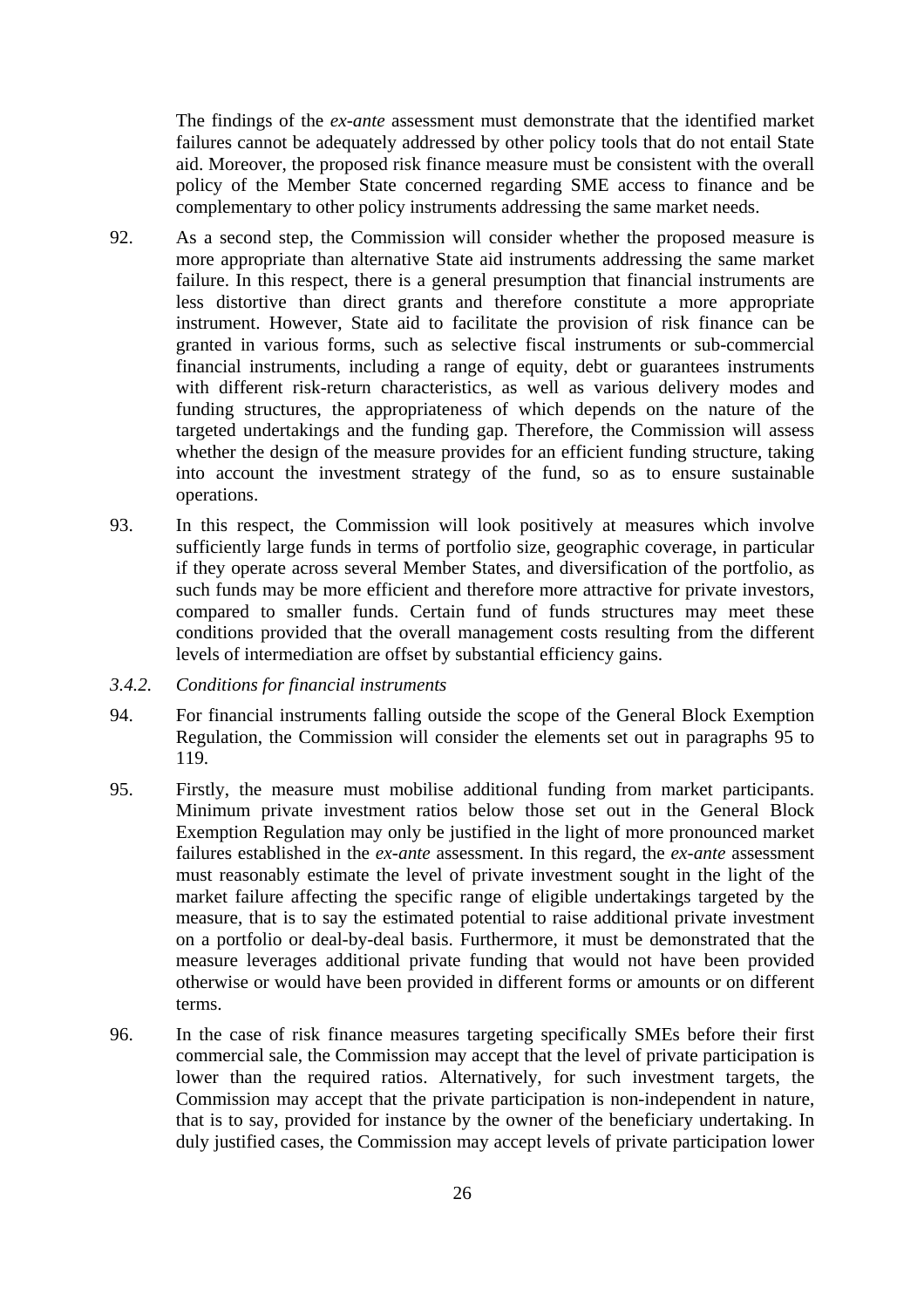The findings of the *ex-ante* assessment must demonstrate that the identified market failures cannot be adequately addressed by other policy tools that do not entail State aid. Moreover, the proposed risk finance measure must be consistent with the overall policy of the Member State concerned regarding SME access to finance and be complementary to other policy instruments addressing the same market needs.

- 92. As a second step, the Commission will consider whether the proposed measure is more appropriate than alternative State aid instruments addressing the same market failure. In this respect, there is a general presumption that financial instruments are less distortive than direct grants and therefore constitute a more appropriate instrument. However, State aid to facilitate the provision of risk finance can be granted in various forms, such as selective fiscal instruments or sub-commercial financial instruments, including a range of equity, debt or guarantees instruments with different risk-return characteristics, as well as various delivery modes and funding structures, the appropriateness of which depends on the nature of the targeted undertakings and the funding gap. Therefore, the Commission will assess whether the design of the measure provides for an efficient funding structure, taking into account the investment strategy of the fund, so as to ensure sustainable operations.
- 93. In this respect, the Commission will look positively at measures which involve sufficiently large funds in terms of portfolio size, geographic coverage, in particular if they operate across several Member States, and diversification of the portfolio, as such funds may be more efficient and therefore more attractive for private investors, compared to smaller funds. Certain fund of funds structures may meet these conditions provided that the overall management costs resulting from the different levels of intermediation are offset by substantial efficiency gains.
- <span id="page-25-0"></span>*3.4.2. Conditions for financial instruments*
- 94. For financial instruments falling outside the scope of the General Block Exemption Regulation, the Commission will consider the elements set out in paragraphs 95 to 119.
- 95. Firstly, the measure must mobilise additional funding from market participants. Minimum private investment ratios below those set out in the General Block Exemption Regulation may only be justified in the light of more pronounced market failures established in the *ex-ante* assessment. In this regard, the *ex-ante* assessment must reasonably estimate the level of private investment sought in the light of the market failure affecting the specific range of eligible undertakings targeted by the measure, that is to say the estimated potential to raise additional private investment on a portfolio or deal-by-deal basis. Furthermore, it must be demonstrated that the measure leverages additional private funding that would not have been provided otherwise or would have been provided in different forms or amounts or on different terms.
- 96. In the case of risk finance measures targeting specifically SMEs before their first commercial sale, the Commission may accept that the level of private participation is lower than the required ratios. Alternatively, for such investment targets, the Commission may accept that the private participation is non-independent in nature, that is to say, provided for instance by the owner of the beneficiary undertaking. In duly justified cases, the Commission may accept levels of private participation lower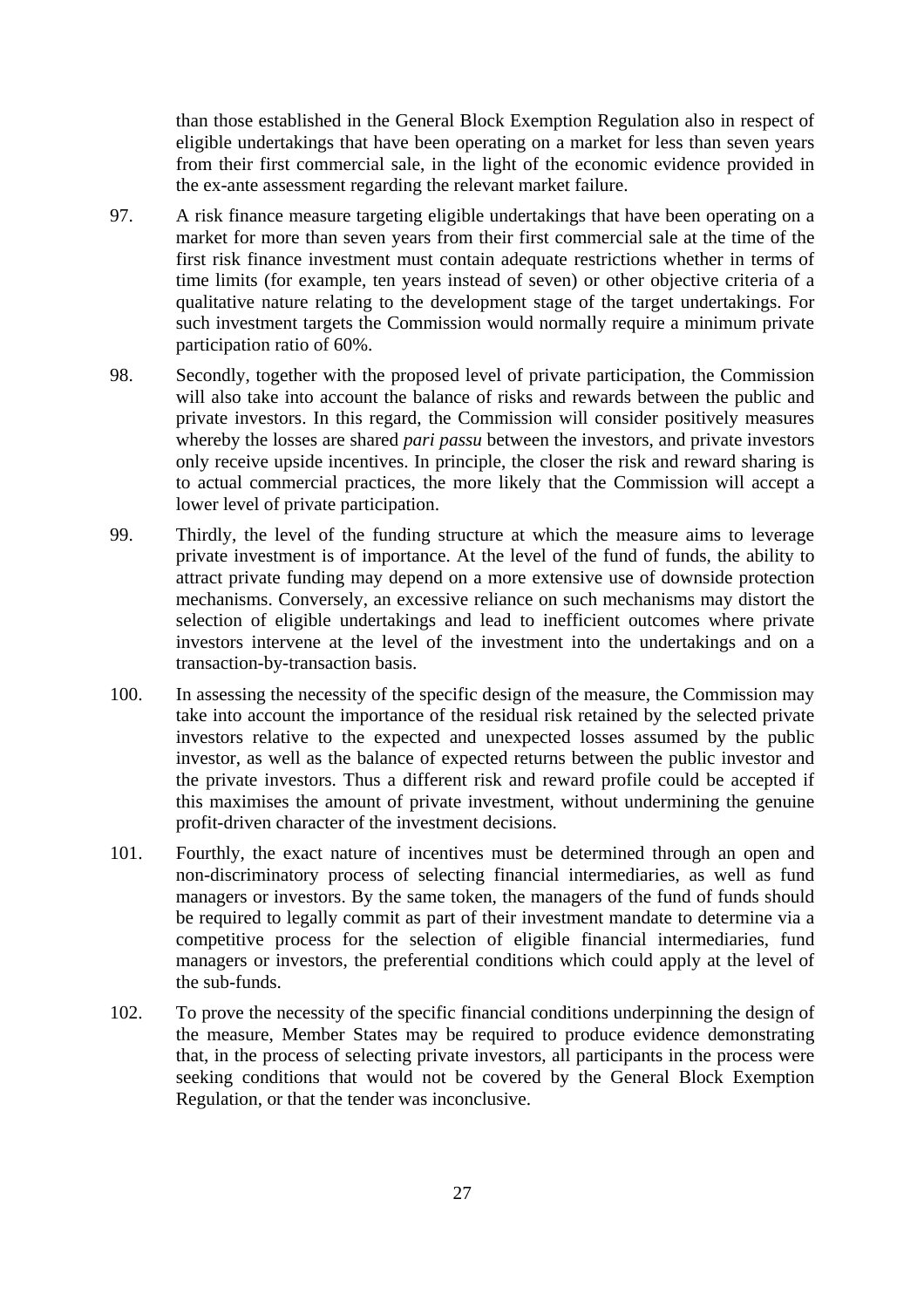than those established in the General Block Exemption Regulation also in respect of eligible undertakings that have been operating on a market for less than seven years from their first commercial sale, in the light of the economic evidence provided in the ex-ante assessment regarding the relevant market failure.

- 97. A risk finance measure targeting eligible undertakings that have been operating on a market for more than seven years from their first commercial sale at the time of the first risk finance investment must contain adequate restrictions whether in terms of time limits (for example, ten years instead of seven) or other objective criteria of a qualitative nature relating to the development stage of the target undertakings. For such investment targets the Commission would normally require a minimum private participation ratio of 60%.
- 98. Secondly, together with the proposed level of private participation, the Commission will also take into account the balance of risks and rewards between the public and private investors. In this regard, the Commission will consider positively measures whereby the losses are shared *pari passu* between the investors, and private investors only receive upside incentives. In principle, the closer the risk and reward sharing is to actual commercial practices, the more likely that the Commission will accept a lower level of private participation.
- 99. Thirdly, the level of the funding structure at which the measure aims to leverage private investment is of importance. At the level of the fund of funds, the ability to attract private funding may depend on a more extensive use of downside protection mechanisms. Conversely, an excessive reliance on such mechanisms may distort the selection of eligible undertakings and lead to inefficient outcomes where private investors intervene at the level of the investment into the undertakings and on a transaction-by-transaction basis.
- 100. In assessing the necessity of the specific design of the measure, the Commission may take into account the importance of the residual risk retained by the selected private investors relative to the expected and unexpected losses assumed by the public investor, as well as the balance of expected returns between the public investor and the private investors. Thus a different risk and reward profile could be accepted if this maximises the amount of private investment, without undermining the genuine profit-driven character of the investment decisions.
- 101. Fourthly, the exact nature of incentives must be determined through an open and non-discriminatory process of selecting financial intermediaries, as well as fund managers or investors. By the same token, the managers of the fund of funds should be required to legally commit as part of their investment mandate to determine via a competitive process for the selection of eligible financial intermediaries, fund managers or investors, the preferential conditions which could apply at the level of the sub-funds.
- 102. To prove the necessity of the specific financial conditions underpinning the design of the measure, Member States may be required to produce evidence demonstrating that, in the process of selecting private investors, all participants in the process were seeking conditions that would not be covered by the General Block Exemption Regulation, or that the tender was inconclusive.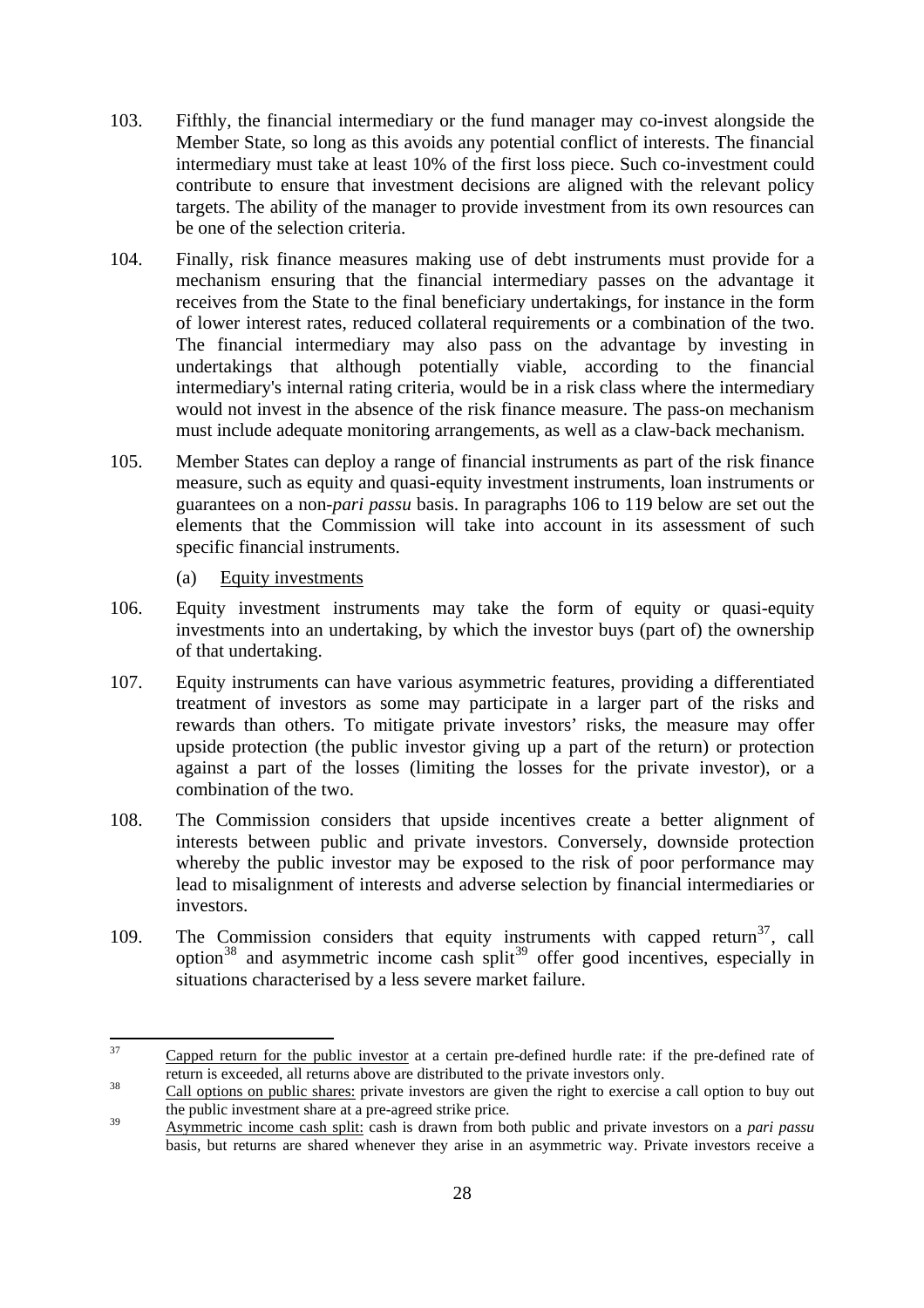- 103. Fifthly, the financial intermediary or the fund manager may co-invest alongside the Member State, so long as this avoids any potential conflict of interests. The financial intermediary must take at least 10% of the first loss piece. Such co-investment could contribute to ensure that investment decisions are aligned with the relevant policy targets. The ability of the manager to provide investment from its own resources can be one of the selection criteria.
- 104. Finally, risk finance measures making use of debt instruments must provide for a mechanism ensuring that the financial intermediary passes on the advantage it receives from the State to the final beneficiary undertakings, for instance in the form of lower interest rates, reduced collateral requirements or a combination of the two. The financial intermediary may also pass on the advantage by investing in undertakings that although potentially viable, according to the financial intermediary's internal rating criteria, would be in a risk class where the intermediary would not invest in the absence of the risk finance measure. The pass-on mechanism must include adequate monitoring arrangements, as well as a claw-back mechanism.
- 105. Member States can deploy a range of financial instruments as part of the risk finance measure, such as equity and quasi-equity investment instruments, loan instruments or guarantees on a non-*pari passu* basis. In paragraphs 106 to 119 below are set out the elements that the Commission will take into account in its assessment of such specific financial instruments.

(a) Equity investments

- <span id="page-27-0"></span>106. Equity investment instruments may take the form of equity or quasi-equity investments into an undertaking, by which the investor buys (part of) the ownership of that undertaking.
- 107. Equity instruments can have various asymmetric features, providing a differentiated treatment of investors as some may participate in a larger part of the risks and rewards than others. To mitigate private investors' risks, the measure may offer upside protection (the public investor giving up a part of the return) or protection against a part of the losses (limiting the losses for the private investor), or a combination of the two.
- 108. The Commission considers that upside incentives create a better alignment of interests between public and private investors. Conversely, downside protection whereby the public investor may be exposed to the risk of poor performance may lead to misalignment of interests and adverse selection by financial intermediaries or investors.
- 109. The Commission considers that equity instruments with capped return<sup>[37](#page-27-1)</sup>, call option<sup>[38](#page-27-2)</sup> and asymmetric income cash split<sup>[39](#page-27-3)</sup> offer good incentives, especially in situations characterised by a less severe market failure.

<span id="page-27-1"></span><sup>37</sup> Capped return for the public investor at a certain pre-defined hurdle rate: if the pre-defined rate of return is exceeded, all returns above are distributed to the private investors only.<br><sup>38</sup> Call options on public shares: private investors are given the right to exercise a call option to buy out

<span id="page-27-2"></span>the public investment share at a pre-agreed strike price.

<span id="page-27-3"></span><sup>&</sup>lt;sup>39</sup> Asymmetric income cash split: cash is drawn from both public and private investors on a *pari passu* basis, but returns are shared whenever they arise in an asymmetric way. Private investors receive a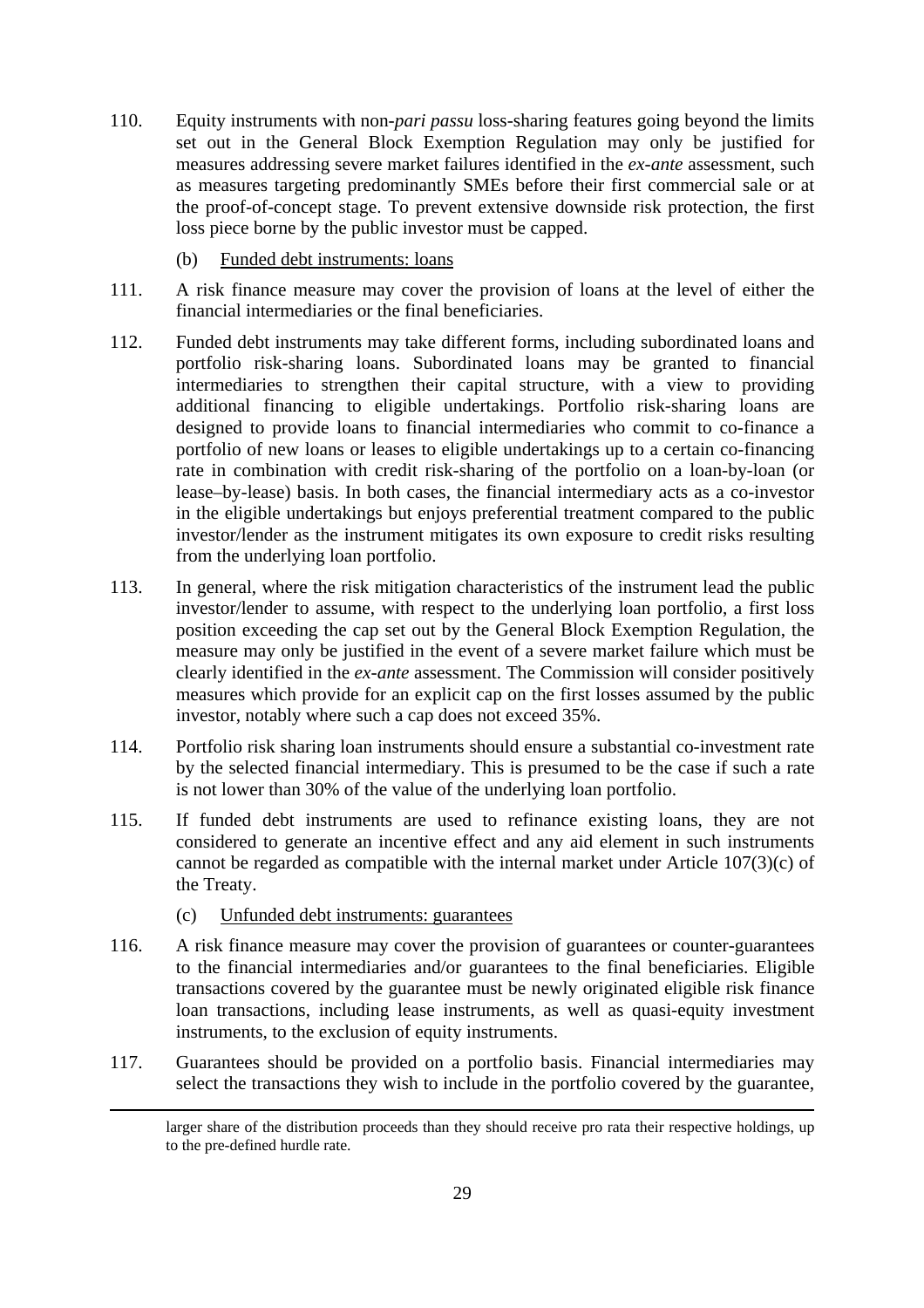- 110. Equity instruments with non-*pari passu* loss-sharing features going beyond the limits set out in the General Block Exemption Regulation may only be justified for measures addressing severe market failures identified in the *ex-ante* assessment, such as measures targeting predominantly SMEs before their first commercial sale or at the proof-of-concept stage. To prevent extensive downside risk protection, the first loss piece borne by the public investor must be capped.
	- (b) Funded debt instruments: loans
- <span id="page-28-0"></span>111. A risk finance measure may cover the provision of loans at the level of either the financial intermediaries or the final beneficiaries.
- 112. Funded debt instruments may take different forms, including subordinated loans and portfolio risk-sharing loans. Subordinated loans may be granted to financial intermediaries to strengthen their capital structure, with a view to providing additional financing to eligible undertakings. Portfolio risk-sharing loans are designed to provide loans to financial intermediaries who commit to co-finance a portfolio of new loans or leases to eligible undertakings up to a certain co-financing rate in combination with credit risk-sharing of the portfolio on a loan-by-loan (or lease–by-lease) basis. In both cases, the financial intermediary acts as a co-investor in the eligible undertakings but enjoys preferential treatment compared to the public investor/lender as the instrument mitigates its own exposure to credit risks resulting from the underlying loan portfolio.
- 113. In general, where the risk mitigation characteristics of the instrument lead the public investor/lender to assume, with respect to the underlying loan portfolio, a first loss position exceeding the cap set out by the General Block Exemption Regulation, the measure may only be justified in the event of a severe market failure which must be clearly identified in the *ex-ante* assessment. The Commission will consider positively measures which provide for an explicit cap on the first losses assumed by the public investor, notably where such a cap does not exceed 35%.
- 114. Portfolio risk sharing loan instruments should ensure a substantial co-investment rate by the selected financial intermediary. This is presumed to be the case if such a rate is not lower than 30% of the value of the underlying loan portfolio.
- 115. If funded debt instruments are used to refinance existing loans, they are not considered to generate an incentive effect and any aid element in such instruments cannot be regarded as compatible with the internal market under Article 107(3)(c) of the Treaty.
	- (c) Unfunded debt instruments: guarantees

**.** 

- <span id="page-28-1"></span>116. A risk finance measure may cover the provision of guarantees or counter-guarantees to the financial intermediaries and/or guarantees to the final beneficiaries. Eligible transactions covered by the guarantee must be newly originated eligible risk finance loan transactions, including lease instruments, as well as quasi-equity investment instruments, to the exclusion of equity instruments.
- 117. Guarantees should be provided on a portfolio basis. Financial intermediaries may select the transactions they wish to include in the portfolio covered by the guarantee,

larger share of the distribution proceeds than they should receive pro rata their respective holdings, up to the pre-defined hurdle rate.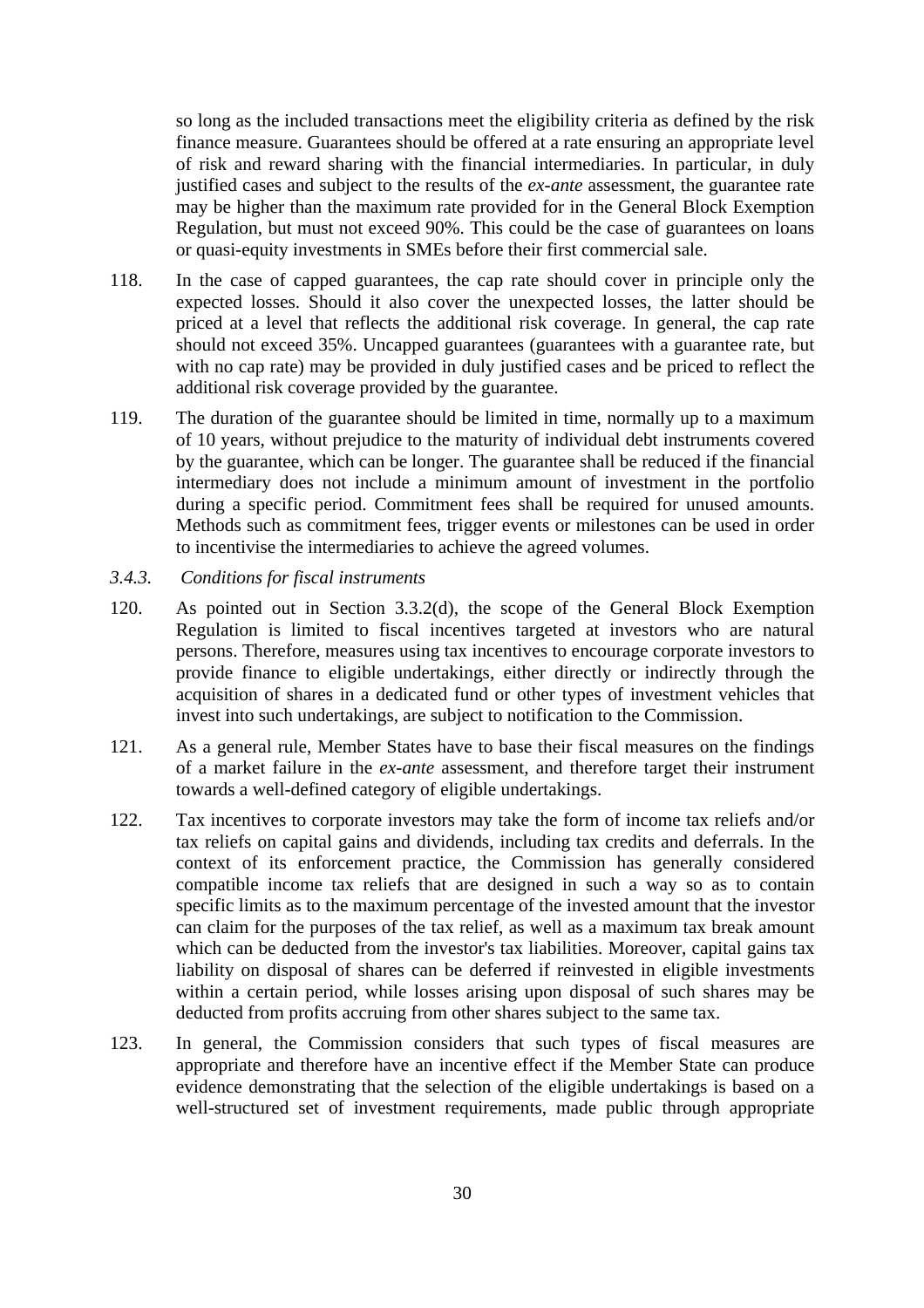so long as the included transactions meet the eligibility criteria as defined by the risk finance measure. Guarantees should be offered at a rate ensuring an appropriate level of risk and reward sharing with the financial intermediaries. In particular, in duly justified cases and subject to the results of the *ex-ante* assessment, the guarantee rate may be higher than the maximum rate provided for in the General Block Exemption Regulation, but must not exceed 90%. This could be the case of guarantees on loans or quasi-equity investments in SMEs before their first commercial sale.

- 118. In the case of capped guarantees, the cap rate should cover in principle only the expected losses. Should it also cover the unexpected losses, the latter should be priced at a level that reflects the additional risk coverage. In general, the cap rate should not exceed 35%. Uncapped guarantees (guarantees with a guarantee rate, but with no cap rate) may be provided in duly justified cases and be priced to reflect the additional risk coverage provided by the guarantee.
- 119. The duration of the guarantee should be limited in time, normally up to a maximum of 10 years, without prejudice to the maturity of individual debt instruments covered by the guarantee, which can be longer. The guarantee shall be reduced if the financial intermediary does not include a minimum amount of investment in the portfolio during a specific period. Commitment fees shall be required for unused amounts. Methods such as commitment fees, trigger events or milestones can be used in order to incentivise the intermediaries to achieve the agreed volumes.
- <span id="page-29-0"></span>*3.4.3. Conditions for fiscal instruments*
- 120. As pointed out in Section 3.3.2(d), the scope of the General Block Exemption Regulation is limited to fiscal incentives targeted at investors who are natural persons. Therefore, measures using tax incentives to encourage corporate investors to provide finance to eligible undertakings, either directly or indirectly through the acquisition of shares in a dedicated fund or other types of investment vehicles that invest into such undertakings, are subject to notification to the Commission.
- 121. As a general rule, Member States have to base their fiscal measures on the findings of a market failure in the *ex-ante* assessment, and therefore target their instrument towards a well-defined category of eligible undertakings.
- 122. Tax incentives to corporate investors may take the form of income tax reliefs and/or tax reliefs on capital gains and dividends, including tax credits and deferrals. In the context of its enforcement practice, the Commission has generally considered compatible income tax reliefs that are designed in such a way so as to contain specific limits as to the maximum percentage of the invested amount that the investor can claim for the purposes of the tax relief, as well as a maximum tax break amount which can be deducted from the investor's tax liabilities. Moreover, capital gains tax liability on disposal of shares can be deferred if reinvested in eligible investments within a certain period, while losses arising upon disposal of such shares may be deducted from profits accruing from other shares subject to the same tax.
- 123. In general, the Commission considers that such types of fiscal measures are appropriate and therefore have an incentive effect if the Member State can produce evidence demonstrating that the selection of the eligible undertakings is based on a well-structured set of investment requirements, made public through appropriate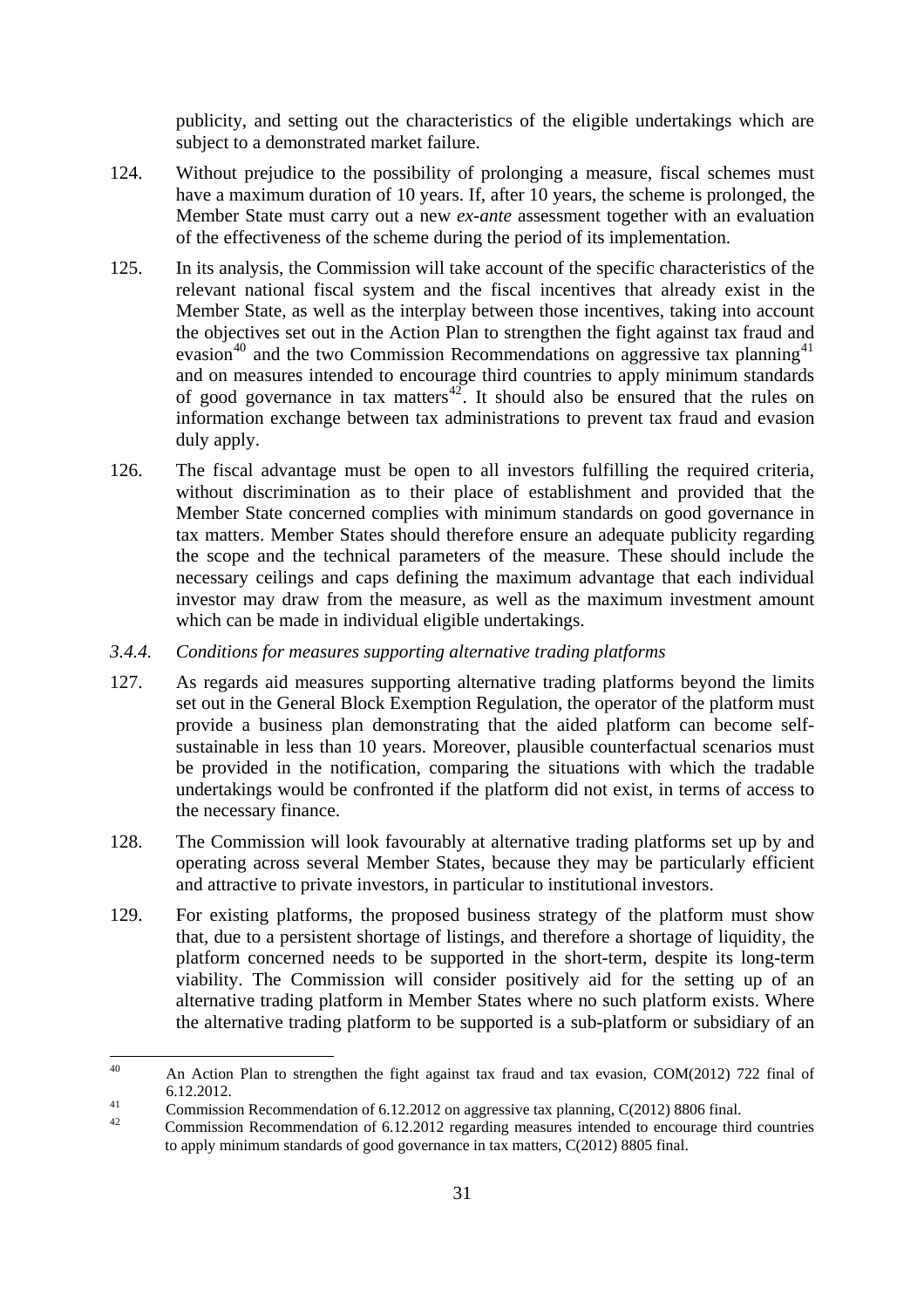publicity, and setting out the characteristics of the eligible undertakings which are subject to a demonstrated market failure.

- 124. Without prejudice to the possibility of prolonging a measure, fiscal schemes must have a maximum duration of 10 years. If, after 10 years, the scheme is prolonged, the Member State must carry out a new *ex-ante* assessment together with an evaluation of the effectiveness of the scheme during the period of its implementation.
- 125. In its analysis, the Commission will take account of the specific characteristics of the relevant national fiscal system and the fiscal incentives that already exist in the Member State, as well as the interplay between those incentives, taking into account the objectives set out in the Action Plan to strengthen the fight against tax fraud and evasion<sup>[40](#page-30-1)</sup> and the two Commission Recommendations on aggressive tax planning<sup>[41](#page-30-2)</sup> and on measures intended to encourage third countries to apply minimum standards of good governance in tax matters<sup>[42](#page-30-3)</sup>. It should also be ensured that the rules on information exchange between tax administrations to prevent tax fraud and evasion duly apply.
- 126. The fiscal advantage must be open to all investors fulfilling the required criteria, without discrimination as to their place of establishment and provided that the Member State concerned complies with minimum standards on good governance in tax matters. Member States should therefore ensure an adequate publicity regarding the scope and the technical parameters of the measure. These should include the necessary ceilings and caps defining the maximum advantage that each individual investor may draw from the measure, as well as the maximum investment amount which can be made in individual eligible undertakings.

#### <span id="page-30-0"></span>*3.4.4. Conditions for measures supporting alternative trading platforms*

- 127. As regards aid measures supporting alternative trading platforms beyond the limits set out in the General Block Exemption Regulation, the operator of the platform must provide a business plan demonstrating that the aided platform can become selfsustainable in less than 10 years. Moreover, plausible counterfactual scenarios must be provided in the notification, comparing the situations with which the tradable undertakings would be confronted if the platform did not exist, in terms of access to the necessary finance.
- 128. The Commission will look favourably at alternative trading platforms set up by and operating across several Member States, because they may be particularly efficient and attractive to private investors, in particular to institutional investors.
- 129. For existing platforms, the proposed business strategy of the platform must show that, due to a persistent shortage of listings, and therefore a shortage of liquidity, the platform concerned needs to be supported in the short-term, despite its long-term viability. The Commission will consider positively aid for the setting up of an alternative trading platform in Member States where no such platform exists. Where the alternative trading platform to be supported is a sub-platform or subsidiary of an

<span id="page-30-1"></span> $40$ An Action Plan to strengthen the fight against tax fraud and tax evasion, COM(2012) 722 final of 6.12.2012.<br>
Commission Recommendation of 6.12.2012 on aggressive tax planning, C(2012) 8806 final.

<span id="page-30-2"></span>

<span id="page-30-3"></span><sup>42</sup> Commission Recommendation of 6.12.2012 regarding measures intended to encourage third countries to apply minimum standards of good governance in tax matters, C(2012) 8805 final.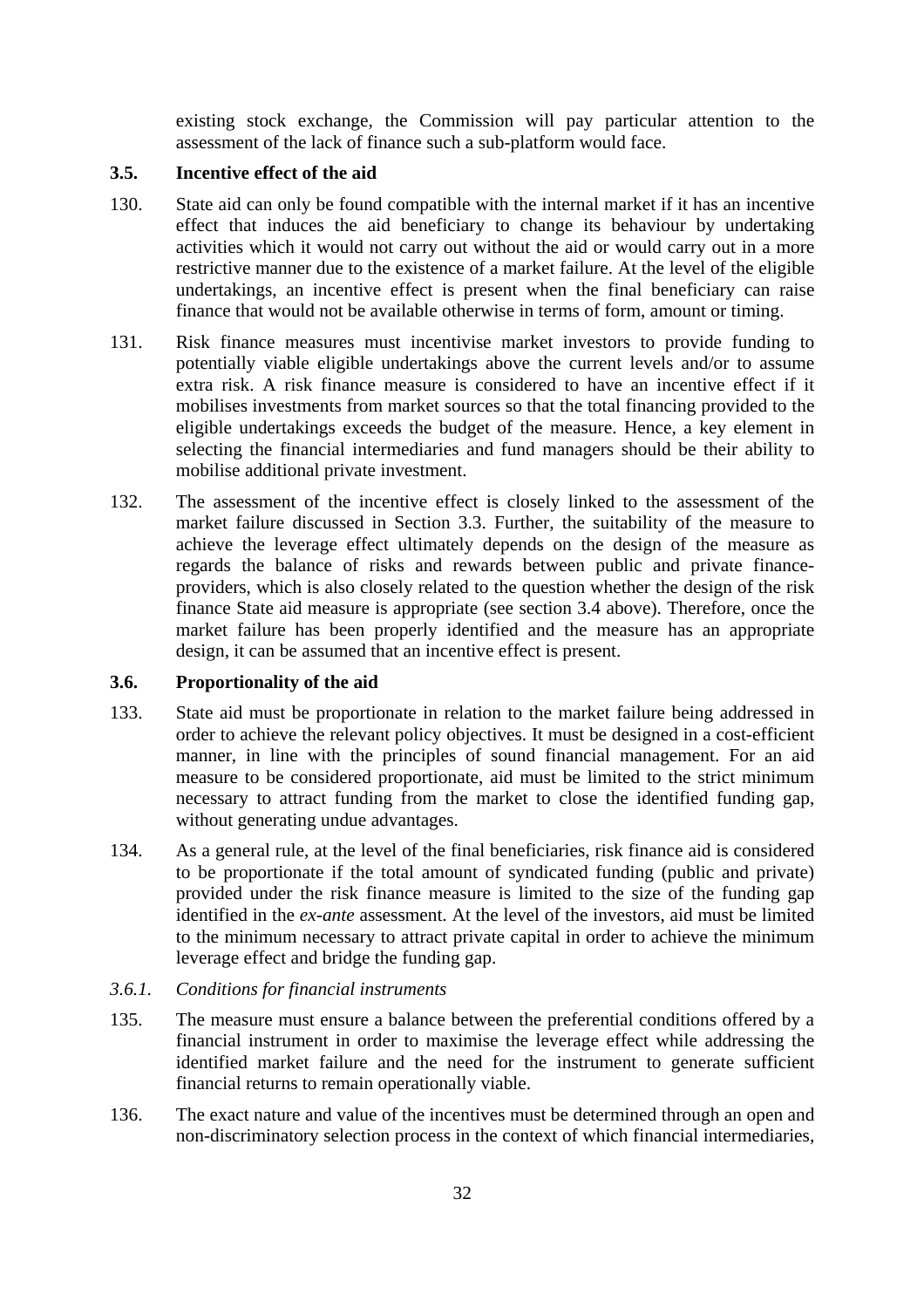existing stock exchange, the Commission will pay particular attention to the assessment of the lack of finance such a sub-platform would face.

# <span id="page-31-0"></span>**3.5. Incentive effect of the aid**

- 130. State aid can only be found compatible with the internal market if it has an incentive effect that induces the aid beneficiary to change its behaviour by undertaking activities which it would not carry out without the aid or would carry out in a more restrictive manner due to the existence of a market failure. At the level of the eligible undertakings, an incentive effect is present when the final beneficiary can raise finance that would not be available otherwise in terms of form, amount or timing.
- 131. Risk finance measures must incentivise market investors to provide funding to potentially viable eligible undertakings above the current levels and/or to assume extra risk. A risk finance measure is considered to have an incentive effect if it mobilises investments from market sources so that the total financing provided to the eligible undertakings exceeds the budget of the measure. Hence, a key element in selecting the financial intermediaries and fund managers should be their ability to mobilise additional private investment.
- 132. The assessment of the incentive effect is closely linked to the assessment of the market failure discussed in Section 3.3. Further, the suitability of the measure to achieve the leverage effect ultimately depends on the design of the measure as regards the balance of risks and rewards between public and private financeproviders, which is also closely related to the question whether the design of the risk finance State aid measure is appropriate (see section 3.4 above). Therefore, once the market failure has been properly identified and the measure has an appropriate design, it can be assumed that an incentive effect is present.

## <span id="page-31-1"></span>**3.6. Proportionality of the aid**

- 133. State aid must be proportionate in relation to the market failure being addressed in order to achieve the relevant policy objectives. It must be designed in a cost-efficient manner, in line with the principles of sound financial management. For an aid measure to be considered proportionate, aid must be limited to the strict minimum necessary to attract funding from the market to close the identified funding gap, without generating undue advantages.
- 134. As a general rule, at the level of the final beneficiaries, risk finance aid is considered to be proportionate if the total amount of syndicated funding (public and private) provided under the risk finance measure is limited to the size of the funding gap identified in the *ex-ante* assessment. At the level of the investors, aid must be limited to the minimum necessary to attract private capital in order to achieve the minimum leverage effect and bridge the funding gap.
- <span id="page-31-2"></span>*3.6.1. Conditions for financial instruments*
- 135. The measure must ensure a balance between the preferential conditions offered by a financial instrument in order to maximise the leverage effect while addressing the identified market failure and the need for the instrument to generate sufficient financial returns to remain operationally viable.
- 136. The exact nature and value of the incentives must be determined through an open and non-discriminatory selection process in the context of which financial intermediaries,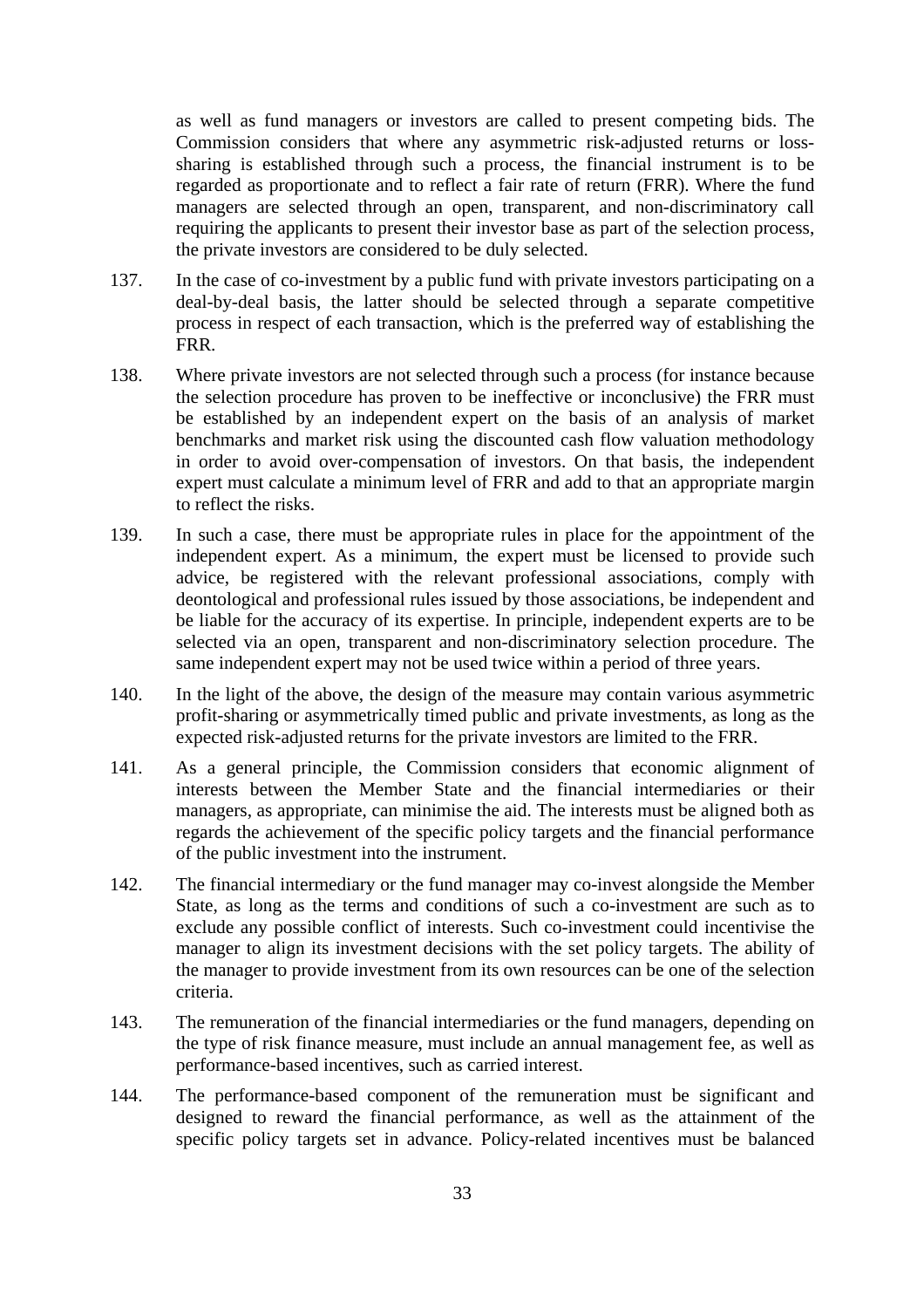as well as fund managers or investors are called to present competing bids. The Commission considers that where any asymmetric risk-adjusted returns or losssharing is established through such a process, the financial instrument is to be regarded as proportionate and to reflect a fair rate of return (FRR). Where the fund managers are selected through an open, transparent, and non-discriminatory call requiring the applicants to present their investor base as part of the selection process, the private investors are considered to be duly selected.

- 137. In the case of co-investment by a public fund with private investors participating on a deal-by-deal basis, the latter should be selected through a separate competitive process in respect of each transaction, which is the preferred way of establishing the FRR.
- 138. Where private investors are not selected through such a process (for instance because the selection procedure has proven to be ineffective or inconclusive) the FRR must be established by an independent expert on the basis of an analysis of market benchmarks and market risk using the discounted cash flow valuation methodology in order to avoid over-compensation of investors. On that basis, the independent expert must calculate a minimum level of FRR and add to that an appropriate margin to reflect the risks.
- 139. In such a case, there must be appropriate rules in place for the appointment of the independent expert. As a minimum, the expert must be licensed to provide such advice, be registered with the relevant professional associations, comply with deontological and professional rules issued by those associations, be independent and be liable for the accuracy of its expertise. In principle, independent experts are to be selected via an open, transparent and non-discriminatory selection procedure. The same independent expert may not be used twice within a period of three years.
- 140. In the light of the above, the design of the measure may contain various asymmetric profit-sharing or asymmetrically timed public and private investments, as long as the expected risk-adjusted returns for the private investors are limited to the FRR.
- 141. As a general principle, the Commission considers that economic alignment of interests between the Member State and the financial intermediaries or their managers, as appropriate, can minimise the aid. The interests must be aligned both as regards the achievement of the specific policy targets and the financial performance of the public investment into the instrument.
- 142. The financial intermediary or the fund manager may co-invest alongside the Member State, as long as the terms and conditions of such a co-investment are such as to exclude any possible conflict of interests. Such co-investment could incentivise the manager to align its investment decisions with the set policy targets. The ability of the manager to provide investment from its own resources can be one of the selection criteria.
- 143. The remuneration of the financial intermediaries or the fund managers, depending on the type of risk finance measure, must include an annual management fee, as well as performance-based incentives, such as carried interest.
- 144. The performance-based component of the remuneration must be significant and designed to reward the financial performance, as well as the attainment of the specific policy targets set in advance. Policy-related incentives must be balanced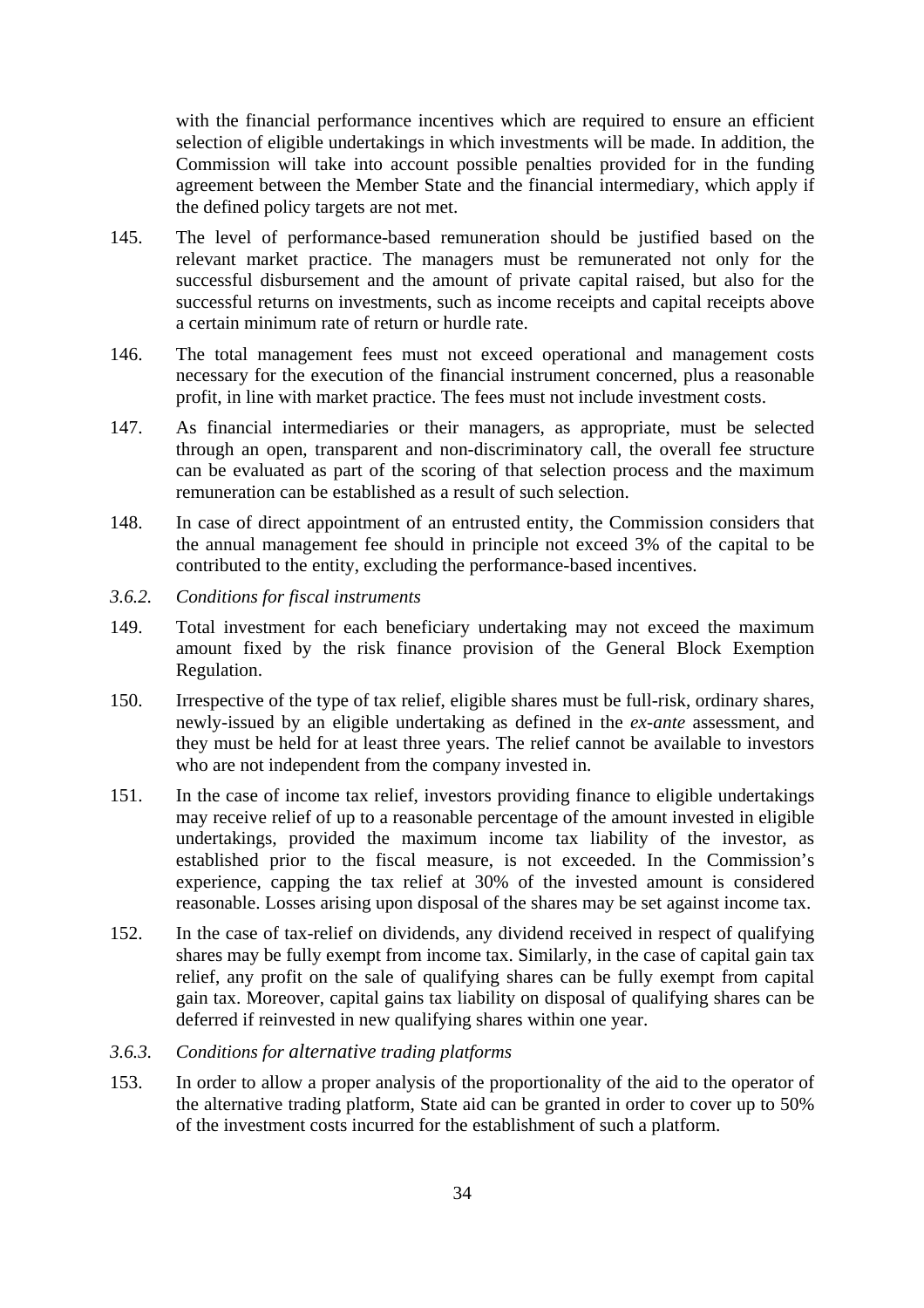with the financial performance incentives which are required to ensure an efficient selection of eligible undertakings in which investments will be made. In addition, the Commission will take into account possible penalties provided for in the funding agreement between the Member State and the financial intermediary, which apply if the defined policy targets are not met.

- 145. The level of performance-based remuneration should be justified based on the relevant market practice. The managers must be remunerated not only for the successful disbursement and the amount of private capital raised, but also for the successful returns on investments, such as income receipts and capital receipts above a certain minimum rate of return or hurdle rate.
- 146. The total management fees must not exceed operational and management costs necessary for the execution of the financial instrument concerned, plus a reasonable profit, in line with market practice. The fees must not include investment costs.
- 147. As financial intermediaries or their managers, as appropriate, must be selected through an open, transparent and non-discriminatory call, the overall fee structure can be evaluated as part of the scoring of that selection process and the maximum remuneration can be established as a result of such selection.
- 148. In case of direct appointment of an entrusted entity, the Commission considers that the annual management fee should in principle not exceed 3% of the capital to be contributed to the entity, excluding the performance-based incentives.
- <span id="page-33-0"></span>*3.6.2. Conditions for fiscal instruments*
- 149. Total investment for each beneficiary undertaking may not exceed the maximum amount fixed by the risk finance provision of the General Block Exemption Regulation.
- 150. Irrespective of the type of tax relief, eligible shares must be full-risk, ordinary shares, newly-issued by an eligible undertaking as defined in the *ex-ante* assessment, and they must be held for at least three years. The relief cannot be available to investors who are not independent from the company invested in.
- 151. In the case of income tax relief, investors providing finance to eligible undertakings may receive relief of up to a reasonable percentage of the amount invested in eligible undertakings, provided the maximum income tax liability of the investor, as established prior to the fiscal measure, is not exceeded. In the Commission's experience, capping the tax relief at 30% of the invested amount is considered reasonable. Losses arising upon disposal of the shares may be set against income tax.
- 152. In the case of tax-relief on dividends, any dividend received in respect of qualifying shares may be fully exempt from income tax. Similarly, in the case of capital gain tax relief, any profit on the sale of qualifying shares can be fully exempt from capital gain tax. Moreover, capital gains tax liability on disposal of qualifying shares can be deferred if reinvested in new qualifying shares within one year.
- <span id="page-33-1"></span>*3.6.3. Conditions for alternative trading platforms*
- 153. In order to allow a proper analysis of the proportionality of the aid to the operator of the alternative trading platform, State aid can be granted in order to cover up to 50% of the investment costs incurred for the establishment of such a platform.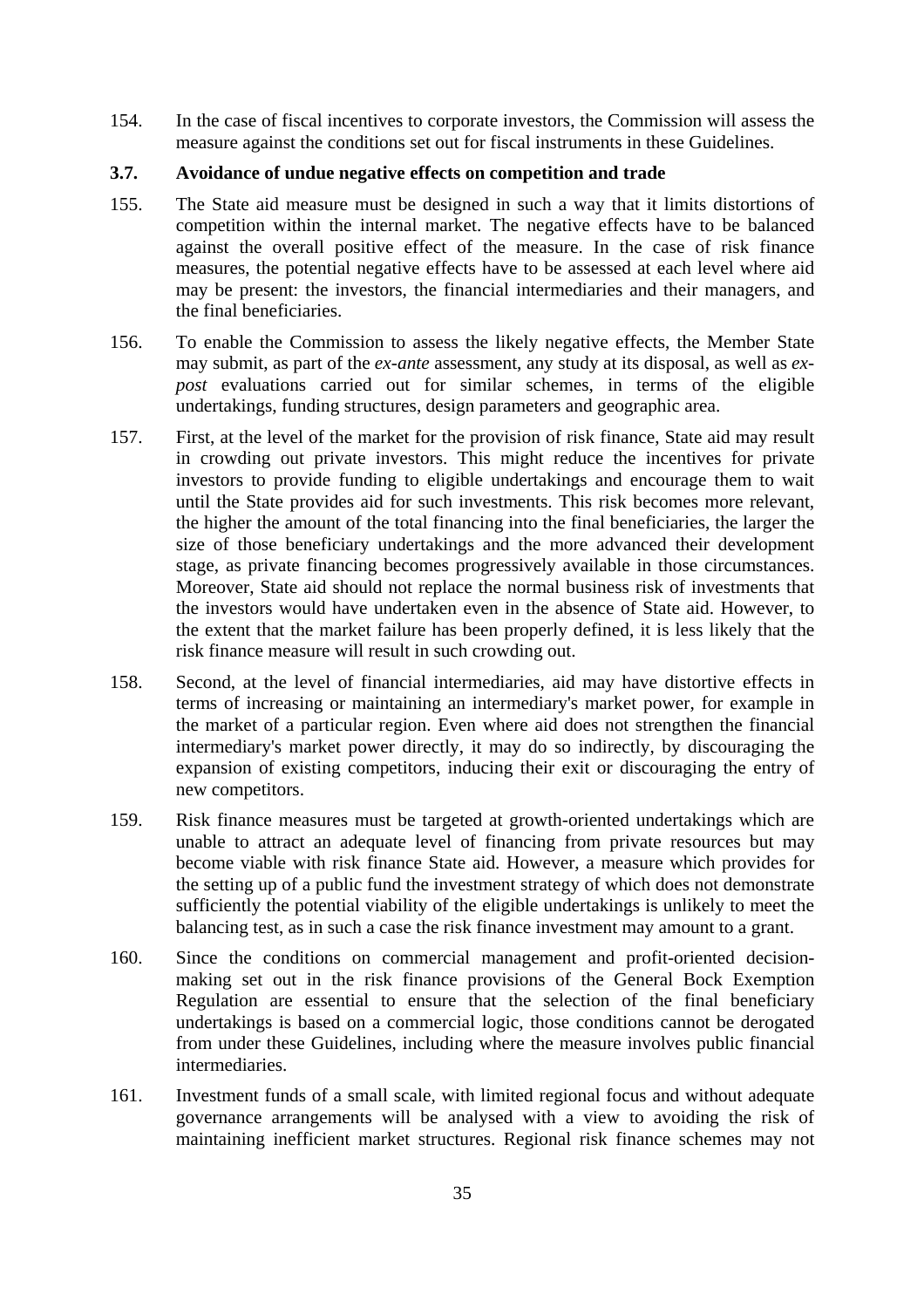154. In the case of fiscal incentives to corporate investors, the Commission will assess the measure against the conditions set out for fiscal instruments in these Guidelines.

# <span id="page-34-0"></span>**3.7. Avoidance of undue negative effects on competition and trade**

- 155. The State aid measure must be designed in such a way that it limits distortions of competition within the internal market. The negative effects have to be balanced against the overall positive effect of the measure. In the case of risk finance measures, the potential negative effects have to be assessed at each level where aid may be present: the investors, the financial intermediaries and their managers, and the final beneficiaries.
- 156. To enable the Commission to assess the likely negative effects, the Member State may submit, as part of the *ex-ante* assessment, any study at its disposal, as well as *expost* evaluations carried out for similar schemes, in terms of the eligible undertakings, funding structures, design parameters and geographic area.
- 157. First, at the level of the market for the provision of risk finance, State aid may result in crowding out private investors. This might reduce the incentives for private investors to provide funding to eligible undertakings and encourage them to wait until the State provides aid for such investments. This risk becomes more relevant, the higher the amount of the total financing into the final beneficiaries, the larger the size of those beneficiary undertakings and the more advanced their development stage, as private financing becomes progressively available in those circumstances. Moreover, State aid should not replace the normal business risk of investments that the investors would have undertaken even in the absence of State aid. However, to the extent that the market failure has been properly defined, it is less likely that the risk finance measure will result in such crowding out.
- 158. Second, at the level of financial intermediaries, aid may have distortive effects in terms of increasing or maintaining an intermediary's market power, for example in the market of a particular region. Even where aid does not strengthen the financial intermediary's market power directly, it may do so indirectly, by discouraging the expansion of existing competitors, inducing their exit or discouraging the entry of new competitors.
- 159. Risk finance measures must be targeted at growth-oriented undertakings which are unable to attract an adequate level of financing from private resources but may become viable with risk finance State aid. However, a measure which provides for the setting up of a public fund the investment strategy of which does not demonstrate sufficiently the potential viability of the eligible undertakings is unlikely to meet the balancing test, as in such a case the risk finance investment may amount to a grant.
- 160. Since the conditions on commercial management and profit-oriented decisionmaking set out in the risk finance provisions of the General Bock Exemption Regulation are essential to ensure that the selection of the final beneficiary undertakings is based on a commercial logic, those conditions cannot be derogated from under these Guidelines, including where the measure involves public financial intermediaries.
- 161. Investment funds of a small scale, with limited regional focus and without adequate governance arrangements will be analysed with a view to avoiding the risk of maintaining inefficient market structures. Regional risk finance schemes may not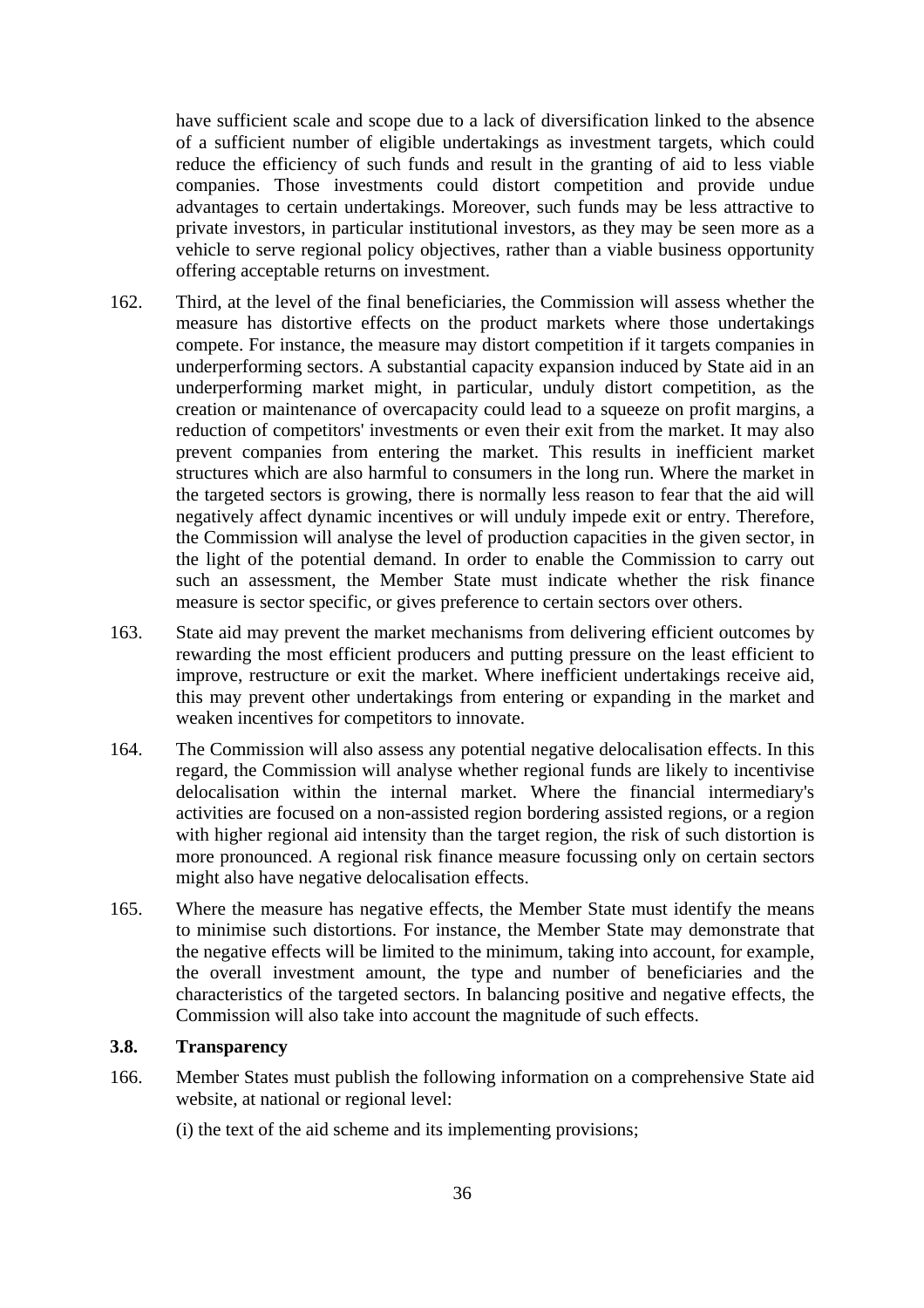have sufficient scale and scope due to a lack of diversification linked to the absence of a sufficient number of eligible undertakings as investment targets, which could reduce the efficiency of such funds and result in the granting of aid to less viable companies. Those investments could distort competition and provide undue advantages to certain undertakings. Moreover, such funds may be less attractive to private investors, in particular institutional investors, as they may be seen more as a vehicle to serve regional policy objectives, rather than a viable business opportunity offering acceptable returns on investment.

- 162. Third, at the level of the final beneficiaries, the Commission will assess whether the measure has distortive effects on the product markets where those undertakings compete. For instance, the measure may distort competition if it targets companies in underperforming sectors. A substantial capacity expansion induced by State aid in an underperforming market might, in particular, unduly distort competition, as the creation or maintenance of overcapacity could lead to a squeeze on profit margins, a reduction of competitors' investments or even their exit from the market. It may also prevent companies from entering the market. This results in inefficient market structures which are also harmful to consumers in the long run. Where the market in the targeted sectors is growing, there is normally less reason to fear that the aid will negatively affect dynamic incentives or will unduly impede exit or entry. Therefore, the Commission will analyse the level of production capacities in the given sector, in the light of the potential demand. In order to enable the Commission to carry out such an assessment, the Member State must indicate whether the risk finance measure is sector specific, or gives preference to certain sectors over others.
- 163. State aid may prevent the market mechanisms from delivering efficient outcomes by rewarding the most efficient producers and putting pressure on the least efficient to improve, restructure or exit the market. Where inefficient undertakings receive aid, this may prevent other undertakings from entering or expanding in the market and weaken incentives for competitors to innovate.
- 164. The Commission will also assess any potential negative delocalisation effects. In this regard, the Commission will analyse whether regional funds are likely to incentivise delocalisation within the internal market. Where the financial intermediary's activities are focused on a non-assisted region bordering assisted regions, or a region with higher regional aid intensity than the target region, the risk of such distortion is more pronounced. A regional risk finance measure focussing only on certain sectors might also have negative delocalisation effects.
- 165. Where the measure has negative effects, the Member State must identify the means to minimise such distortions. For instance, the Member State may demonstrate that the negative effects will be limited to the minimum, taking into account, for example, the overall investment amount, the type and number of beneficiaries and the characteristics of the targeted sectors. In balancing positive and negative effects, the Commission will also take into account the magnitude of such effects.

#### <span id="page-35-0"></span>**3.8. Transparency**

- 166. Member States must publish the following information on a comprehensive State aid website, at national or regional level:
	- (i) the text of the aid scheme and its implementing provisions;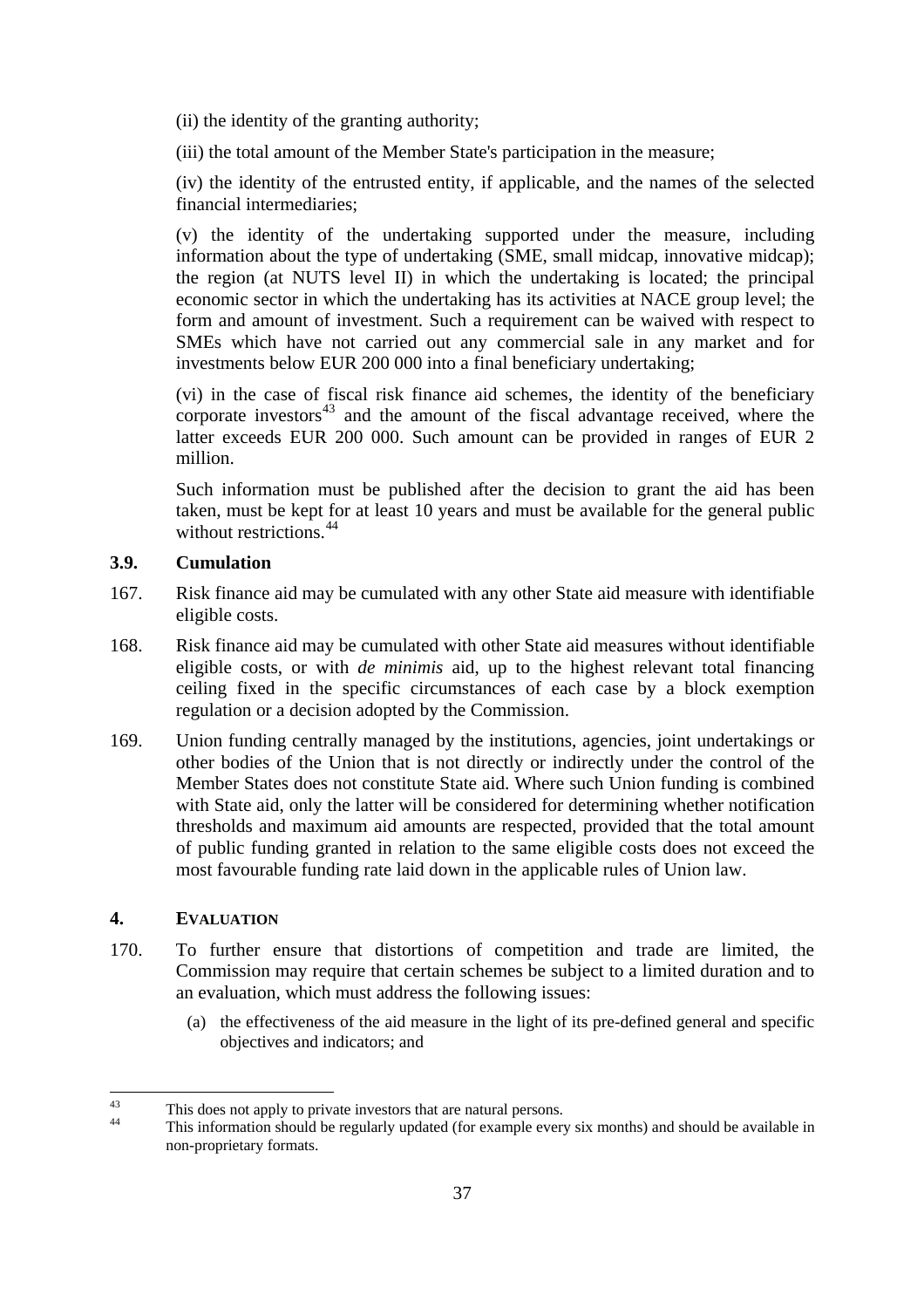(ii) the identity of the granting authority;

(iii) the total amount of the Member State's participation in the measure;

 (iv) the identity of the entrusted entity, if applicable, and the names of the selected financial intermediaries;

 (v) the identity of the undertaking supported under the measure, including information about the type of undertaking (SME, small midcap, innovative midcap); the region (at NUTS level II) in which the undertaking is located; the principal economic sector in which the undertaking has its activities at NACE group level; the form and amount of investment. Such a requirement can be waived with respect to SMEs which have not carried out any commercial sale in any market and for investments below EUR 200 000 into a final beneficiary undertaking;

 (vi) in the case of fiscal risk finance aid schemes, the identity of the beneficiary corporate investors $43$  and the amount of the fiscal advantage received, where the latter exceeds EUR 200 000. Such amount can be provided in ranges of EUR 2 million.

 Such information must be published after the decision to grant the aid has been taken, must be kept for at least 10 years and must be available for the general public without restrictions.<sup>[44](#page-36-3)</sup>

# <span id="page-36-0"></span>**3.9. Cumulation**

- 167. Risk finance aid may be cumulated with any other State aid measure with identifiable eligible costs.
- 168. Risk finance aid may be cumulated with other State aid measures without identifiable eligible costs, or with *de minimis* aid, up to the highest relevant total financing ceiling fixed in the specific circumstances of each case by a block exemption regulation or a decision adopted by the Commission.
- 169. Union funding centrally managed by the institutions, agencies, joint undertakings or other bodies of the Union that is not directly or indirectly under the control of the Member States does not constitute State aid. Where such Union funding is combined with State aid, only the latter will be considered for determining whether notification thresholds and maximum aid amounts are respected, provided that the total amount of public funding granted in relation to the same eligible costs does not exceed the most favourable funding rate laid down in the applicable rules of Union law.

# <span id="page-36-1"></span>**4. EVALUATION**

- 170. To further ensure that distortions of competition and trade are limited, the Commission may require that certain schemes be subject to a limited duration and to an evaluation, which must address the following issues:
	- (a) the effectiveness of the aid measure in the light of its pre-defined general and specific objectives and indicators; and

<span id="page-36-2"></span><sup>&</sup>lt;sup>43</sup> This does not apply to private investors that are natural persons.

<span id="page-36-3"></span>This information should be regularly updated (for example every six months) and should be available in non-proprietary formats.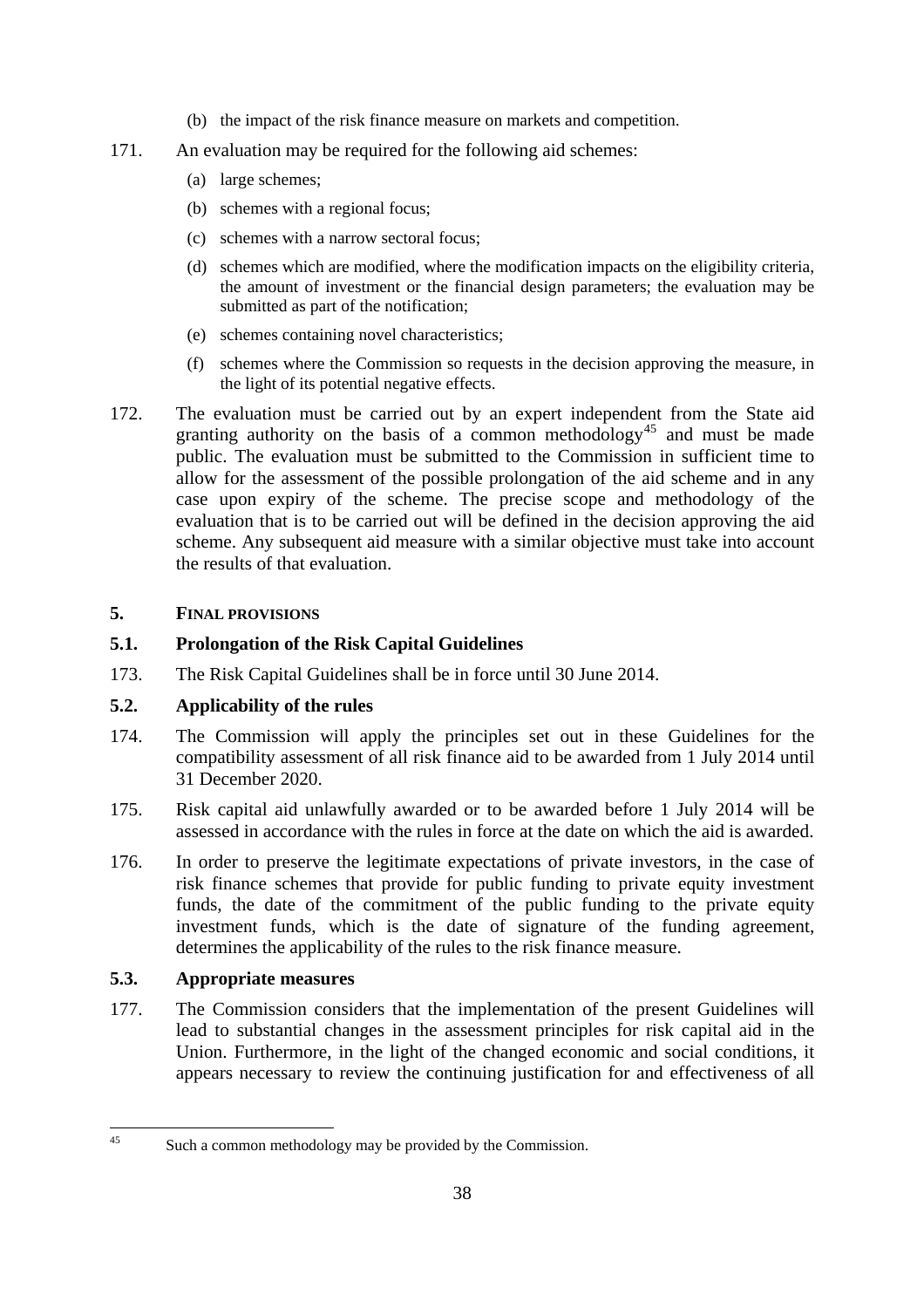- (b) the impact of the risk finance measure on markets and competition.
- 171. An evaluation may be required for the following aid schemes:
	- (a) large schemes;
	- (b) schemes with a regional focus;
	- (c) schemes with a narrow sectoral focus;
	- (d) schemes which are modified, where the modification impacts on the eligibility criteria, the amount of investment or the financial design parameters; the evaluation may be submitted as part of the notification;
	- (e) schemes containing novel characteristics;
	- (f) schemes where the Commission so requests in the decision approving the measure, in the light of its potential negative effects.
- 172. The evaluation must be carried out by an expert independent from the State aid granting authority on the basis of a common methodology<sup>[45](#page-37-3)</sup> and must be made public. The evaluation must be submitted to the Commission in sufficient time to allow for the assessment of the possible prolongation of the aid scheme and in any case upon expiry of the scheme. The precise scope and methodology of the evaluation that is to be carried out will be defined in the decision approving the aid scheme. Any subsequent aid measure with a similar objective must take into account the results of that evaluation.

# <span id="page-37-0"></span>**5. FINAL PROVISIONS**

# <span id="page-37-1"></span>**5.1. Prolongation of the Risk Capital Guidelines**

173. The Risk Capital Guidelines shall be in force until 30 June 2014.

# **5.2. Applicability of the rules**

- 174. The Commission will apply the principles set out in these Guidelines for the compatibility assessment of all risk finance aid to be awarded from 1 July 2014 until 31 December 2020.
- 175. Risk capital aid unlawfully awarded or to be awarded before 1 July 2014 will be assessed in accordance with the rules in force at the date on which the aid is awarded.
- 176. In order to preserve the legitimate expectations of private investors, in the case of risk finance schemes that provide for public funding to private equity investment funds, the date of the commitment of the public funding to the private equity investment funds, which is the date of signature of the funding agreement, determines the applicability of the rules to the risk finance measure.

# <span id="page-37-2"></span>**5.3. Appropriate measures**

177. The Commission considers that the implementation of the present Guidelines will lead to substantial changes in the assessment principles for risk capital aid in the Union. Furthermore, in the light of the changed economic and social conditions, it appears necessary to review the continuing justification for and effectiveness of all

<span id="page-37-3"></span> $45$ Such a common methodology may be provided by the Commission.